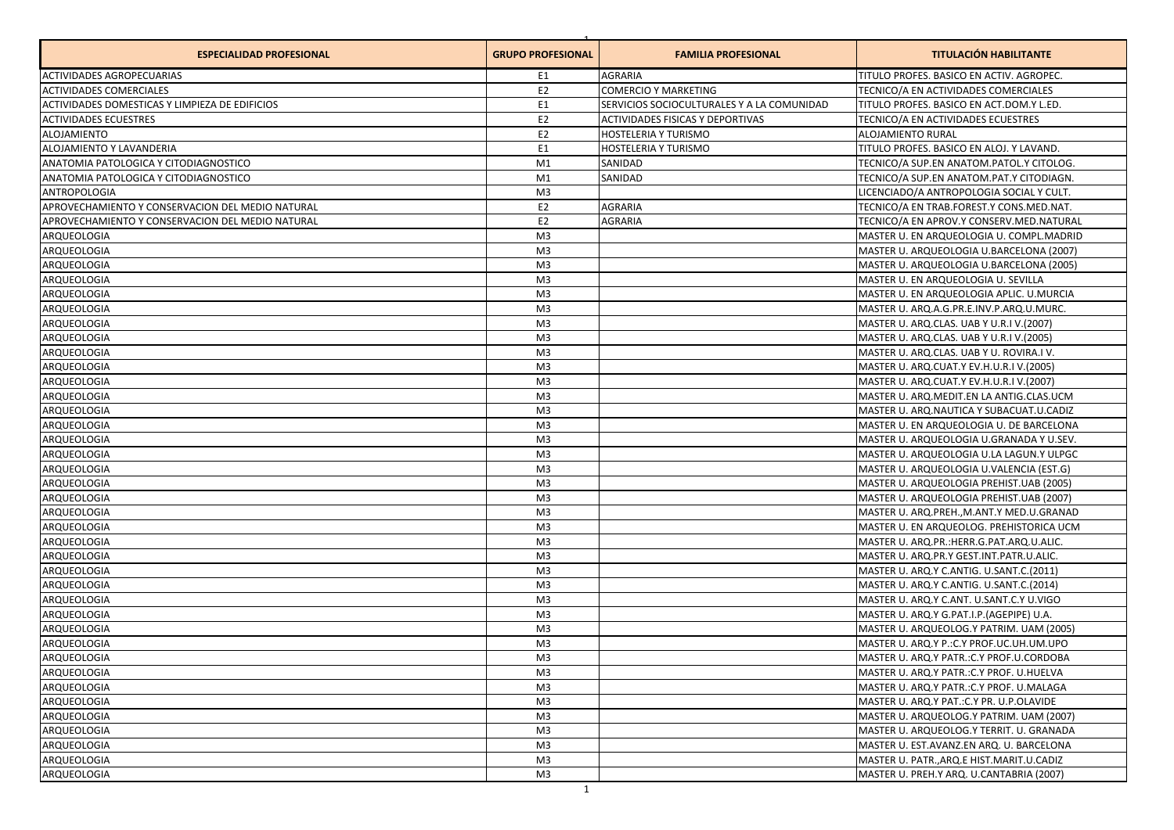| <b>ESPECIALIDAD PROFESIONAL</b>                  | <b>GRUPO PROFESIONAL</b> | <b>FAMILIA PROFESIONAL</b>                 | <b>TITULACIÓN HABILITANTE</b>              |
|--------------------------------------------------|--------------------------|--------------------------------------------|--------------------------------------------|
| <b>ACTIVIDADES AGROPECUARIAS</b>                 | E1                       | <b>AGRARIA</b>                             | TITULO PROFES. BASICO EN ACTIV. AGROPEC.   |
| <b>ACTIVIDADES COMERCIALES</b>                   | E <sub>2</sub>           | <b>COMERCIO Y MARKETING</b>                | TECNICO/A EN ACTIVIDADES COMERCIALES       |
| ACTIVIDADES DOMESTICAS Y LIMPIEZA DE EDIFICIOS   | E <sub>1</sub>           | SERVICIOS SOCIOCULTURALES Y A LA COMUNIDAD | TITULO PROFES. BASICO EN ACT.DOM.Y L.ED.   |
| <b>ACTIVIDADES ECUESTRES</b>                     | E <sub>2</sub>           | ACTIVIDADES FISICAS Y DEPORTIVAS           | TECNICO/A EN ACTIVIDADES ECUESTRES         |
| <b>ALOJAMIENTO</b>                               | E <sub>2</sub>           | HOSTELERIA Y TURISMO                       | <b>ALOJAMIENTO RURAL</b>                   |
| ALOJAMIENTO Y LAVANDERIA                         | E1                       | HOSTELERIA Y TURISMO                       | TITULO PROFES. BASICO EN ALOJ. Y LAVAND.   |
| ANATOMIA PATOLOGICA Y CITODIAGNOSTICO            | M1                       | SANIDAD                                    | TECNICO/A SUP.EN ANATOM.PATOL.Y CITOLOG.   |
| ANATOMIA PATOLOGICA Y CITODIAGNOSTICO            | M1                       | SANIDAD                                    | TECNICO/A SUP.EN ANATOM.PAT.Y CITODIAGN.   |
| <b>ANTROPOLOGIA</b>                              | M <sub>3</sub>           |                                            | LICENCIADO/A ANTROPOLOGIA SOCIAL Y CULT.   |
| APROVECHAMIENTO Y CONSERVACION DEL MEDIO NATURAL | E <sub>2</sub>           | AGRARIA                                    | TECNICO/A EN TRAB.FOREST.Y CONS.MED.NAT.   |
| APROVECHAMIENTO Y CONSERVACION DEL MEDIO NATURAL | E <sub>2</sub>           | AGRARIA                                    | TECNICO/A EN APROV.Y CONSERV.MED.NATURAL   |
| ARQUEOLOGIA                                      | M <sub>3</sub>           |                                            | MASTER U. EN ARQUEOLOGIA U. COMPL.MADRID   |
| ARQUEOLOGIA                                      | M <sub>3</sub>           |                                            | MASTER U. ARQUEOLOGIA U.BARCELONA (2007)   |
| ARQUEOLOGIA                                      | M <sub>3</sub>           |                                            | MASTER U. ARQUEOLOGIA U.BARCELONA (2005)   |
| ARQUEOLOGIA                                      | M <sub>3</sub>           |                                            | MASTER U. EN ARQUEOLOGIA U. SEVILLA        |
| ARQUEOLOGIA                                      | M <sub>3</sub>           |                                            | MASTER U. EN ARQUEOLOGIA APLIC. U.MURCIA   |
| ARQUEOLOGIA                                      | M <sub>3</sub>           |                                            | MASTER U. ARQ.A.G.PR.E.INV.P.ARQ.U.MURC.   |
| ARQUEOLOGIA                                      | M <sub>3</sub>           |                                            | MASTER U. ARQ.CLAS. UAB Y U.R.I V.(2007)   |
| ARQUEOLOGIA                                      | M <sub>3</sub>           |                                            | MASTER U. ARQ.CLAS. UAB Y U.R.I V. (2005)  |
| ARQUEOLOGIA                                      | M <sub>3</sub>           |                                            | MASTER U. ARQ.CLAS. UAB Y U. ROVIRA.I V.   |
| ARQUEOLOGIA                                      | M <sub>3</sub>           |                                            | MASTER U. ARQ.CUAT.Y EV.H.U.R.I V.(2005)   |
| ARQUEOLOGIA                                      | M <sub>3</sub>           |                                            | MASTER U. ARQ.CUAT.Y EV.H.U.R.I V.(2007)   |
| ARQUEOLOGIA                                      | M <sub>3</sub>           |                                            | MASTER U. ARQ.MEDIT.EN LA ANTIG.CLAS.UCM   |
| ARQUEOLOGIA                                      | M <sub>3</sub>           |                                            | MASTER U. ARQ.NAUTICA Y SUBACUAT.U.CADIZ   |
| ARQUEOLOGIA                                      | M <sub>3</sub>           |                                            | MASTER U. EN ARQUEOLOGIA U. DE BARCELONA   |
| ARQUEOLOGIA                                      | M <sub>3</sub>           |                                            | MASTER U. ARQUEOLOGIA U.GRANADA Y U.SEV.   |
| ARQUEOLOGIA                                      | M <sub>3</sub>           |                                            | MASTER U. ARQUEOLOGIA U.LA LAGUN.Y ULPGC   |
| ARQUEOLOGIA                                      | M <sub>3</sub>           |                                            | MASTER U. ARQUEOLOGIA U.VALENCIA (EST.G)   |
| ARQUEOLOGIA                                      | M <sub>3</sub>           |                                            | MASTER U. ARQUEOLOGIA PREHIST.UAB (2005)   |
| ARQUEOLOGIA                                      | M <sub>3</sub>           |                                            | MASTER U. ARQUEOLOGIA PREHIST.UAB (2007)   |
| ARQUEOLOGIA                                      | M <sub>3</sub>           |                                            | MASTER U. ARQ.PREH., M.ANT.Y MED.U.GRANAD  |
| ARQUEOLOGIA                                      | M <sub>3</sub>           |                                            | MASTER U. EN ARQUEOLOG. PREHISTORICA UCM   |
| ARQUEOLOGIA                                      | M <sub>3</sub>           |                                            | MASTER U. ARQ.PR.: HERR.G.PAT.ARQ.U.ALIC.  |
| ARQUEOLOGIA                                      | M <sub>3</sub>           |                                            | MASTER U. ARQ.PR.Y GEST.INT.PATR.U.ALIC.   |
| ARQUEOLOGIA                                      | M <sub>3</sub>           |                                            | MASTER U. ARQ.Y C.ANTIG. U.SANT.C.(2011)   |
| ARQUEOLOGIA                                      | M <sub>3</sub>           |                                            | MASTER U. ARQ.Y C.ANTIG. U.SANT.C.(2014)   |
| ARQUEOLOGIA                                      | M <sub>3</sub>           |                                            | MASTER U. ARQ.Y C.ANT. U.SANT.C.Y U.VIGO   |
| ARQUEOLOGIA                                      | M <sub>3</sub>           |                                            | MASTER U. ARQ.Y G.PAT.I.P. (AGEPIPE) U.A.  |
| ARQUEOLOGIA                                      | M <sub>3</sub>           |                                            | MASTER U. ARQUEOLOG.Y PATRIM. UAM (2005)   |
| ARQUEOLOGIA                                      | M <sub>3</sub>           |                                            | MASTER U. ARQ.Y P.: C.Y PROF.UC.UH.UM.UPO  |
| ARQUEOLOGIA                                      | M3                       |                                            | MASTER U. ARQ.Y PATR.: C.Y PROF.U.CORDOBA  |
| ARQUEOLOGIA                                      | M <sub>3</sub>           |                                            | MASTER U. ARQ.Y PATR.: C.Y PROF. U.HUELVA  |
| ARQUEOLOGIA                                      | M <sub>3</sub>           |                                            | MASTER U. ARQ.Y PATR.: C.Y PROF. U.MALAGA  |
| ARQUEOLOGIA                                      | M <sub>3</sub>           |                                            | MASTER U. ARQ.Y PAT.: C.Y PR. U.P.OLAVIDE  |
| ARQUEOLOGIA                                      | M <sub>3</sub>           |                                            | MASTER U. ARQUEOLOG.Y PATRIM. UAM (2007)   |
| ARQUEOLOGIA                                      | M <sub>3</sub>           |                                            | MASTER U. ARQUEOLOG.Y TERRIT. U. GRANADA   |
| ARQUEOLOGIA                                      | M <sub>3</sub>           |                                            | MASTER U. EST.AVANZ.EN ARQ. U. BARCELONA   |
| ARQUEOLOGIA                                      | M <sub>3</sub>           |                                            | MASTER U. PATR., ARQ.E HIST. MARIT.U.CADIZ |
| ARQUEOLOGIA                                      | M <sub>3</sub>           |                                            | MASTER U. PREH.Y ARQ. U.CANTABRIA (2007)   |
|                                                  |                          |                                            |                                            |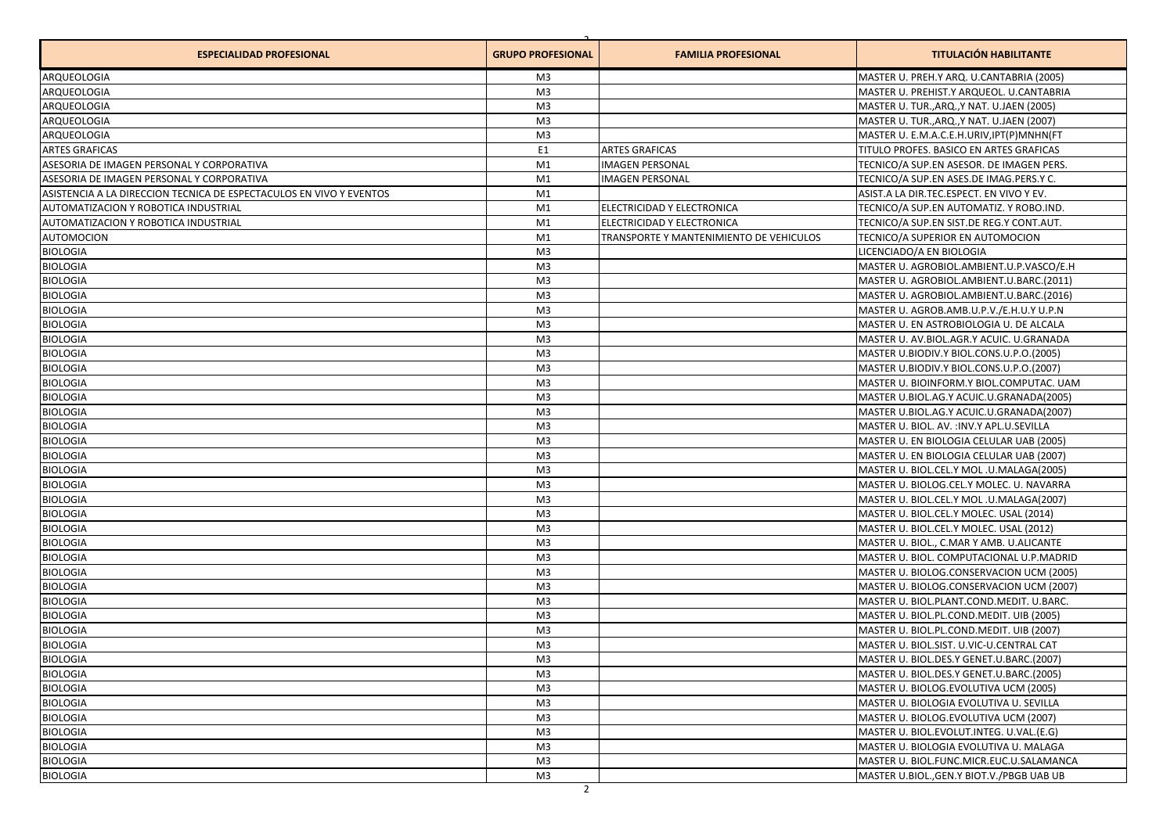| <b>ESPECIALIDAD PROFESIONAL</b>                                     | <b>GRUPO PROFESIONAL</b> | <b>FAMILIA PROFESIONAL</b>              | <b>TITULACIÓN HABILITANTE</b>              |
|---------------------------------------------------------------------|--------------------------|-----------------------------------------|--------------------------------------------|
| ARQUEOLOGIA                                                         | M3                       |                                         | MASTER U. PREH.Y ARQ. U.CANTABRIA (2005)   |
| ARQUEOLOGIA                                                         | M <sub>3</sub>           |                                         | MASTER U. PREHIST.Y ARQUEOL. U.CANTABRIA   |
| ARQUEOLOGIA                                                         | M <sub>3</sub>           |                                         | MASTER U. TUR., ARQ., Y NAT. U.JAEN (2005) |
| ARQUEOLOGIA                                                         | M <sub>3</sub>           |                                         | MASTER U. TUR., ARQ., Y NAT. U.JAEN (2007) |
| ARQUEOLOGIA                                                         | M <sub>3</sub>           |                                         | MASTER U. E.M.A.C.E.H.URIV, IPT(P) MNHN(FT |
| <b>ARTES GRAFICAS</b>                                               | E1                       | <b>ARTES GRAFICAS</b>                   | TITULO PROFES. BASICO EN ARTES GRAFICAS    |
| ASESORIA DE IMAGEN PERSONAL Y CORPORATIVA                           | M1                       | <b>IMAGEN PERSONAL</b>                  | TECNICO/A SUP.EN ASESOR. DE IMAGEN PERS.   |
| ASESORIA DE IMAGEN PERSONAL Y CORPORATIVA                           | M1                       | <b>IMAGEN PERSONAL</b>                  | TECNICO/A SUP.EN ASES.DE IMAG.PERS.Y C.    |
| ASISTENCIA A LA DIRECCION TECNICA DE ESPECTACULOS EN VIVO Y EVENTOS | M1                       |                                         | ASIST.A LA DIR.TEC.ESPECT. EN VIVO Y EV.   |
| AUTOMATIZACION Y ROBOTICA INDUSTRIAL                                | M1                       | ELECTRICIDAD Y ELECTRONICA              | TECNICO/A SUP.EN AUTOMATIZ. Y ROBO.IND.    |
| AUTOMATIZACION Y ROBOTICA INDUSTRIAL                                | M1                       | ELECTRICIDAD Y ELECTRONICA              | TECNICO/A SUP.EN SIST.DE REG.Y CONT.AUT.   |
| <b>AUTOMOCION</b>                                                   | M1                       | TRANSPORTE Y MANTENIMIENTO DE VEHICULOS | TECNICO/A SUPERIOR EN AUTOMOCION           |
| <b>BIOLOGIA</b>                                                     | M <sub>3</sub>           |                                         | LICENCIADO/A EN BIOLOGIA                   |
| <b>BIOLOGIA</b>                                                     | M3                       |                                         | MASTER U. AGROBIOL.AMBIENT.U.P.VASCO/E.H   |
| <b>BIOLOGIA</b>                                                     | M3                       |                                         | MASTER U. AGROBIOL.AMBIENT.U.BARC.(2011)   |
| <b>BIOLOGIA</b>                                                     | M <sub>3</sub>           |                                         | MASTER U. AGROBIOL.AMBIENT.U.BARC.(2016)   |
| <b>BIOLOGIA</b>                                                     | M <sub>3</sub>           |                                         | MASTER U. AGROB.AMB.U.P.V./E.H.U.Y U.P.N   |
| <b>BIOLOGIA</b>                                                     | M3                       |                                         | MASTER U. EN ASTROBIOLOGIA U. DE ALCALA    |
| <b>BIOLOGIA</b>                                                     | M3                       |                                         | MASTER U. AV.BIOL.AGR.Y ACUIC. U.GRANADA   |
| <b>BIOLOGIA</b>                                                     | M <sub>3</sub>           |                                         | MASTER U.BIODIV.Y BIOL.CONS.U.P.O.(2005)   |
| <b>BIOLOGIA</b>                                                     | M3                       |                                         | MASTER U.BIODIV.Y BIOL.CONS.U.P.O.(2007)   |
| <b>BIOLOGIA</b>                                                     | M <sub>3</sub>           |                                         | MASTER U. BIOINFORM.Y BIOL.COMPUTAC. UAM   |
| <b>BIOLOGIA</b>                                                     | M3                       |                                         | MASTER U.BIOL.AG.Y ACUIC.U.GRANADA(2005)   |
| <b>BIOLOGIA</b>                                                     | M <sub>3</sub>           |                                         | MASTER U.BIOL.AG.Y ACUIC.U.GRANADA(2007)   |
| <b>BIOLOGIA</b>                                                     | M <sub>3</sub>           |                                         | MASTER U. BIOL. AV. : INV.Y APL.U.SEVILLA  |
| <b>BIOLOGIA</b>                                                     | M <sub>3</sub>           |                                         | MASTER U. EN BIOLOGIA CELULAR UAB (2005)   |
| <b>BIOLOGIA</b>                                                     | M <sub>3</sub>           |                                         | MASTER U. EN BIOLOGIA CELULAR UAB (2007)   |
| <b>BIOLOGIA</b>                                                     | M <sub>3</sub>           |                                         | MASTER U. BIOL.CEL.Y MOL .U.MALAGA(2005)   |
| <b>BIOLOGIA</b>                                                     | M <sub>3</sub>           |                                         | MASTER U. BIOLOG.CEL.Y MOLEC. U. NAVARRA   |
| <b>BIOLOGIA</b>                                                     | M <sub>3</sub>           |                                         | MASTER U. BIOL.CEL.Y MOL .U.MALAGA(2007)   |
| <b>BIOLOGIA</b>                                                     | M <sub>3</sub>           |                                         | MASTER U. BIOL.CEL.Y MOLEC. USAL (2014)    |
| <b>BIOLOGIA</b>                                                     | M <sub>3</sub>           |                                         | MASTER U. BIOL.CEL.Y MOLEC. USAL (2012)    |
| <b>BIOLOGIA</b>                                                     | M <sub>3</sub>           |                                         | MASTER U. BIOL., C.MAR Y AMB. U.ALICANTE   |
| <b>BIOLOGIA</b>                                                     | M <sub>3</sub>           |                                         | MASTER U. BIOL. COMPUTACIONAL U.P.MADRID   |
| <b>BIOLOGIA</b>                                                     | M <sub>3</sub>           |                                         | MASTER U. BIOLOG.CONSERVACION UCM (2005)   |
| <b>BIOLOGIA</b>                                                     | M <sub>3</sub>           |                                         | MASTER U. BIOLOG.CONSERVACION UCM (2007)   |
| <b>BIOLOGIA</b>                                                     | M <sub>3</sub>           |                                         | MASTER U. BIOL.PLANT.COND.MEDIT. U.BARC.   |
| <b>BIOLOGIA</b>                                                     | M3                       |                                         | MASTER U. BIOL.PL.COND.MEDIT. UIB (2005)   |
| <b>BIOLOGIA</b>                                                     | M <sub>3</sub>           |                                         | MASTER U. BIOL.PL.COND.MEDIT. UIB (2007)   |
| <b>BIOLOGIA</b>                                                     | M <sub>3</sub>           |                                         | MASTER U. BIOL.SIST. U.VIC-U.CENTRAL CAT   |
| <b>BIOLOGIA</b>                                                     | M3                       |                                         | MASTER U. BIOL.DES.Y GENET.U.BARC.(2007)   |
| <b>BIOLOGIA</b>                                                     | M3                       |                                         | MASTER U. BIOL.DES.Y GENET.U.BARC.(2005)   |
| <b>BIOLOGIA</b>                                                     | M <sub>3</sub>           |                                         | MASTER U. BIOLOG.EVOLUTIVA UCM (2005)      |
| <b>BIOLOGIA</b>                                                     | M <sub>3</sub>           |                                         | MASTER U. BIOLOGIA EVOLUTIVA U. SEVILLA    |
| <b>BIOLOGIA</b>                                                     | M3                       |                                         | MASTER U. BIOLOG.EVOLUTIVA UCM (2007)      |
| <b>BIOLOGIA</b>                                                     | M3                       |                                         | MASTER U. BIOL.EVOLUT.INTEG. U.VAL.(E.G)   |
| <b>BIOLOGIA</b>                                                     | M <sub>3</sub>           |                                         | MASTER U. BIOLOGIA EVOLUTIVA U. MALAGA     |
| <b>BIOLOGIA</b>                                                     | M <sub>3</sub>           |                                         | MASTER U. BIOL.FUNC.MICR.EUC.U.SALAMANCA   |
| <b>BIOLOGIA</b>                                                     | M3                       |                                         | MASTER U.BIOL., GEN.Y BIOT.V./PBGB UAB UB  |
|                                                                     | $\overline{2}$           |                                         |                                            |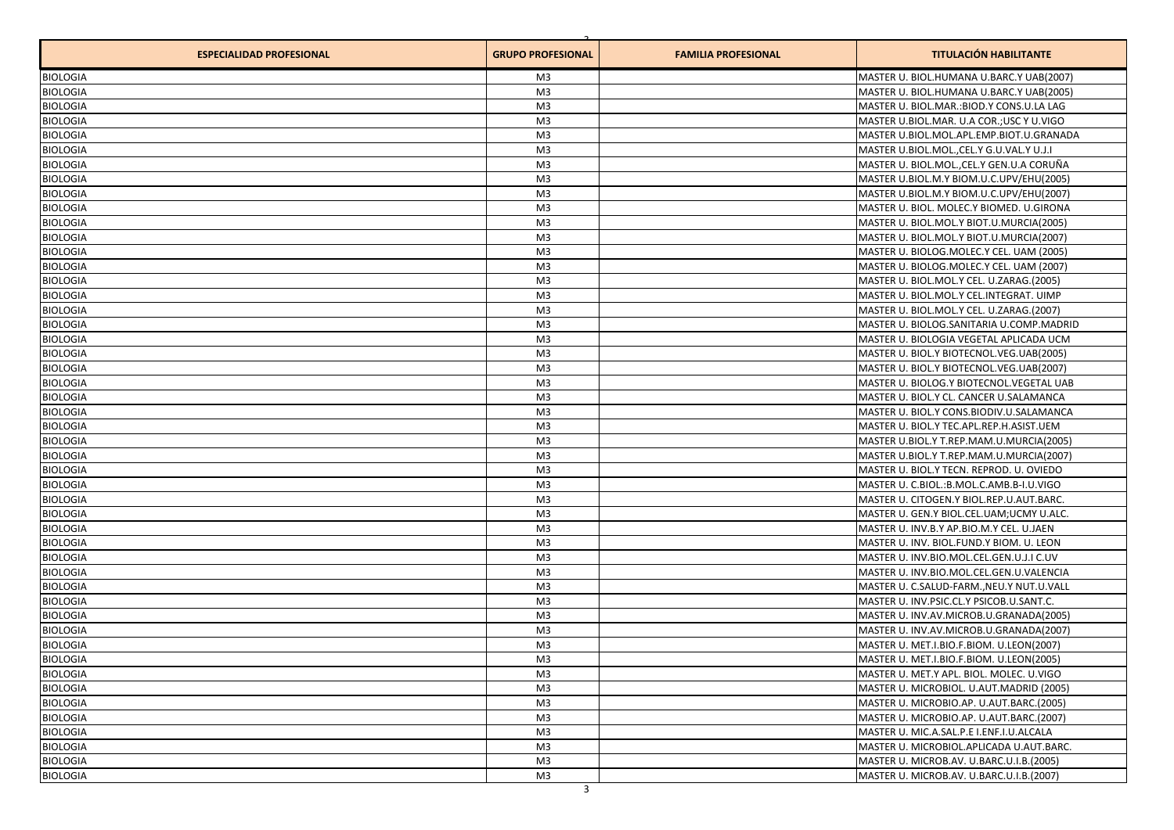| <b>ESPECIALIDAD PROFESIONAL</b> | <b>GRUPO PROFESIONAL</b> | <b>FAMILIA PROFESIONAL</b> | <b>TITULACIÓN HABILITANTE</b>             |
|---------------------------------|--------------------------|----------------------------|-------------------------------------------|
| <b>BIOLOGIA</b>                 | M3                       |                            | MASTER U. BIOL.HUMANA U.BARC.Y UAB(2007)  |
| <b>BIOLOGIA</b>                 | M3                       |                            | MASTER U. BIOL.HUMANA U.BARC.Y UAB(2005)  |
| <b>BIOLOGIA</b>                 | M3                       |                            | MASTER U. BIOL.MAR.: BIOD.Y CONS.U.LA LAG |
| <b>BIOLOGIA</b>                 | M <sub>3</sub>           |                            | MASTER U.BIOL.MAR. U.A COR.; USC Y U.VIGO |
| <b>BIOLOGIA</b>                 | M <sub>3</sub>           |                            | MASTER U.BIOL.MOL.APL.EMP.BIOT.U.GRANADA  |
| <b>BIOLOGIA</b>                 | M <sub>3</sub>           |                            | MASTER U.BIOL.MOL., CEL.Y G.U.VAL.Y U.J.I |
| <b>BIOLOGIA</b>                 | M <sub>3</sub>           |                            | MASTER U. BIOL.MOL., CEL.Y GEN.U.A CORUÑA |
| <b>BIOLOGIA</b>                 | M <sub>3</sub>           |                            | MASTER U.BIOL.M.Y BIOM.U.C.UPV/EHU(2005)  |
| <b>BIOLOGIA</b>                 | M3                       |                            | MASTER U.BIOL.M.Y BIOM.U.C.UPV/EHU(2007)  |
| <b>BIOLOGIA</b>                 | M3                       |                            | MASTER U. BIOL. MOLEC.Y BIOMED. U.GIRONA  |
| <b>BIOLOGIA</b>                 | M3                       |                            | MASTER U. BIOL.MOL.Y BIOT.U.MURCIA(2005)  |
| <b>BIOLOGIA</b>                 | M3                       |                            | MASTER U. BIOL.MOL.Y BIOT.U.MURCIA(2007)  |
| <b>BIOLOGIA</b>                 | M3                       |                            | MASTER U. BIOLOG.MOLEC.Y CEL. UAM (2005)  |
| <b>BIOLOGIA</b>                 | M3                       |                            | MASTER U. BIOLOG.MOLEC.Y CEL. UAM (2007)  |
| <b>BIOLOGIA</b>                 | M3                       |                            | MASTER U. BIOL.MOL.Y CEL. U.ZARAG.(2005)  |
| <b>BIOLOGIA</b>                 | M3                       |                            | MASTER U. BIOL.MOL.Y CEL.INTEGRAT. UIMP   |
| <b>BIOLOGIA</b>                 | M3                       |                            | MASTER U. BIOL.MOL.Y CEL. U.ZARAG.(2007)  |
| <b>BIOLOGIA</b>                 | M3                       |                            | MASTER U. BIOLOG.SANITARIA U.COMP.MADRID  |
| <b>BIOLOGIA</b>                 | M3                       |                            | MASTER U. BIOLOGIA VEGETAL APLICADA UCM   |
| <b>BIOLOGIA</b>                 | M3                       |                            | MASTER U. BIOL.Y BIOTECNOL.VEG.UAB(2005)  |
| <b>BIOLOGIA</b>                 | M3                       |                            | MASTER U. BIOL.Y BIOTECNOL.VEG.UAB(2007)  |
| <b>BIOLOGIA</b>                 | M3                       |                            | MASTER U. BIOLOG.Y BIOTECNOL.VEGETAL UAB  |
| <b>BIOLOGIA</b>                 | M3                       |                            | MASTER U. BIOL.Y CL. CANCER U.SALAMANCA   |
| <b>BIOLOGIA</b>                 | M3                       |                            | MASTER U. BIOL.Y CONS.BIODIV.U.SALAMANCA  |
| <b>BIOLOGIA</b>                 | M <sub>3</sub>           |                            | MASTER U. BIOL.Y TEC.APL.REP.H.ASIST.UEM  |
| <b>BIOLOGIA</b>                 | M3                       |                            | MASTER U.BIOL.Y T.REP.MAM.U.MURCIA(2005)  |
| <b>BIOLOGIA</b>                 | M <sub>3</sub>           |                            | MASTER U.BIOL.Y T.REP.MAM.U.MURCIA(2007)  |
| <b>BIOLOGIA</b>                 | M <sub>3</sub>           |                            | MASTER U. BIOL.Y TECN. REPROD. U. OVIEDO  |
| <b>BIOLOGIA</b>                 | M <sub>3</sub>           |                            | MASTER U. C.BIOL.: B.MOL.C.AMB.B-I.U.VIGO |
| <b>BIOLOGIA</b>                 | M <sub>3</sub>           |                            | MASTER U. CITOGEN.Y BIOL.REP.U.AUT.BARC.  |
| <b>BIOLOGIA</b>                 | M <sub>3</sub>           |                            | MASTER U. GEN.Y BIOL.CEL.UAM; UCMY U.ALC. |
| <b>BIOLOGIA</b>                 | M <sub>3</sub>           |                            | MASTER U. INV.B.Y AP.BIO.M.Y CEL. U.JAEN  |
| <b>BIOLOGIA</b>                 | M <sub>3</sub>           |                            | MASTER U. INV. BIOL.FUND.Y BIOM. U. LEON  |
| <b>BIOLOGIA</b>                 | M <sub>3</sub>           |                            | MASTER U. INV.BIO.MOL.CEL.GEN.U.J.I C.UV  |
| <b>BIOLOGIA</b>                 | M3                       |                            | MASTER U. INV.BIO.MOL.CEL.GEN.U.VALENCIA  |
| <b>BIOLOGIA</b>                 | M3                       |                            | MASTER U. C.SALUD-FARMNEU.Y NUT.U.VALL    |
| <b>BIOLOGIA</b>                 | M3                       |                            | MASTER U. INV.PSIC.CL.Y PSICOB.U.SANT.C.  |
| <b>BIOLOGIA</b>                 | M3                       |                            | MASTER U. INV.AV.MICROB.U.GRANADA(2005)   |
| <b>BIOLOGIA</b>                 | M3                       |                            | MASTER U. INV.AV.MICROB.U.GRANADA(2007)   |
| <b>BIOLOGIA</b>                 | M3                       |                            | MASTER U. MET.I.BIO.F.BIOM. U.LEON(2007)  |
| <b>BIOLOGIA</b>                 | M3                       |                            | MASTER U. MET.I.BIO.F.BIOM. U.LEON(2005)  |
| <b>BIOLOGIA</b>                 | M3                       |                            | MASTER U. MET.Y APL. BIOL. MOLEC. U.VIGO  |
| <b>BIOLOGIA</b>                 | M <sub>3</sub>           |                            | MASTER U. MICROBIOL. U.AUT.MADRID (2005)  |
| <b>BIOLOGIA</b>                 | M <sub>3</sub>           |                            | MASTER U. MICROBIO.AP. U.AUT.BARC.(2005)  |
| <b>BIOLOGIA</b>                 | M3                       |                            | MASTER U. MICROBIO.AP. U.AUT.BARC.(2007)  |
| <b>BIOLOGIA</b>                 | M3                       |                            | MASTER U. MIC.A.SAL.P.E I.ENF.I.U.ALCALA  |
| <b>BIOLOGIA</b>                 | M <sub>3</sub>           |                            | MASTER U. MICROBIOL.APLICADA U.AUT.BARC.  |
| <b>BIOLOGIA</b>                 | M <sub>3</sub>           |                            | MASTER U. MICROB.AV. U.BARC.U.I.B.(2005)  |
| <b>BIOLOGIA</b>                 | M3                       |                            | MASTER U. MICROB.AV. U.BARC.U.I.B.(2007)  |
|                                 |                          |                            |                                           |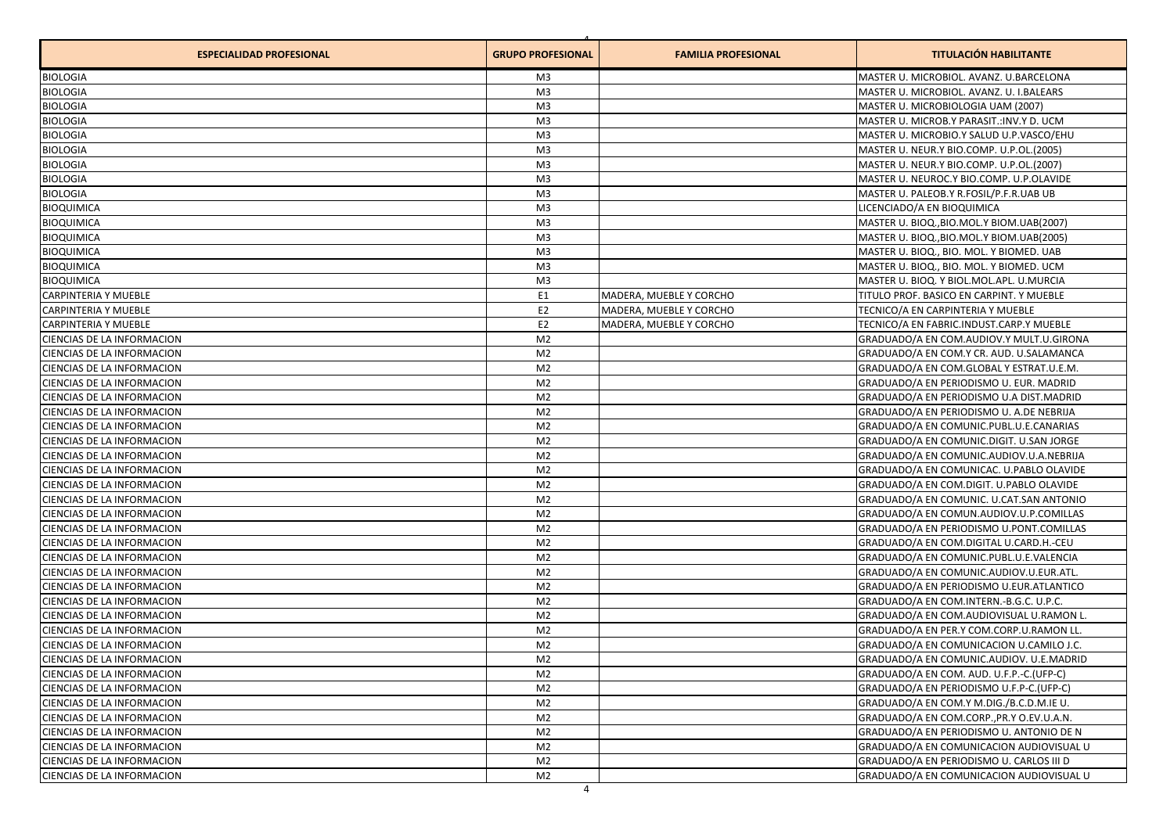| <b>ESPECIALIDAD PROFESIONAL</b> | <b>GRUPO PROFESIONAL</b> | <b>FAMILIA PROFESIONAL</b> | <b>TITULACIÓN HABILITANTE</b>                |
|---------------------------------|--------------------------|----------------------------|----------------------------------------------|
| <b>BIOLOGIA</b>                 | M3                       |                            | MASTER U. MICROBIOL. AVANZ. U.BARCELONA      |
| <b>BIOLOGIA</b>                 | M <sub>3</sub>           |                            | MASTER U. MICROBIOL. AVANZ. U. I.BALEARS     |
| <b>BIOLOGIA</b>                 | M <sub>3</sub>           |                            | MASTER U. MICROBIOLOGIA UAM (2007)           |
| <b>BIOLOGIA</b>                 | M <sub>3</sub>           |                            | MASTER U. MICROB.Y PARASIT.: INV.Y D. UCM    |
| <b>BIOLOGIA</b>                 | M <sub>3</sub>           |                            | MASTER U. MICROBIO.Y SALUD U.P.VASCO/EHU     |
| <b>BIOLOGIA</b>                 | M <sub>3</sub>           |                            | MASTER U. NEUR.Y BIO.COMP. U.P.OL.(2005)     |
| <b>BIOLOGIA</b>                 | M <sub>3</sub>           |                            | MASTER U. NEUR.Y BIO.COMP. U.P.OL.(2007)     |
| <b>BIOLOGIA</b>                 | M <sub>3</sub>           |                            | MASTER U. NEUROC.Y BIO.COMP. U.P.OLAVIDE     |
| <b>BIOLOGIA</b>                 | M <sub>3</sub>           |                            | MASTER U. PALEOB.Y R.FOSIL/P.F.R.UAB UB      |
| <b>BIOQUIMICA</b>               | M <sub>3</sub>           |                            | LICENCIADO/A EN BIOQUIMICA                   |
| <b>BIOQUIMICA</b>               | M3                       |                            | MASTER U. BIOQ., BIO. MOL. Y BIOM. UAB(2007) |
| <b>BIOQUIMICA</b>               | M <sub>3</sub>           |                            | MASTER U. BIOQ., BIO.MOL.Y BIOM.UAB(2005)    |
| <b>BIOQUIMICA</b>               | M <sub>3</sub>           |                            | MASTER U. BIOQ., BIO. MOL. Y BIOMED. UAB     |
| <b>BIOQUIMICA</b>               | M <sub>3</sub>           |                            | MASTER U. BIOQ., BIO. MOL. Y BIOMED. UCM     |
| <b>BIOQUIMICA</b>               | M <sub>3</sub>           |                            | MASTER U. BIOQ. Y BIOL.MOL.APL. U.MURCIA     |
| <b>CARPINTERIA Y MUEBLE</b>     | E <sub>1</sub>           | MADERA, MUEBLE Y CORCHO    | TITULO PROF. BASICO EN CARPINT. Y MUEBLE     |
| <b>CARPINTERIA Y MUEBLE</b>     | E <sub>2</sub>           | MADERA, MUEBLE Y CORCHO    | TECNICO/A EN CARPINTERIA Y MUEBLE            |
| <b>CARPINTERIA Y MUEBLE</b>     | E <sub>2</sub>           | MADERA, MUEBLE Y CORCHO    | TECNICO/A EN FABRIC.INDUST.CARP.Y MUEBLE     |
| CIENCIAS DE LA INFORMACION      | M <sub>2</sub>           |                            | GRADUADO/A EN COM.AUDIOV.Y MULT.U.GIRONA     |
| CIENCIAS DE LA INFORMACION      | M <sub>2</sub>           |                            | GRADUADO/A EN COM.Y CR. AUD. U.SALAMANCA     |
| CIENCIAS DE LA INFORMACION      | M <sub>2</sub>           |                            | GRADUADO/A EN COM.GLOBAL Y ESTRAT.U.E.M.     |
| CIENCIAS DE LA INFORMACION      | M <sub>2</sub>           |                            | GRADUADO/A EN PERIODISMO U. EUR. MADRID      |
| CIENCIAS DE LA INFORMACION      | M <sub>2</sub>           |                            | GRADUADO/A EN PERIODISMO U.A DIST.MADRID     |
| CIENCIAS DE LA INFORMACION      | M <sub>2</sub>           |                            | GRADUADO/A EN PERIODISMO U. A.DE NEBRIJA     |
| CIENCIAS DE LA INFORMACION      | M <sub>2</sub>           |                            | GRADUADO/A EN COMUNIC.PUBL.U.E.CANARIAS      |
| CIENCIAS DE LA INFORMACION      | M <sub>2</sub>           |                            | GRADUADO/A EN COMUNIC.DIGIT. U.SAN JORGE     |
| CIENCIAS DE LA INFORMACION      | M <sub>2</sub>           |                            | GRADUADO/A EN COMUNIC.AUDIOV.U.A.NEBRIJA     |
| CIENCIAS DE LA INFORMACION      | M <sub>2</sub>           |                            | GRADUADO/A EN COMUNICAC. U.PABLO OLAVIDE     |
| CIENCIAS DE LA INFORMACION      | M <sub>2</sub>           |                            | GRADUADO/A EN COM.DIGIT. U.PABLO OLAVIDE     |
| CIENCIAS DE LA INFORMACION      | M <sub>2</sub>           |                            | GRADUADO/A EN COMUNIC. U.CAT.SAN ANTONIO     |
| CIENCIAS DE LA INFORMACION      | M <sub>2</sub>           |                            | GRADUADO/A EN COMUN.AUDIOV.U.P.COMILLAS      |
| CIENCIAS DE LA INFORMACION      | M <sub>2</sub>           |                            | GRADUADO/A EN PERIODISMO U.PONT.COMILLAS     |
| CIENCIAS DE LA INFORMACION      | M <sub>2</sub>           |                            | GRADUADO/A EN COM.DIGITAL U.CARD.H.-CEU      |
| CIENCIAS DE LA INFORMACION      | M <sub>2</sub>           |                            | GRADUADO/A EN COMUNIC.PUBL.U.E.VALENCIA      |
| CIENCIAS DE LA INFORMACION      | M <sub>2</sub>           |                            | GRADUADO/A EN COMUNIC.AUDIOV.U.EUR.ATL.      |
| CIENCIAS DE LA INFORMACION      | M <sub>2</sub>           |                            | GRADUADO/A EN PERIODISMO U.EUR.ATLANTICO     |
| CIENCIAS DE LA INFORMACION      | M <sub>2</sub>           |                            | GRADUADO/A EN COM.INTERN.-B.G.C. U.P.C.      |
| CIENCIAS DE LA INFORMACION      | M <sub>2</sub>           |                            | GRADUADO/A EN COM.AUDIOVISUAL U.RAMON L.     |
| CIENCIAS DE LA INFORMACION      | M <sub>2</sub>           |                            | GRADUADO/A EN PER.Y COM.CORP.U.RAMON LL.     |
| CIENCIAS DE LA INFORMACION      | M <sub>2</sub>           |                            | GRADUADO/A EN COMUNICACION U.CAMILO J.C.     |
| CIENCIAS DE LA INFORMACION      | M <sub>2</sub>           |                            | GRADUADO/A EN COMUNIC.AUDIOV. U.E.MADRID     |
| CIENCIAS DE LA INFORMACION      | M <sub>2</sub>           |                            | GRADUADO/A EN COM. AUD. U.F.P.-C. (UFP-C)    |
| CIENCIAS DE LA INFORMACION      | M <sub>2</sub>           |                            | GRADUADO/A EN PERIODISMO U.F.P-C.(UFP-C)     |
| CIENCIAS DE LA INFORMACION      | M <sub>2</sub>           |                            | GRADUADO/A EN COM.Y M.DIG./B.C.D.M.IE U.     |
| CIENCIAS DE LA INFORMACION      | M <sub>2</sub>           |                            | GRADUADO/A EN COM.CORP., PR.Y O.EV.U.A.N.    |
| CIENCIAS DE LA INFORMACION      | M <sub>2</sub>           |                            | GRADUADO/A EN PERIODISMO U. ANTONIO DE N     |
| CIENCIAS DE LA INFORMACION      | M <sub>2</sub>           |                            | GRADUADO/A EN COMUNICACION AUDIOVISUAL U     |
| CIENCIAS DE LA INFORMACION      | M <sub>2</sub>           |                            | GRADUADO/A EN PERIODISMO U. CARLOS III D     |
| CIENCIAS DE LA INFORMACION      | M <sub>2</sub>           |                            | GRADUADO/A EN COMUNICACION AUDIOVISUAL U     |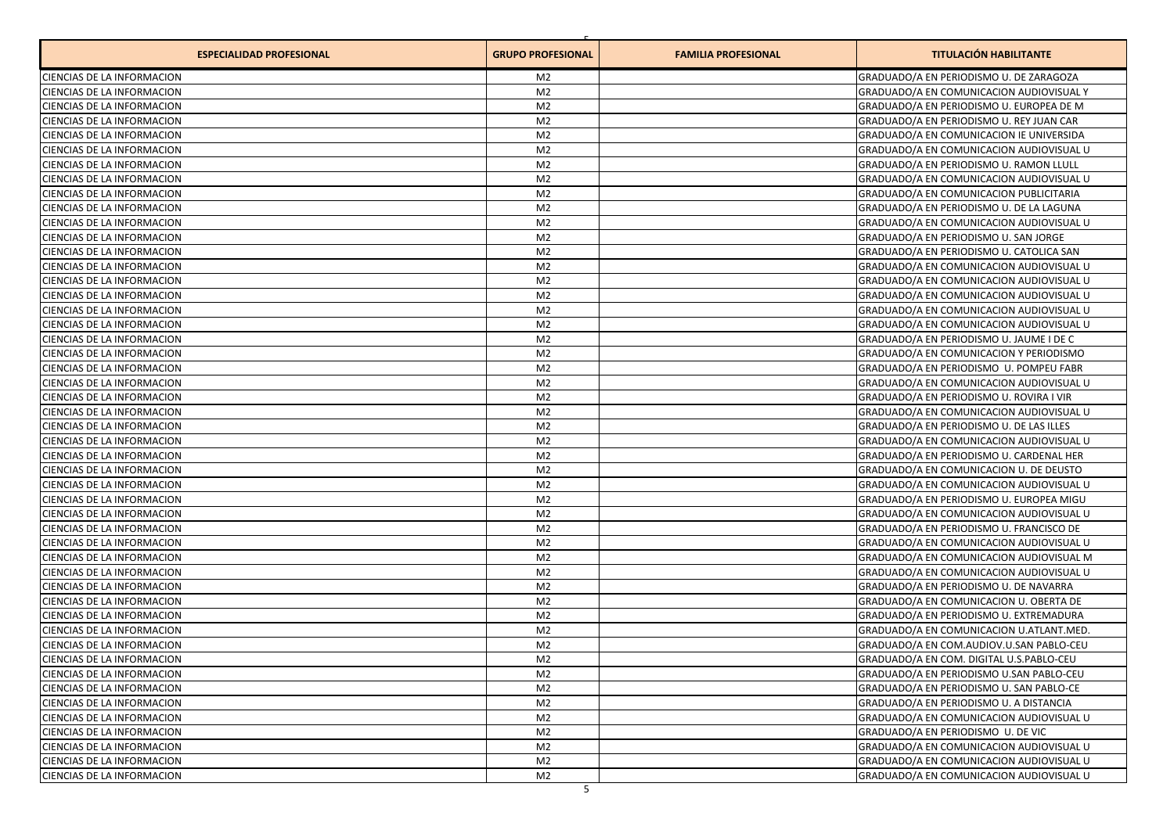| <b>ESPECIALIDAD PROFESIONAL</b>                          | <b>GRUPO PROFESIONAL</b> | <b>FAMILIA PROFESIONAL</b> | <b>TITULACIÓN HABILITANTE</b>                                                        |
|----------------------------------------------------------|--------------------------|----------------------------|--------------------------------------------------------------------------------------|
| CIENCIAS DE LA INFORMACION                               | M2                       |                            | GRADUADO/A EN PERIODISMO U. DE ZARAGOZA                                              |
| CIENCIAS DE LA INFORMACION                               | M <sub>2</sub>           |                            | GRADUADO/A EN COMUNICACION AUDIOVISUAL Y                                             |
| CIENCIAS DE LA INFORMACION                               | M <sub>2</sub>           |                            | GRADUADO/A EN PERIODISMO U. EUROPEA DE M                                             |
| CIENCIAS DE LA INFORMACION                               | M <sub>2</sub>           |                            | GRADUADO/A EN PERIODISMO U. REY JUAN CAR                                             |
| CIENCIAS DE LA INFORMACION                               | M <sub>2</sub>           |                            | GRADUADO/A EN COMUNICACION IE UNIVERSIDA                                             |
| CIENCIAS DE LA INFORMACION                               | M <sub>2</sub>           |                            | GRADUADO/A EN COMUNICACION AUDIOVISUAL U                                             |
| CIENCIAS DE LA INFORMACION                               | M <sub>2</sub>           |                            | GRADUADO/A EN PERIODISMO U. RAMON LLULL                                              |
| <b>CIENCIAS DE LA INFORMACION</b>                        | M <sub>2</sub>           |                            | GRADUADO/A EN COMUNICACION AUDIOVISUAL U                                             |
| CIENCIAS DE LA INFORMACION                               | M <sub>2</sub>           |                            | <b>GRADUADO/A EN COMUNICACION PUBLICITARIA</b>                                       |
| <b>CIENCIAS DE LA INFORMACION</b>                        | M <sub>2</sub>           |                            | GRADUADO/A EN PERIODISMO U. DE LA LAGUNA                                             |
| CIENCIAS DE LA INFORMACION                               | M <sub>2</sub>           |                            | GRADUADO/A EN COMUNICACION AUDIOVISUAL U                                             |
| CIENCIAS DE LA INFORMACION                               | M <sub>2</sub>           |                            | GRADUADO/A EN PERIODISMO U. SAN JORGE                                                |
| CIENCIAS DE LA INFORMACION                               | M <sub>2</sub>           |                            | GRADUADO/A EN PERIODISMO U. CATOLICA SAN                                             |
| CIENCIAS DE LA INFORMACION                               | M <sub>2</sub>           |                            | GRADUADO/A EN COMUNICACION AUDIOVISUAL U                                             |
| CIENCIAS DE LA INFORMACION                               | M <sub>2</sub>           |                            | GRADUADO/A EN COMUNICACION AUDIOVISUAL U                                             |
| CIENCIAS DE LA INFORMACION                               | M <sub>2</sub>           |                            | GRADUADO/A EN COMUNICACION AUDIOVISUAL U                                             |
| CIENCIAS DE LA INFORMACION                               | M <sub>2</sub>           |                            | GRADUADO/A EN COMUNICACION AUDIOVISUAL U                                             |
| CIENCIAS DE LA INFORMACION                               | M <sub>2</sub>           |                            | GRADUADO/A EN COMUNICACION AUDIOVISUAL U                                             |
| CIENCIAS DE LA INFORMACION                               | M <sub>2</sub>           |                            | GRADUADO/A EN PERIODISMO U. JAUME I DE C                                             |
| CIENCIAS DE LA INFORMACION                               | M <sub>2</sub>           |                            | GRADUADO/A EN COMUNICACION Y PERIODISMO                                              |
| CIENCIAS DE LA INFORMACION                               | M <sub>2</sub>           |                            | GRADUADO/A EN PERIODISMO U. POMPEU FABR                                              |
| CIENCIAS DE LA INFORMACION                               | M <sub>2</sub>           |                            | GRADUADO/A EN COMUNICACION AUDIOVISUAL U                                             |
| CIENCIAS DE LA INFORMACION                               | M <sub>2</sub>           |                            | GRADUADO/A EN PERIODISMO U. ROVIRA I VIR                                             |
| CIENCIAS DE LA INFORMACION                               | M <sub>2</sub>           |                            |                                                                                      |
| CIENCIAS DE LA INFORMACION                               | M <sub>2</sub>           |                            | GRADUADO/A EN COMUNICACION AUDIOVISUAL U<br>GRADUADO/A EN PERIODISMO U. DE LAS ILLES |
| CIENCIAS DE LA INFORMACION                               | M <sub>2</sub>           |                            | GRADUADO/A EN COMUNICACION AUDIOVISUAL U                                             |
| CIENCIAS DE LA INFORMACION                               | M <sub>2</sub>           |                            | GRADUADO/A EN PERIODISMO U. CARDENAL HER                                             |
| CIENCIAS DE LA INFORMACION                               | M <sub>2</sub>           |                            | GRADUADO/A EN COMUNICACION U. DE DEUSTO                                              |
| CIENCIAS DE LA INFORMACION                               | M <sub>2</sub>           |                            | GRADUADO/A EN COMUNICACION AUDIOVISUAL U                                             |
| CIENCIAS DE LA INFORMACION                               | M <sub>2</sub>           |                            | GRADUADO/A EN PERIODISMO U. EUROPEA MIGU                                             |
| CIENCIAS DE LA INFORMACION                               | M <sub>2</sub>           |                            | GRADUADO/A EN COMUNICACION AUDIOVISUAL U                                             |
| CIENCIAS DE LA INFORMACION                               | M <sub>2</sub>           |                            | GRADUADO/A EN PERIODISMO U. FRANCISCO DE                                             |
| CIENCIAS DE LA INFORMACION                               | M <sub>2</sub>           |                            | GRADUADO/A EN COMUNICACION AUDIOVISUAL U                                             |
| CIENCIAS DE LA INFORMACION                               | M <sub>2</sub>           |                            | GRADUADO/A EN COMUNICACION AUDIOVISUAL M                                             |
| CIENCIAS DE LA INFORMACION                               | M <sub>2</sub>           |                            | GRADUADO/A EN COMUNICACION AUDIOVISUAL U                                             |
| CIENCIAS DE LA INFORMACION                               | M <sub>2</sub>           |                            | GRADUADO/A EN PERIODISMO U. DE NAVARRA                                               |
| <b>CIENCIAS DE LA INFORMACION</b>                        | M <sub>2</sub>           |                            | GRADUADO/A EN COMUNICACION U. OBERTA DE                                              |
| CIENCIAS DE LA INFORMACION                               | M <sub>2</sub>           |                            | GRADUADO/A EN PERIODISMO U. EXTREMADURA                                              |
| CIENCIAS DE LA INFORMACION                               | M <sub>2</sub>           |                            | GRADUADO/A EN COMUNICACION U.ATLANT.MED.                                             |
| CIENCIAS DE LA INFORMACION                               | M <sub>2</sub>           |                            | GRADUADO/A EN COM.AUDIOV.U.SAN PABLO-CEU                                             |
| CIENCIAS DE LA INFORMACION                               | M2                       |                            | GRADUADO/A EN COM. DIGITAL U.S.PABLO-CEU                                             |
| CIENCIAS DE LA INFORMACION                               | M <sub>2</sub>           |                            | GRADUADO/A EN PERIODISMO U.SAN PABLO-CEU                                             |
| CIENCIAS DE LA INFORMACION                               | M <sub>2</sub>           |                            | GRADUADO/A EN PERIODISMO U. SAN PABLO-CE                                             |
|                                                          | M <sub>2</sub>           |                            |                                                                                      |
| CIENCIAS DE LA INFORMACION<br>CIENCIAS DE LA INFORMACION | M <sub>2</sub>           |                            | GRADUADO/A EN PERIODISMO U. A DISTANCIA<br>GRADUADO/A EN COMUNICACION AUDIOVISUAL U  |
| CIENCIAS DE LA INFORMACION                               | M <sub>2</sub>           |                            | GRADUADO/A EN PERIODISMO U. DE VIC                                                   |
| CIENCIAS DE LA INFORMACION                               | M <sub>2</sub>           |                            | GRADUADO/A EN COMUNICACION AUDIOVISUAL U                                             |
| CIENCIAS DE LA INFORMACION                               | M <sub>2</sub>           |                            | GRADUADO/A EN COMUNICACION AUDIOVISUAL U                                             |
| CIENCIAS DE LA INFORMACION                               | M <sub>2</sub>           |                            | GRADUADO/A EN COMUNICACION AUDIOVISUAL U                                             |
|                                                          |                          |                            |                                                                                      |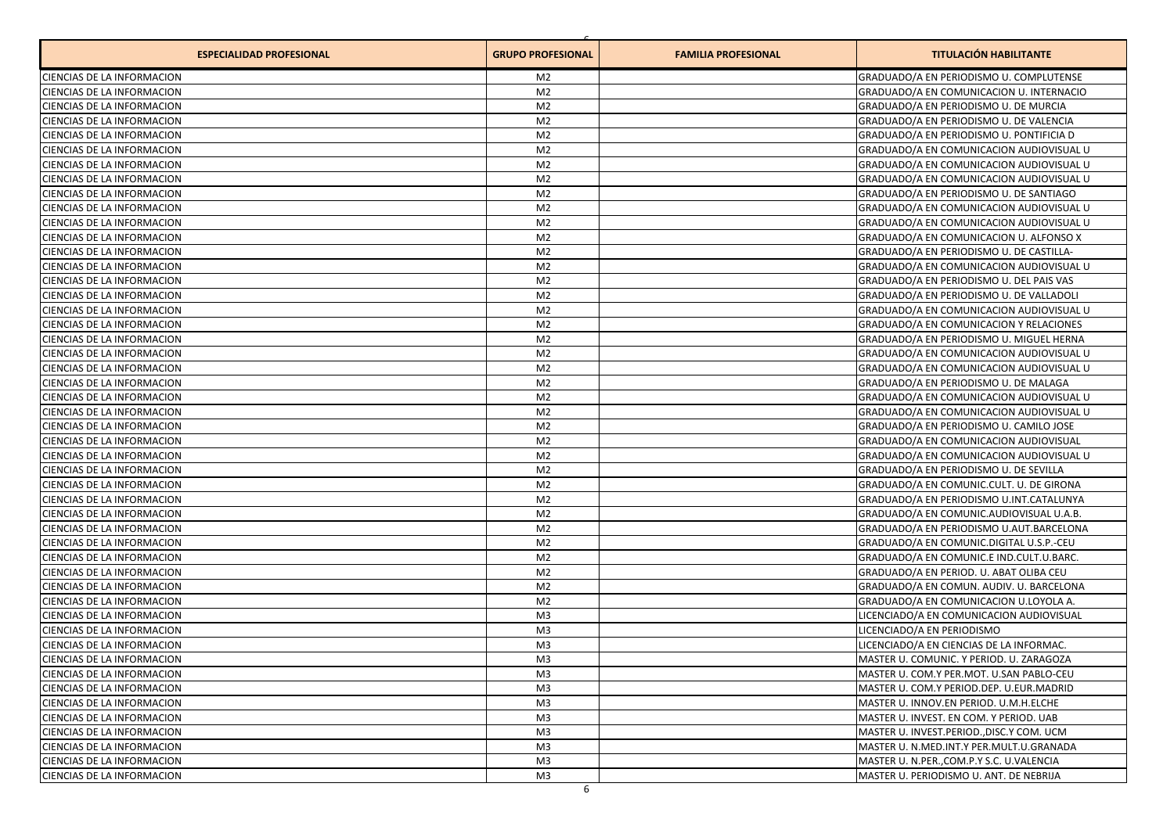| <b>ESPECIALIDAD PROFESIONAL</b>   | <b>GRUPO PROFESIONAL</b> | <b>FAMILIA PROFESIONAL</b> | <b>TITULACIÓN HABILITANTE</b>             |
|-----------------------------------|--------------------------|----------------------------|-------------------------------------------|
| CIENCIAS DE LA INFORMACION        | M2                       |                            | GRADUADO/A EN PERIODISMO U. COMPLUTENSE   |
| CIENCIAS DE LA INFORMACION        | M <sub>2</sub>           |                            | GRADUADO/A EN COMUNICACION U. INTERNACIO  |
| CIENCIAS DE LA INFORMACION        | M <sub>2</sub>           |                            | GRADUADO/A EN PERIODISMO U. DE MURCIA     |
| CIENCIAS DE LA INFORMACION        | M <sub>2</sub>           |                            | GRADUADO/A EN PERIODISMO U. DE VALENCIA   |
| CIENCIAS DE LA INFORMACION        | M <sub>2</sub>           |                            | GRADUADO/A EN PERIODISMO U. PONTIFICIA D  |
| CIENCIAS DE LA INFORMACION        | M <sub>2</sub>           |                            | GRADUADO/A EN COMUNICACION AUDIOVISUAL U  |
| CIENCIAS DE LA INFORMACION        | M <sub>2</sub>           |                            | GRADUADO/A EN COMUNICACION AUDIOVISUAL U  |
| <b>CIENCIAS DE LA INFORMACION</b> | M <sub>2</sub>           |                            | GRADUADO/A EN COMUNICACION AUDIOVISUAL U  |
| CIENCIAS DE LA INFORMACION        | M <sub>2</sub>           |                            | GRADUADO/A EN PERIODISMO U. DE SANTIAGO   |
| CIENCIAS DE LA INFORMACION        | M <sub>2</sub>           |                            | GRADUADO/A EN COMUNICACION AUDIOVISUAL U  |
| CIENCIAS DE LA INFORMACION        | M <sub>2</sub>           |                            | GRADUADO/A EN COMUNICACION AUDIOVISUAL U  |
| CIENCIAS DE LA INFORMACION        | M <sub>2</sub>           |                            | GRADUADO/A EN COMUNICACION U. ALFONSO X   |
| CIENCIAS DE LA INFORMACION        | M <sub>2</sub>           |                            | GRADUADO/A EN PERIODISMO U. DE CASTILLA-  |
| CIENCIAS DE LA INFORMACION        | M <sub>2</sub>           |                            | GRADUADO/A EN COMUNICACION AUDIOVISUAL U  |
| CIENCIAS DE LA INFORMACION        | M <sub>2</sub>           |                            | GRADUADO/A EN PERIODISMO U. DEL PAIS VAS  |
| CIENCIAS DE LA INFORMACION        | M <sub>2</sub>           |                            | GRADUADO/A EN PERIODISMO U. DE VALLADOLI  |
| CIENCIAS DE LA INFORMACION        | M <sub>2</sub>           |                            | GRADUADO/A EN COMUNICACION AUDIOVISUAL U  |
| CIENCIAS DE LA INFORMACION        | M <sub>2</sub>           |                            | GRADUADO/A EN COMUNICACION Y RELACIONES   |
| CIENCIAS DE LA INFORMACION        | M <sub>2</sub>           |                            | GRADUADO/A EN PERIODISMO U. MIGUEL HERNA  |
| CIENCIAS DE LA INFORMACION        | M <sub>2</sub>           |                            | GRADUADO/A EN COMUNICACION AUDIOVISUAL U  |
| CIENCIAS DE LA INFORMACION        | M <sub>2</sub>           |                            | GRADUADO/A EN COMUNICACION AUDIOVISUAL U  |
| CIENCIAS DE LA INFORMACION        | M <sub>2</sub>           |                            | GRADUADO/A EN PERIODISMO U. DE MALAGA     |
| CIENCIAS DE LA INFORMACION        | M <sub>2</sub>           |                            | GRADUADO/A EN COMUNICACION AUDIOVISUAL U  |
| <b>CIENCIAS DE LA INFORMACION</b> | M <sub>2</sub>           |                            | GRADUADO/A EN COMUNICACION AUDIOVISUAL U  |
| CIENCIAS DE LA INFORMACION        | M <sub>2</sub>           |                            | GRADUADO/A EN PERIODISMO U. CAMILO JOSE   |
| CIENCIAS DE LA INFORMACION        | M <sub>2</sub>           |                            | GRADUADO/A EN COMUNICACION AUDIOVISUAL    |
| CIENCIAS DE LA INFORMACION        | M <sub>2</sub>           |                            | GRADUADO/A EN COMUNICACION AUDIOVISUAL U  |
| CIENCIAS DE LA INFORMACION        | M <sub>2</sub>           |                            | GRADUADO/A EN PERIODISMO U. DE SEVILLA    |
| CIENCIAS DE LA INFORMACION        | M <sub>2</sub>           |                            | GRADUADO/A EN COMUNIC.CULT. U. DE GIRONA  |
| CIENCIAS DE LA INFORMACION        | M <sub>2</sub>           |                            | GRADUADO/A EN PERIODISMO U.INT.CATALUNYA  |
| CIENCIAS DE LA INFORMACION        | M <sub>2</sub>           |                            | GRADUADO/A EN COMUNIC.AUDIOVISUAL U.A.B.  |
| CIENCIAS DE LA INFORMACION        | M <sub>2</sub>           |                            | GRADUADO/A EN PERIODISMO U.AUT.BARCELONA  |
| CIENCIAS DE LA INFORMACION        | M <sub>2</sub>           |                            | GRADUADO/A EN COMUNIC.DIGITAL U.S.P.-CEU  |
| CIENCIAS DE LA INFORMACION        | M <sub>2</sub>           |                            | GRADUADO/A EN COMUNIC.E IND.CULT.U.BARC.  |
| CIENCIAS DE LA INFORMACION        | M <sub>2</sub>           |                            | GRADUADO/A EN PERIOD. U. ABAT OLIBA CEU   |
| CIENCIAS DE LA INFORMACION        | M <sub>2</sub>           |                            | GRADUADO/A EN COMUN. AUDIV. U. BARCELONA  |
| CIENCIAS DE LA INFORMACION        | M <sub>2</sub>           |                            | GRADUADO/A EN COMUNICACION U.LOYOLA A.    |
| CIENCIAS DE LA INFORMACION        | M <sub>3</sub>           |                            | LICENCIADO/A EN COMUNICACION AUDIOVISUAL  |
| CIENCIAS DE LA INFORMACION        | M <sub>3</sub>           |                            | LICENCIADO/A EN PERIODISMO                |
| CIENCIAS DE LA INFORMACION        | M <sub>3</sub>           |                            | LICENCIADO/A EN CIENCIAS DE LA INFORMAC.  |
| CIENCIAS DE LA INFORMACION        | M3                       |                            | MASTER U. COMUNIC. Y PERIOD. U. ZARAGOZA  |
| CIENCIAS DE LA INFORMACION        | M <sub>3</sub>           |                            | MASTER U. COM.Y PER.MOT. U.SAN PABLO-CEU  |
| CIENCIAS DE LA INFORMACION        | M <sub>3</sub>           |                            | MASTER U. COM.Y PERIOD.DEP. U.EUR.MADRID  |
| CIENCIAS DE LA INFORMACION        | M <sub>3</sub>           |                            | MASTER U. INNOV.EN PERIOD. U.M.H.ELCHE    |
| CIENCIAS DE LA INFORMACION        | M <sub>3</sub>           |                            | MASTER U. INVEST. EN COM. Y PERIOD. UAB   |
| CIENCIAS DE LA INFORMACION        | M <sub>3</sub>           |                            | MASTER U. INVEST.PERIOD., DISC.Y COM. UCM |
| CIENCIAS DE LA INFORMACION        | M <sub>3</sub>           |                            | MASTER U. N.MED.INT.Y PER.MULT.U.GRANADA  |
| CIENCIAS DE LA INFORMACION        | M <sub>3</sub>           |                            | MASTER U. N.PER., COM.P.Y S.C. U.VALENCIA |
| CIENCIAS DE LA INFORMACION        | M3                       |                            | MASTER U. PERIODISMO U. ANT. DE NEBRIJA   |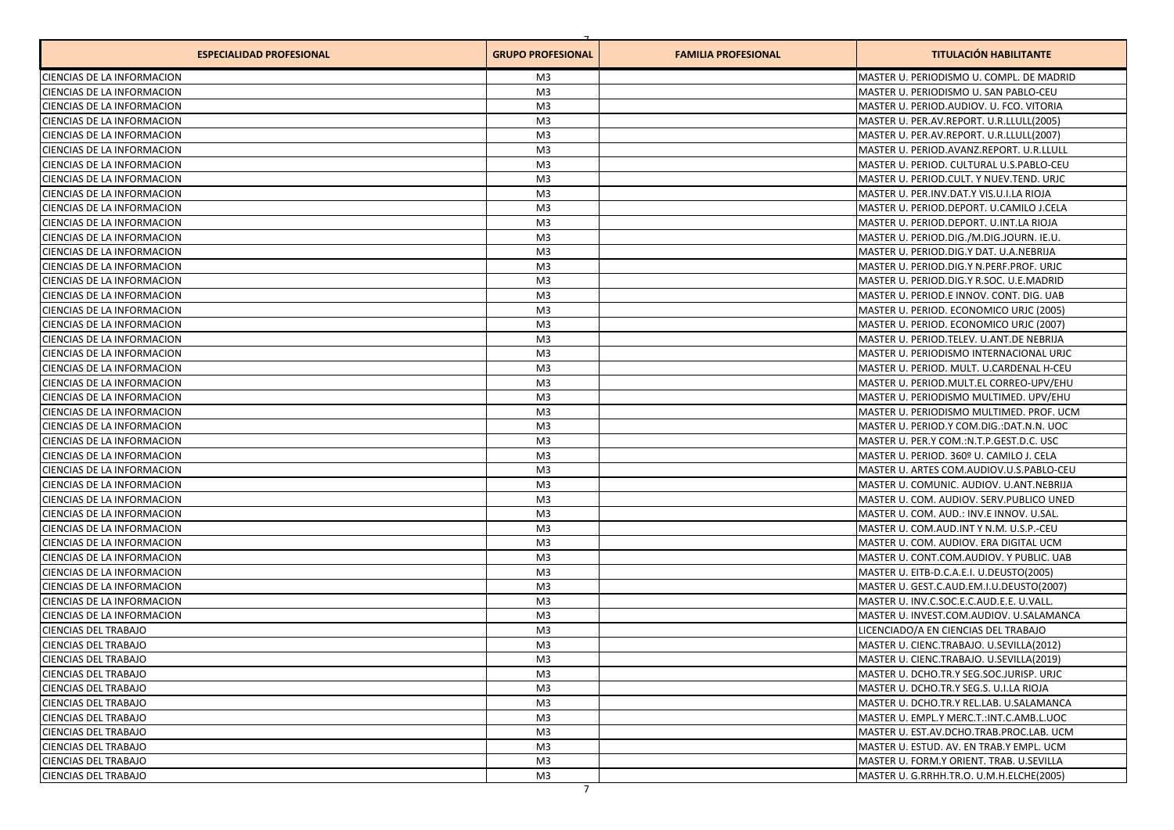| <b>ESPECIALIDAD PROFESIONAL</b>   | <b>GRUPO PROFESIONAL</b> | <b>FAMILIA PROFESIONAL</b> | <b>TITULACIÓN HABILITANTE</b>             |
|-----------------------------------|--------------------------|----------------------------|-------------------------------------------|
| CIENCIAS DE LA INFORMACION        | M3                       |                            | MASTER U. PERIODISMO U. COMPL. DE MADRID  |
| CIENCIAS DE LA INFORMACION        | M <sub>3</sub>           |                            | MASTER U. PERIODISMO U. SAN PABLO-CEU     |
| CIENCIAS DE LA INFORMACION        | M <sub>3</sub>           |                            | MASTER U. PERIOD.AUDIOV. U. FCO. VITORIA  |
| CIENCIAS DE LA INFORMACION        | M <sub>3</sub>           |                            | MASTER U. PER.AV.REPORT. U.R.LLULL(2005)  |
| CIENCIAS DE LA INFORMACION        | M <sub>3</sub>           |                            | MASTER U. PER.AV.REPORT. U.R.LLULL(2007)  |
| CIENCIAS DE LA INFORMACION        | M <sub>3</sub>           |                            | MASTER U. PERIOD.AVANZ.REPORT. U.R.LLULL  |
| CIENCIAS DE LA INFORMACION        | M <sub>3</sub>           |                            | MASTER U. PERIOD. CULTURAL U.S.PABLO-CEU  |
| CIENCIAS DE LA INFORMACION        | M <sub>3</sub>           |                            | MASTER U. PERIOD.CULT. Y NUEV.TEND. URJC  |
| CIENCIAS DE LA INFORMACION        | M <sub>3</sub>           |                            | MASTER U. PER.INV.DAT.Y VIS.U.I.LA RIOJA  |
| CIENCIAS DE LA INFORMACION        | M <sub>3</sub>           |                            | MASTER U. PERIOD.DEPORT. U.CAMILO J.CELA  |
| CIENCIAS DE LA INFORMACION        | M3                       |                            | MASTER U. PERIOD.DEPORT. U.INT.LA RIOJA   |
| CIENCIAS DE LA INFORMACION        | M <sub>3</sub>           |                            | MASTER U. PERIOD.DIG./M.DIG.JOURN. IE.U.  |
| CIENCIAS DE LA INFORMACION        | M <sub>3</sub>           |                            | MASTER U. PERIOD.DIG.Y DAT. U.A.NEBRIJA   |
| CIENCIAS DE LA INFORMACION        | M3                       |                            | MASTER U. PERIOD.DIG.Y N.PERF.PROF. URJC  |
| CIENCIAS DE LA INFORMACION        | M3                       |                            | MASTER U. PERIOD.DIG.Y R.SOC. U.E.MADRID  |
| CIENCIAS DE LA INFORMACION        | M <sub>3</sub>           |                            | MASTER U. PERIOD.E INNOV. CONT. DIG. UAB  |
| <b>CIENCIAS DE LA INFORMACION</b> | M <sub>3</sub>           |                            | MASTER U. PERIOD. ECONOMICO URJC (2005)   |
| CIENCIAS DE LA INFORMACION        | M <sub>3</sub>           |                            | MASTER U. PERIOD. ECONOMICO URJC (2007)   |
| CIENCIAS DE LA INFORMACION        | M <sub>3</sub>           |                            | MASTER U. PERIOD.TELEV. U.ANT.DE NEBRIJA  |
| CIENCIAS DE LA INFORMACION        | M <sub>3</sub>           |                            | MASTER U. PERIODISMO INTERNACIONAL URIC   |
| CIENCIAS DE LA INFORMACION        | M <sub>3</sub>           |                            | MASTER U. PERIOD. MULT. U.CARDENAL H-CEU  |
| CIENCIAS DE LA INFORMACION        | M <sub>3</sub>           |                            | MASTER U. PERIOD.MULT.EL CORREO-UPV/EHU   |
| CIENCIAS DE LA INFORMACION        | M <sub>3</sub>           |                            | lMASTER U. PERIODISMO MULTIMED. UPV/EHU   |
| CIENCIAS DE LA INFORMACION        | M3                       |                            | MASTER U. PERIODISMO MULTIMED. PROF. UCM  |
| CIENCIAS DE LA INFORMACION        | M <sub>3</sub>           |                            | MASTER U. PERIOD.Y COM.DIG.:DAT.N.N. UOC  |
| CIENCIAS DE LA INFORMACION        | M <sub>3</sub>           |                            | MASTER U. PER.Y COM.:N.T.P.GEST.D.C. USC  |
| CIENCIAS DE LA INFORMACION        | M <sub>3</sub>           |                            | MASTER U. PERIOD. 360º U. CAMILO J. CELA  |
| CIENCIAS DE LA INFORMACION        | M <sub>3</sub>           |                            | MASTER U. ARTES COM.AUDIOV.U.S.PABLO-CEU  |
| CIENCIAS DE LA INFORMACION        | M <sub>3</sub>           |                            | MASTER U. COMUNIC. AUDIOV. U.ANT.NEBRIJA  |
| CIENCIAS DE LA INFORMACION        | M <sub>3</sub>           |                            | MASTER U. COM. AUDIOV. SERV. PUBLICO UNED |
| CIENCIAS DE LA INFORMACION        | M <sub>3</sub>           |                            | MASTER U. COM. AUD.: INV.E INNOV. U.SAL.  |
| CIENCIAS DE LA INFORMACION        | M <sub>3</sub>           |                            | MASTER U. COM.AUD.INT Y N.M. U.S.P.-CEU   |
| CIENCIAS DE LA INFORMACION        | M <sub>3</sub>           |                            | MASTER U. COM. AUDIOV. ERA DIGITAL UCM    |
| CIENCIAS DE LA INFORMACION        | M <sub>3</sub>           |                            | MASTER U. CONT.COM.AUDIOV. Y PUBLIC. UAB  |
| CIENCIAS DE LA INFORMACION        | M <sub>3</sub>           |                            | MASTER U. EITB-D.C.A.E.I. U.DEUSTO(2005)  |
| CIENCIAS DE LA INFORMACION        | M <sub>3</sub>           |                            | MASTER U. GEST.C.AUD.EM.I.U.DEUSTO(2007)  |
| CIENCIAS DE LA INFORMACION        | M <sub>3</sub>           |                            | MASTER U. INV.C.SOC.E.C.AUD.E.E. U.VALL.  |
| CIENCIAS DE LA INFORMACION        | M <sub>3</sub>           |                            | MASTER U. INVEST.COM.AUDIOV. U.SALAMANCA  |
| <b>CIENCIAS DEL TRABAJO</b>       | M3                       |                            | LICENCIADO/A EN CIENCIAS DEL TRABAJO      |
| <b>CIENCIAS DEL TRABAJO</b>       | M <sub>3</sub>           |                            | MASTER U. CIENC.TRABAJO. U.SEVILLA(2012)  |
| <b>CIENCIAS DEL TRABAJO</b>       | M3                       |                            | MASTER U. CIENC.TRABAJO. U.SEVILLA(2019)  |
| <b>CIENCIAS DEL TRABAJO</b>       | M3                       |                            | MASTER U. DCHO.TR.Y SEG.SOC.JURISP. URJC  |
| CIENCIAS DEL TRABAJO              | M3                       |                            | MASTER U. DCHO.TR.Y SEG.S. U.I.LA RIOJA   |
| <b>CIENCIAS DEL TRABAJO</b>       | M <sub>3</sub>           |                            | MASTER U. DCHO.TR.Y REL.LAB. U.SALAMANCA  |
| <b>CIENCIAS DEL TRABAJO</b>       | M3                       |                            | MASTER U. EMPL.Y MERC.T.:INT.C.AMB.L.UOC  |
| <b>CIENCIAS DEL TRABAJO</b>       | M <sub>3</sub>           |                            | MASTER U. EST.AV.DCHO.TRAB.PROC.LAB. UCM  |
| <b>CIENCIAS DEL TRABAJO</b>       | M <sub>3</sub>           |                            | MASTER U. ESTUD. AV. EN TRAB.Y EMPL. UCM  |
| <b>CIENCIAS DEL TRABAJO</b>       | M <sub>3</sub>           |                            | MASTER U. FORM.Y ORIENT. TRAB. U.SEVILLA  |
| <b>CIENCIAS DEL TRABAJO</b>       | M3                       |                            | MASTER U. G.RRHH.TR.O. U.M.H.ELCHE(2005)  |
|                                   | $\overline{7}$           |                            |                                           |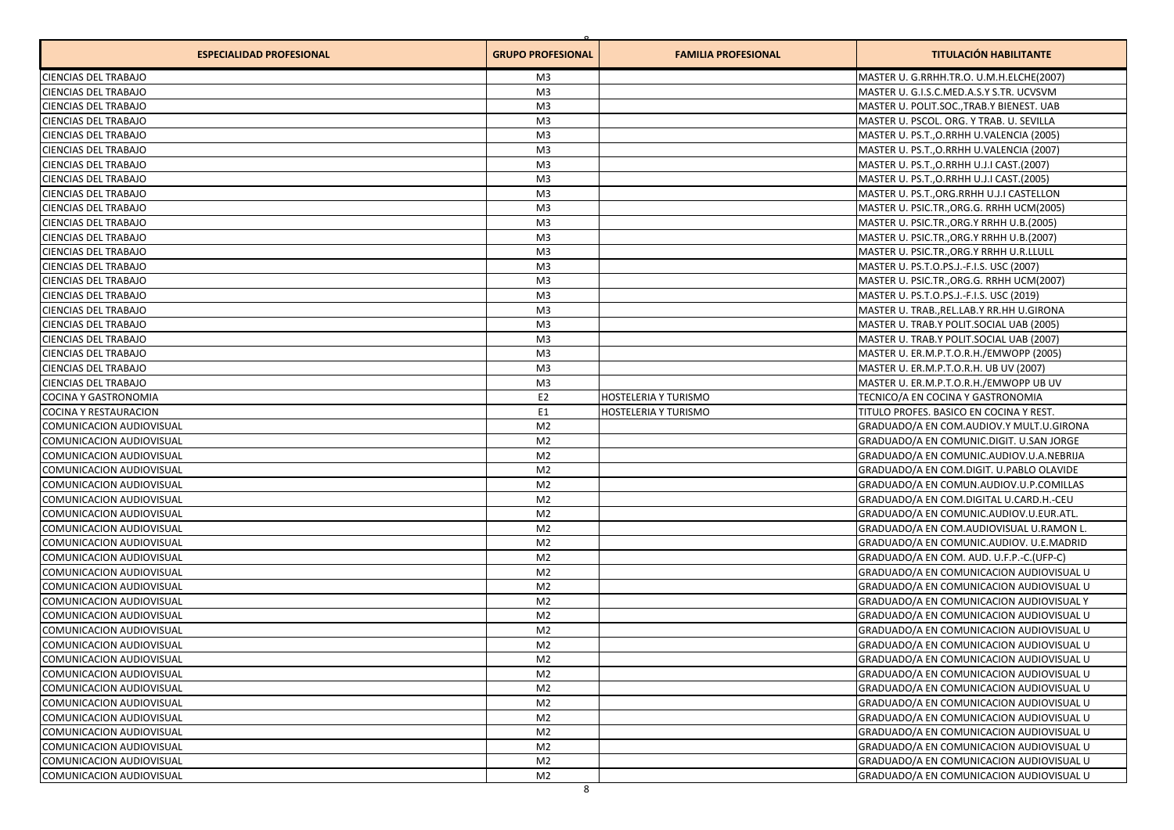| <b>ESPECIALIDAD PROFESIONAL</b> | <b>GRUPO PROFESIONAL</b> | <b>FAMILIA PROFESIONAL</b>  | <b>TITULACIÓN HABILITANTE</b>                   |
|---------------------------------|--------------------------|-----------------------------|-------------------------------------------------|
| CIENCIAS DEL TRABAJO            | M <sub>3</sub>           |                             | MASTER U. G.RRHH.TR.O. U.M.H.ELCHE(2007)        |
| CIENCIAS DEL TRABAJO            | M <sub>3</sub>           |                             | MASTER U. G.I.S.C.MED.A.S.Y S.TR. UCVSVM        |
| CIENCIAS DEL TRABAJO            | M <sub>3</sub>           |                             | MASTER U. POLIT.SOC., TRAB.Y BIENEST. UAB       |
| CIENCIAS DEL TRABAJO            | M <sub>3</sub>           |                             | MASTER U. PSCOL. ORG. Y TRAB. U. SEVILLA        |
| CIENCIAS DEL TRABAJO            | M <sub>3</sub>           |                             | MASTER U. PS.T., O.RRHH U.VALENCIA (2005)       |
| CIENCIAS DEL TRABAJO            | M <sub>3</sub>           |                             | MASTER U. PS.T., O.RRHH U.VALENCIA (2007)       |
| CIENCIAS DEL TRABAJO            | M <sub>3</sub>           |                             | MASTER U. PS.T., O.RRHH U.J.I CAST. (2007)      |
| <b>CIENCIAS DEL TRABAJO</b>     | M <sub>3</sub>           |                             | MASTER U. PS.T., O.RRHH U.J.I CAST. (2005)      |
| CIENCIAS DEL TRABAJO            | M <sub>3</sub>           |                             | MASTER U. PS.T., ORG.RRHH U.J.I CASTELLON       |
| CIENCIAS DEL TRABAJO            | M <sub>3</sub>           |                             | MASTER U. PSIC.TR., ORG.G. RRHH UCM(2005)       |
| CIENCIAS DEL TRABAJO            | M <sub>3</sub>           |                             | MASTER U. PSIC.TR., ORG.Y RRHH U.B. (2005)      |
| CIENCIAS DEL TRABAJO            | M <sub>3</sub>           |                             | MASTER U. PSIC.TR., ORG.Y RRHH U.B. (2007)      |
| CIENCIAS DEL TRABAJO            | M <sub>3</sub>           |                             | MASTER U. PSIC.TR., ORG.Y RRHH U.R.LLULL        |
| CIENCIAS DEL TRABAJO            | M <sub>3</sub>           |                             | MASTER U. PS.T.O.PS.J.-F.I.S. USC (2007)        |
| CIENCIAS DEL TRABAJO            | M <sub>3</sub>           |                             | MASTER U. PSIC.TR., ORG.G. RRHH UCM(2007)       |
| CIENCIAS DEL TRABAJO            | M <sub>3</sub>           |                             | MASTER U. PS.T.O.PS.J.-F.I.S. USC (2019)        |
| CIENCIAS DEL TRABAJO            | M <sub>3</sub>           |                             | MASTER U. TRAB., REL.LAB.Y RR.HH U.GIRONA       |
| CIENCIAS DEL TRABAJO            | M <sub>3</sub>           |                             | MASTER U. TRAB.Y POLIT.SOCIAL UAB (2005)        |
| CIENCIAS DEL TRABAJO            | M <sub>3</sub>           |                             | MASTER U. TRAB.Y POLIT.SOCIAL UAB (2007)        |
| CIENCIAS DEL TRABAJO            | M <sub>3</sub>           |                             | MASTER U. ER.M.P.T.O.R.H./EMWOPP (2005)         |
| CIENCIAS DEL TRABAJO            | M <sub>3</sub>           |                             | MASTER U. ER.M.P.T.O.R.H. UB UV (2007)          |
| CIENCIAS DEL TRABAJO            | M <sub>3</sub>           |                             | MASTER U. ER.M.P.T.O.R.H./EMWOPP UB UV          |
| COCINA Y GASTRONOMIA            | E <sub>2</sub>           | HOSTELERIA Y TURISMO        | TECNICO/A EN COCINA Y GASTRONOMIA               |
| <b>COCINA Y RESTAURACION</b>    | E <sub>1</sub>           | <b>HOSTELERIA Y TURISMO</b> | TITULO PROFES. BASICO EN COCINA Y REST.         |
| COMUNICACION AUDIOVISUAL        | M <sub>2</sub>           |                             | GRADUADO/A EN COM.AUDIOV.Y MULT.U.GIRONA        |
| COMUNICACION AUDIOVISUAL        | M <sub>2</sub>           |                             | GRADUADO/A EN COMUNIC.DIGIT. U.SAN JORGE        |
| COMUNICACION AUDIOVISUAL        | M <sub>2</sub>           |                             | GRADUADO/A EN COMUNIC.AUDIOV.U.A.NEBRIJA        |
| COMUNICACION AUDIOVISUAL        | M <sub>2</sub>           |                             | GRADUADO/A EN COM.DIGIT. U.PABLO OLAVIDE        |
| COMUNICACION AUDIOVISUAL        | M <sub>2</sub>           |                             | GRADUADO/A EN COMUN.AUDIOV.U.P.COMILLAS         |
| COMUNICACION AUDIOVISUAL        | M <sub>2</sub>           |                             | GRADUADO/A EN COM.DIGITAL U.CARD.H.-CEU         |
| COMUNICACION AUDIOVISUAL        | M <sub>2</sub>           |                             | GRADUADO/A EN COMUNIC.AUDIOV.U.EUR.ATL.         |
| COMUNICACION AUDIOVISUAL        | M <sub>2</sub>           |                             | GRADUADO/A EN COM.AUDIOVISUAL U.RAMON L.        |
| COMUNICACION AUDIOVISUAL        | M <sub>2</sub>           |                             | GRADUADO/A EN COMUNIC.AUDIOV. U.E.MADRID        |
| COMUNICACION AUDIOVISUAL        | M <sub>2</sub>           |                             | GRADUADO/A EN COM. AUD. U.F.P.-C.(UFP-C)        |
| COMUNICACION AUDIOVISUAL        | M <sub>2</sub>           |                             | GRADUADO/A EN COMUNICACION AUDIOVISUAL U        |
| COMUNICACION AUDIOVISUAL        | M <sub>2</sub>           |                             | GRADUADO/A EN COMUNICACION AUDIOVISUAL U        |
| COMUNICACION AUDIOVISUAL        | M <sub>2</sub>           |                             | <b>GRADUADO/A EN COMUNICACION AUDIOVISUAL Y</b> |
| COMUNICACION AUDIOVISUAL        | M <sub>2</sub>           |                             | GRADUADO/A EN COMUNICACION AUDIOVISUAL U        |
| COMUNICACION AUDIOVISUAL        | M <sub>2</sub>           |                             | GRADUADO/A EN COMUNICACION AUDIOVISUAL U        |
| COMUNICACION AUDIOVISUAL        | M <sub>2</sub>           |                             | GRADUADO/A EN COMUNICACION AUDIOVISUAL U        |
| COMUNICACION AUDIOVISUAL        | M2                       |                             | GRADUADO/A EN COMUNICACION AUDIOVISUAL U        |
| COMUNICACION AUDIOVISUAL        | M <sub>2</sub>           |                             | GRADUADO/A EN COMUNICACION AUDIOVISUAL U        |
| COMUNICACION AUDIOVISUAL        | M <sub>2</sub>           |                             | GRADUADO/A EN COMUNICACION AUDIOVISUAL U        |
| COMUNICACION AUDIOVISUAL        | M <sub>2</sub>           |                             | GRADUADO/A EN COMUNICACION AUDIOVISUAL U        |
| COMUNICACION AUDIOVISUAL        | M <sub>2</sub>           |                             | GRADUADO/A EN COMUNICACION AUDIOVISUAL U        |
| COMUNICACION AUDIOVISUAL        | M <sub>2</sub>           |                             | GRADUADO/A EN COMUNICACION AUDIOVISUAL U        |
| COMUNICACION AUDIOVISUAL        | M <sub>2</sub>           |                             | GRADUADO/A EN COMUNICACION AUDIOVISUAL U        |
| COMUNICACION AUDIOVISUAL        | M <sub>2</sub>           |                             | GRADUADO/A EN COMUNICACION AUDIOVISUAL U        |
| COMUNICACION AUDIOVISUAL        | M <sub>2</sub>           |                             | GRADUADO/A EN COMUNICACION AUDIOVISUAL U        |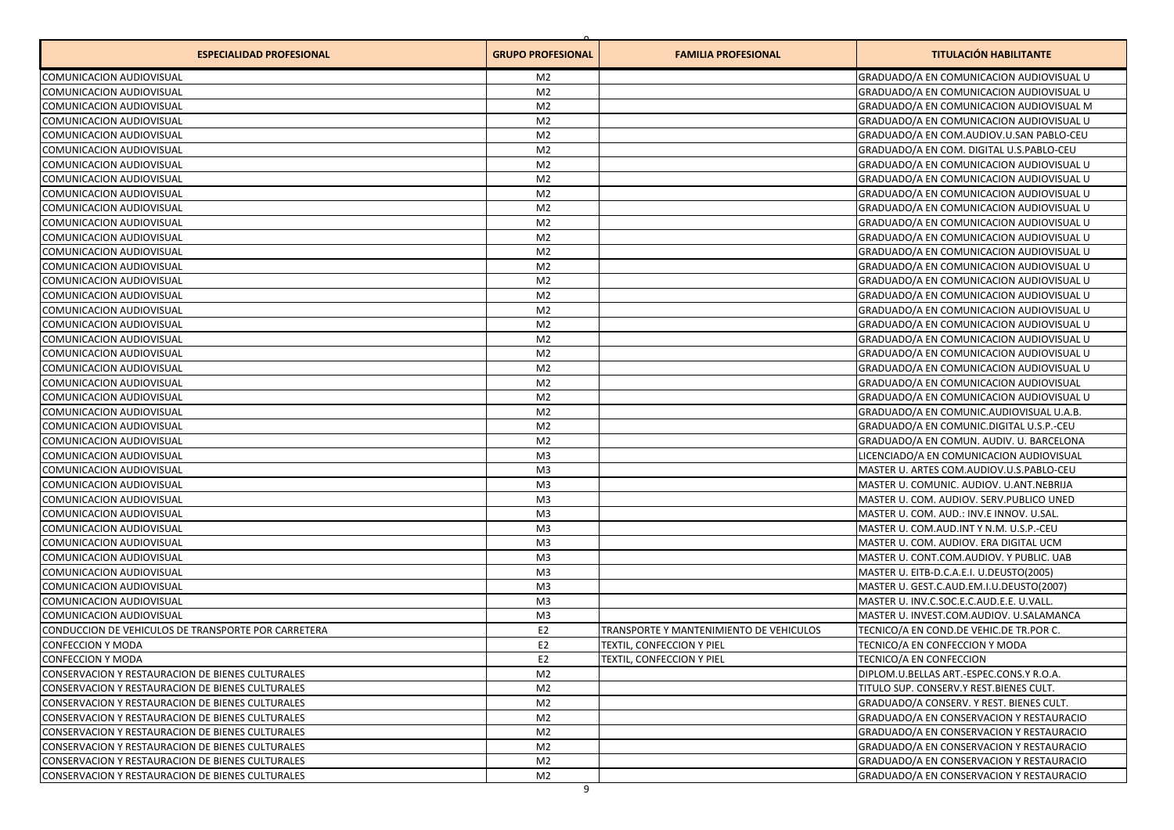| <b>ESPECIALIDAD PROFESIONAL</b>                     | <b>GRUPO PROFESIONAL</b> | <b>FAMILIA PROFESIONAL</b>              | <b>TITULACIÓN HABILITANTE</b>             |
|-----------------------------------------------------|--------------------------|-----------------------------------------|-------------------------------------------|
| COMUNICACION AUDIOVISUAL                            | M2                       |                                         | GRADUADO/A EN COMUNICACION AUDIOVISUAL U  |
| COMUNICACION AUDIOVISUAL                            | M <sub>2</sub>           |                                         | GRADUADO/A EN COMUNICACION AUDIOVISUAL U  |
| COMUNICACION AUDIOVISUAL                            | M <sub>2</sub>           |                                         | GRADUADO/A EN COMUNICACION AUDIOVISUAL M  |
| COMUNICACION AUDIOVISUAL                            | M <sub>2</sub>           |                                         | GRADUADO/A EN COMUNICACION AUDIOVISUAL U  |
| COMUNICACION AUDIOVISUAL                            | M <sub>2</sub>           |                                         | GRADUADO/A EN COM.AUDIOV.U.SAN PABLO-CEU  |
| COMUNICACION AUDIOVISUAL                            | M <sub>2</sub>           |                                         | GRADUADO/A EN COM. DIGITAL U.S.PABLO-CEU  |
| COMUNICACION AUDIOVISUAL                            | M <sub>2</sub>           |                                         | GRADUADO/A EN COMUNICACION AUDIOVISUAL U  |
| COMUNICACION AUDIOVISUAL                            | M <sub>2</sub>           |                                         | GRADUADO/A EN COMUNICACION AUDIOVISUAL U  |
| COMUNICACION AUDIOVISUAL                            | M <sub>2</sub>           |                                         | GRADUADO/A EN COMUNICACION AUDIOVISUAL U  |
| COMUNICACION AUDIOVISUAL                            | M <sub>2</sub>           |                                         | GRADUADO/A EN COMUNICACION AUDIOVISUAL U  |
| COMUNICACION AUDIOVISUAL                            | M <sub>2</sub>           |                                         | GRADUADO/A EN COMUNICACION AUDIOVISUAL U  |
| COMUNICACION AUDIOVISUAL                            | M <sub>2</sub>           |                                         | GRADUADO/A EN COMUNICACION AUDIOVISUAL U  |
| COMUNICACION AUDIOVISUAL                            | M <sub>2</sub>           |                                         | GRADUADO/A EN COMUNICACION AUDIOVISUAL U  |
| COMUNICACION AUDIOVISUAL                            | M <sub>2</sub>           |                                         | GRADUADO/A EN COMUNICACION AUDIOVISUAL U  |
| COMUNICACION AUDIOVISUAL                            | M <sub>2</sub>           |                                         | GRADUADO/A EN COMUNICACION AUDIOVISUAL U  |
| COMUNICACION AUDIOVISUAL                            | M <sub>2</sub>           |                                         | GRADUADO/A EN COMUNICACION AUDIOVISUAL U  |
| COMUNICACION AUDIOVISUAL                            | M <sub>2</sub>           |                                         | GRADUADO/A EN COMUNICACION AUDIOVISUAL U  |
| COMUNICACION AUDIOVISUAL                            | M <sub>2</sub>           |                                         | GRADUADO/A EN COMUNICACION AUDIOVISUAL U  |
| COMUNICACION AUDIOVISUAL                            | M <sub>2</sub>           |                                         | GRADUADO/A EN COMUNICACION AUDIOVISUAL U  |
| COMUNICACION AUDIOVISUAL                            | M <sub>2</sub>           |                                         | GRADUADO/A EN COMUNICACION AUDIOVISUAL U  |
| COMUNICACION AUDIOVISUAL                            | M <sub>2</sub>           |                                         | GRADUADO/A EN COMUNICACION AUDIOVISUAL U  |
| COMUNICACION AUDIOVISUAL                            | M <sub>2</sub>           |                                         | GRADUADO/A EN COMUNICACION AUDIOVISUAL    |
| COMUNICACION AUDIOVISUAL                            | M <sub>2</sub>           |                                         | GRADUADO/A EN COMUNICACION AUDIOVISUAL U  |
| COMUNICACION AUDIOVISUAL                            | M <sub>2</sub>           |                                         | GRADUADO/A EN COMUNIC.AUDIOVISUAL U.A.B.  |
| COMUNICACION AUDIOVISUAL                            | M <sub>2</sub>           |                                         | GRADUADO/A EN COMUNIC.DIGITAL U.S.P.-CEU  |
| COMUNICACION AUDIOVISUAL                            | M <sub>2</sub>           |                                         | GRADUADO/A EN COMUN. AUDIV. U. BARCELONA  |
| COMUNICACION AUDIOVISUAL                            | M <sub>3</sub>           |                                         | LICENCIADO/A EN COMUNICACION AUDIOVISUAL  |
| COMUNICACION AUDIOVISUAL                            | M <sub>3</sub>           |                                         | MASTER U. ARTES COM.AUDIOV.U.S.PABLO-CEU  |
| COMUNICACION AUDIOVISUAL                            | M <sub>3</sub>           |                                         | MASTER U. COMUNIC. AUDIOV. U.ANT.NEBRIJA  |
| COMUNICACION AUDIOVISUAL                            | M <sub>3</sub>           |                                         | MASTER U. COM. AUDIOV. SERV. PUBLICO UNED |
| COMUNICACION AUDIOVISUAL                            | M <sub>3</sub>           |                                         | MASTER U. COM. AUD.: INV.E INNOV. U.SAL.  |
| COMUNICACION AUDIOVISUAL                            | M <sub>3</sub>           |                                         | MASTER U. COM.AUD.INT Y N.M. U.S.P.-CEU   |
| COMUNICACION AUDIOVISUAL                            | M <sub>3</sub>           |                                         | MASTER U. COM. AUDIOV. ERA DIGITAL UCM    |
| COMUNICACION AUDIOVISUAL                            | M <sub>3</sub>           |                                         | MASTER U. CONT.COM.AUDIOV. Y PUBLIC. UAB  |
| COMUNICACION AUDIOVISUAL                            | M <sub>3</sub>           |                                         | MASTER U. EITB-D.C.A.E.I. U.DEUSTO(2005)  |
| COMUNICACION AUDIOVISUAL                            | M <sub>3</sub>           |                                         | MASTER U. GEST.C.AUD.EM.I.U.DEUSTO(2007)  |
| COMUNICACION AUDIOVISUAL                            | M <sub>3</sub>           |                                         | MASTER U. INV.C.SOC.E.C.AUD.E.E. U.VALL.  |
| COMUNICACION AUDIOVISUAL                            | M3                       |                                         | MASTER U. INVEST.COM.AUDIOV. U.SALAMANCA  |
| CONDUCCION DE VEHICULOS DE TRANSPORTE POR CARRETERA | E <sub>2</sub>           | TRANSPORTE Y MANTENIMIENTO DE VEHICULOS | TECNICO/A EN COND.DE VEHIC.DE TR.POR C.   |
| <b>CONFECCION Y MODA</b>                            | E <sub>2</sub>           | TEXTIL, CONFECCION Y PIEL               | TECNICO/A EN CONFECCION Y MODA            |
| CONFECCION Y MODA                                   | E2                       | TEXTIL, CONFECCION Y PIEL               | TECNICO/A EN CONFECCION                   |
| CONSERVACION Y RESTAURACION DE BIENES CULTURALES    | M <sub>2</sub>           |                                         | DIPLOM.U.BELLAS ART.-ESPEC.CONS.Y R.O.A.  |
| CONSERVACION Y RESTAURACION DE BIENES CULTURALES    | M <sub>2</sub>           |                                         | TITULO SUP. CONSERV.Y REST.BIENES CULT.   |
| CONSERVACION Y RESTAURACION DE BIENES CULTURALES    | M <sub>2</sub>           |                                         | GRADUADO/A CONSERV. Y REST. BIENES CULT.  |
| CONSERVACION Y RESTAURACION DE BIENES CULTURALES    | M <sub>2</sub>           |                                         | GRADUADO/A EN CONSERVACION Y RESTAURACIO  |
| CONSERVACION Y RESTAURACION DE BIENES CULTURALES    | M <sub>2</sub>           |                                         | GRADUADO/A EN CONSERVACION Y RESTAURACIO  |
| CONSERVACION Y RESTAURACION DE BIENES CULTURALES    | M <sub>2</sub>           |                                         | GRADUADO/A EN CONSERVACION Y RESTAURACIO  |
| CONSERVACION Y RESTAURACION DE BIENES CULTURALES    | M <sub>2</sub>           |                                         | GRADUADO/A EN CONSERVACION Y RESTAURACIO  |
| CONSERVACION Y RESTAURACION DE BIENES CULTURALES    | M <sub>2</sub>           |                                         | GRADUADO/A EN CONSERVACION Y RESTAURACIO  |
|                                                     |                          |                                         |                                           |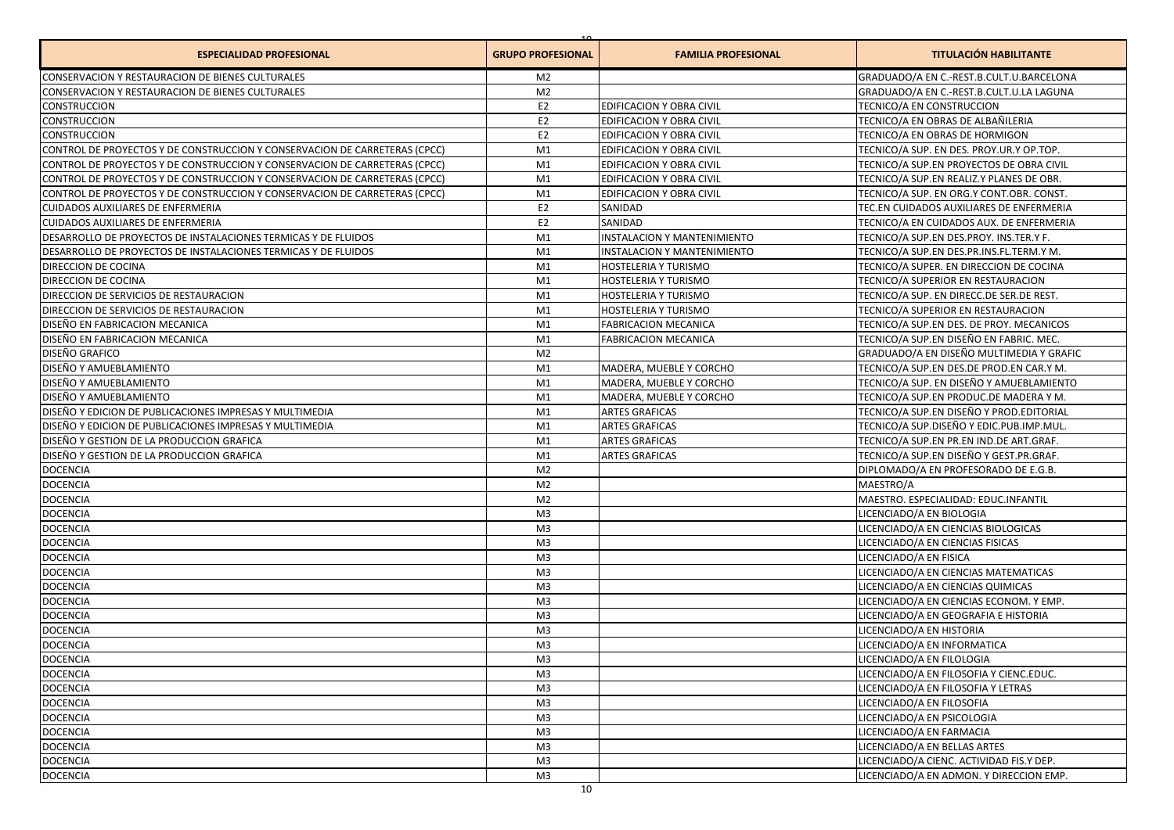| <b>ESPECIALIDAD PROFESIONAL</b>                                            | <b>GRUPO PROFESIONAL</b> | <b>FAMILIA PROFESIONAL</b>      | <b>TITULACIÓN HABILITANTE</b>            |
|----------------------------------------------------------------------------|--------------------------|---------------------------------|------------------------------------------|
| CONSERVACION Y RESTAURACION DE BIENES CULTURALES                           | M <sub>2</sub>           |                                 | GRADUADO/A EN C.-REST.B.CULT.U.BARCELONA |
| CONSERVACION Y RESTAURACION DE BIENES CULTURALES                           | M <sub>2</sub>           |                                 | GRADUADO/A EN C.-REST.B.CULT.U.LA LAGUNA |
| CONSTRUCCION                                                               | E <sub>2</sub>           | EDIFICACION Y OBRA CIVIL        | TECNICO/A EN CONSTRUCCION                |
| CONSTRUCCION                                                               | E <sub>2</sub>           | EDIFICACION Y OBRA CIVIL        | TECNICO/A EN OBRAS DE ALBAÑILERIA        |
| CONSTRUCCION                                                               | E <sub>2</sub>           | EDIFICACION Y OBRA CIVIL        | TECNICO/A EN OBRAS DE HORMIGON           |
| CONTROL DE PROYECTOS Y DE CONSTRUCCION Y CONSERVACION DE CARRETERAS (CPCC) | M1                       | EDIFICACION Y OBRA CIVIL        | TECNICO/A SUP. EN DES. PROY.UR.Y OP.TOP. |
| CONTROL DE PROYECTOS Y DE CONSTRUCCION Y CONSERVACION DE CARRETERAS (CPCC) | M1                       | EDIFICACION Y OBRA CIVIL        | TECNICO/A SUP.EN PROYECTOS DE OBRA CIVIL |
| CONTROL DE PROYECTOS Y DE CONSTRUCCION Y CONSERVACION DE CARRETERAS (CPCC) | M1                       | EDIFICACION Y OBRA CIVIL        | TECNICO/A SUP.EN REALIZ.Y PLANES DE OBR. |
| CONTROL DE PROYECTOS Y DE CONSTRUCCION Y CONSERVACION DE CARRETERAS (CPCC) | M1                       | <b>EDIFICACION Y OBRA CIVIL</b> | TECNICO/A SUP. EN ORG.Y CONT.OBR. CONST. |
| <b>CUIDADOS AUXILIARES DE ENFERMERIA</b>                                   | E <sub>2</sub>           | SANIDAD                         | TEC.EN CUIDADOS AUXILIARES DE ENFERMERIA |
| CUIDADOS AUXILIARES DE ENFERMERIA                                          | E <sub>2</sub>           | SANIDAD                         | TECNICO/A EN CUIDADOS AUX. DE ENFERMERIA |
| DESARROLLO DE PROYECTOS DE INSTALACIONES TERMICAS Y DE FLUIDOS             | M1                       | INSTALACION Y MANTENIMIENTO     | TECNICO/A SUP.EN DES.PROY. INS.TER.Y F.  |
| DESARROLLO DE PROYECTOS DE INSTALACIONES TERMICAS Y DE FLUIDOS             | M1                       | INSTALACION Y MANTENIMIENTO     | TECNICO/A SUP.EN DES.PR.INS.FL.TERM.Y M. |
| DIRECCION DE COCINA                                                        | M1                       | HOSTELERIA Y TURISMO            | TECNICO/A SUPER. EN DIRECCION DE COCINA  |
| DIRECCION DE COCINA                                                        | M1                       | HOSTELERIA Y TURISMO            | TECNICO/A SUPERIOR EN RESTAURACION       |
| DIRECCION DE SERVICIOS DE RESTAURACION                                     | M1                       | HOSTELERIA Y TURISMO            | TECNICO/A SUP. EN DIRECC.DE SER.DE REST. |
| DIRECCION DE SERVICIOS DE RESTAURACION                                     | M1                       | HOSTELERIA Y TURISMO            | TECNICO/A SUPERIOR EN RESTAURACION       |
| DISEÑO EN FABRICACION MECANICA                                             | M1                       | <b>FABRICACION MECANICA</b>     | TECNICO/A SUP.EN DES. DE PROY. MECANICOS |
| DISEÑO EN FABRICACION MECANICA                                             | M1                       | <b>FABRICACION MECANICA</b>     | TECNICO/A SUP.EN DISEÑO EN FABRIC. MEC.  |
| DISEÑO GRAFICO                                                             | M <sub>2</sub>           |                                 | GRADUADO/A EN DISEÑO MULTIMEDIA Y GRAFIC |
| DISEÑO Y AMUEBLAMIENTO                                                     | M1                       | MADERA, MUEBLE Y CORCHO         | TECNICO/A SUP.EN DES.DE PROD.EN CAR.Y M. |
| DISEÑO Y AMUEBLAMIENTO                                                     | M1                       | MADERA, MUEBLE Y CORCHO         | TECNICO/A SUP. EN DISEÑO Y AMUEBLAMIENTO |
| DISEÑO Y AMUEBLAMIENTO                                                     | M1                       | MADERA, MUEBLE Y CORCHO         | TECNICO/A SUP.EN PRODUC.DE MADERA Y M.   |
| DISEÑO Y EDICION DE PUBLICACIONES IMPRESAS Y MULTIMEDIA                    | M1                       | ARTES GRAFICAS                  | TECNICO/A SUP.EN DISEÑO Y PROD.EDITORIAL |
| DISEÑO Y EDICION DE PUBLICACIONES IMPRESAS Y MULTIMEDIA                    | M1                       | <b>ARTES GRAFICAS</b>           | TECNICO/A SUP.DISEÑO Y EDIC.PUB.IMP.MUL. |
| DISEÑO Y GESTION DE LA PRODUCCION GRAFICA                                  | M1                       | <b>ARTES GRAFICAS</b>           | TECNICO/A SUP.EN PR.EN IND.DE ART.GRAF.  |
| DISEÑO Y GESTION DE LA PRODUCCION GRAFICA                                  | M1                       | <b>ARTES GRAFICAS</b>           | TECNICO/A SUP.EN DISEÑO Y GEST.PR.GRAF.  |
| <b>DOCENCIA</b>                                                            | M <sub>2</sub>           |                                 | DIPLOMADO/A EN PROFESORADO DE E.G.B.     |
| <b>DOCENCIA</b>                                                            | M <sub>2</sub>           |                                 | MAESTRO/A                                |
| <b>DOCENCIA</b>                                                            | M <sub>2</sub>           |                                 | MAESTRO. ESPECIALIDAD: EDUC.INFANTIL     |
| <b>DOCENCIA</b>                                                            | M3                       |                                 | LICENCIADO/A EN BIOLOGIA                 |
| <b>DOCENCIA</b>                                                            | M <sub>3</sub>           |                                 | LICENCIADO/A EN CIENCIAS BIOLOGICAS      |
| <b>DOCENCIA</b>                                                            | M3                       |                                 | LICENCIADO/A EN CIENCIAS FISICAS         |
| <b>DOCENCIA</b>                                                            | M3                       |                                 | LICENCIADO/A EN FISICA                   |
| <b>DOCENCIA</b>                                                            | M <sub>3</sub>           |                                 | LICENCIADO/A EN CIENCIAS MATEMATICAS     |
| <b>DOCENCIA</b>                                                            | M <sub>3</sub>           |                                 | LICENCIADO/A EN CIENCIAS QUIMICAS        |
| <b>DOCENCIA</b>                                                            | M3                       |                                 | LICENCIADO/A EN CIENCIAS ECONOM. Y EMP.  |
| <b>DOCENCIA</b>                                                            | M3                       |                                 | LICENCIADO/A EN GEOGRAFIA E HISTORIA     |
| <b>DOCENCIA</b>                                                            | M <sub>3</sub>           |                                 | LICENCIADO/A EN HISTORIA                 |
| <b>DOCENCIA</b>                                                            | M <sub>3</sub>           |                                 | LICENCIADO/A EN INFORMATICA              |
| <b>DOCENCIA</b>                                                            | M <sub>3</sub>           |                                 | LICENCIADO/A EN FILOLOGIA                |
| <b>DOCENCIA</b>                                                            | M3                       |                                 | LICENCIADO/A EN FILOSOFIA Y CIENC.EDUC.  |
| <b>DOCENCIA</b>                                                            | M <sub>3</sub>           |                                 | LICENCIADO/A EN FILOSOFIA Y LETRAS       |
| <b>DOCENCIA</b>                                                            | M <sub>3</sub>           |                                 | LICENCIADO/A EN FILOSOFIA                |
| <b>DOCENCIA</b>                                                            | M <sub>3</sub>           |                                 | LICENCIADO/A EN PSICOLOGIA               |
| <b>DOCENCIA</b>                                                            | M <sub>3</sub>           |                                 | LICENCIADO/A EN FARMACIA                 |
| <b>DOCENCIA</b>                                                            | M <sub>3</sub>           |                                 | LICENCIADO/A EN BELLAS ARTES             |
| <b>DOCENCIA</b>                                                            | M <sub>3</sub>           |                                 | LICENCIADO/A CIENC. ACTIVIDAD FIS.Y DEP. |
| <b>DOCENCIA</b>                                                            | M <sub>3</sub>           |                                 | LICENCIADO/A EN ADMON. Y DIRECCION EMP.  |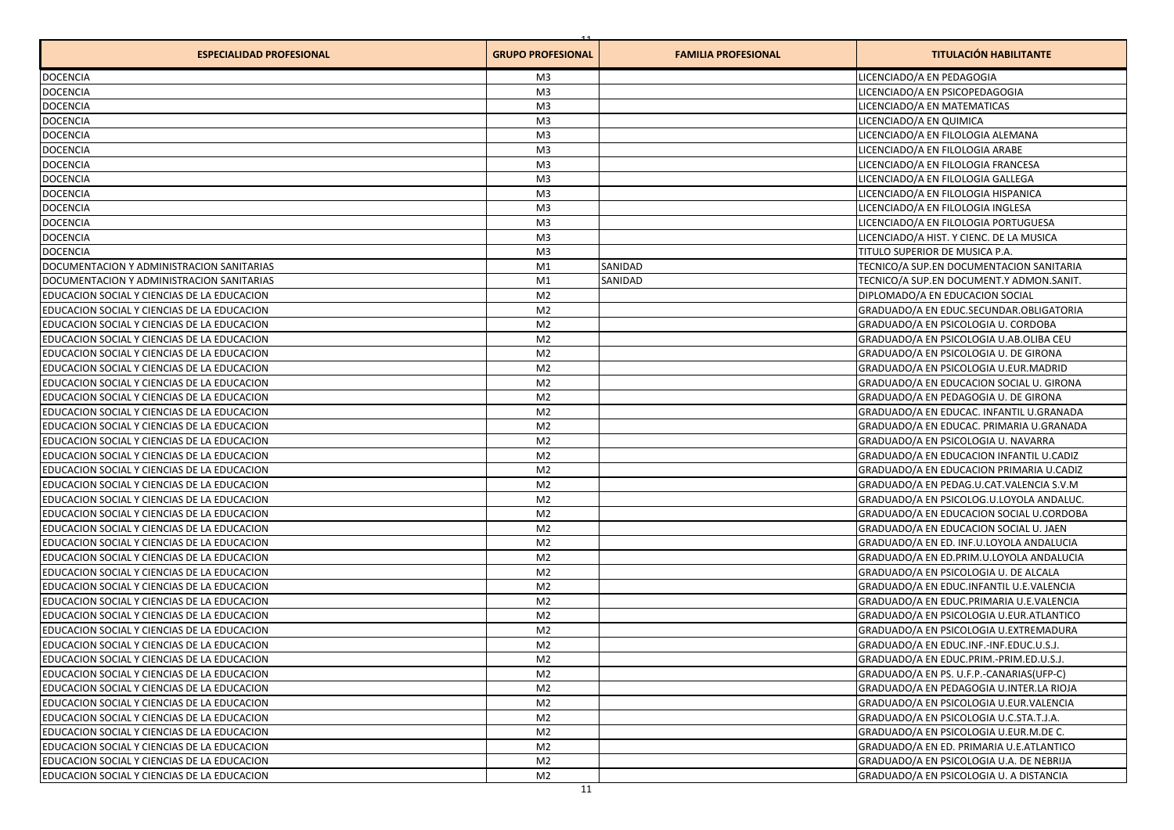| <b>ESPECIALIDAD PROFESIONAL</b>             | <b>GRUPO PROFESIONAL</b> | <b>FAMILIA PROFESIONAL</b> | <b>TITULACIÓN HABILITANTE</b>            |
|---------------------------------------------|--------------------------|----------------------------|------------------------------------------|
| <b>DOCENCIA</b>                             | M3                       |                            | LICENCIADO/A EN PEDAGOGIA                |
| <b>DOCENCIA</b>                             | M <sub>3</sub>           |                            | LICENCIADO/A EN PSICOPEDAGOGIA           |
| <b>DOCENCIA</b>                             | M <sub>3</sub>           |                            | LICENCIADO/A EN MATEMATICAS              |
| <b>DOCENCIA</b>                             | M <sub>3</sub>           |                            | LICENCIADO/A EN QUIMICA                  |
| <b>DOCENCIA</b>                             | M <sub>3</sub>           |                            | LICENCIADO/A EN FILOLOGIA ALEMANA        |
| <b>DOCENCIA</b>                             | M <sub>3</sub>           |                            | LICENCIADO/A EN FILOLOGIA ARABE          |
| <b>DOCENCIA</b>                             | M <sub>3</sub>           |                            | LICENCIADO/A EN FILOLOGIA FRANCESA       |
| <b>DOCENCIA</b>                             | M <sub>3</sub>           |                            | LICENCIADO/A EN FILOLOGIA GALLEGA        |
| <b>DOCENCIA</b>                             | M <sub>3</sub>           |                            | LICENCIADO/A EN FILOLOGIA HISPANICA      |
| <b>DOCENCIA</b>                             | M <sub>3</sub>           |                            | LICENCIADO/A EN FILOLOGIA INGLESA        |
| <b>DOCENCIA</b>                             | M <sub>3</sub>           |                            | LICENCIADO/A EN FILOLOGIA PORTUGUESA     |
| <b>DOCENCIA</b>                             | M <sub>3</sub>           |                            | LICENCIADO/A HIST. Y CIENC. DE LA MUSICA |
| <b>DOCENCIA</b>                             | M <sub>3</sub>           |                            | TITULO SUPERIOR DE MUSICA P.A.           |
| DOCUMENTACION Y ADMINISTRACION SANITARIAS   | M1                       | SANIDAD                    | TECNICO/A SUP.EN DOCUMENTACION SANITARIA |
| DOCUMENTACION Y ADMINISTRACION SANITARIAS   | M1                       | SANIDAD                    | TECNICO/A SUP.EN DOCUMENT.Y ADMON.SANIT. |
| EDUCACION SOCIAL Y CIENCIAS DE LA EDUCACION | M <sub>2</sub>           |                            | DIPLOMADO/A EN EDUCACION SOCIAL          |
| EDUCACION SOCIAL Y CIENCIAS DE LA EDUCACION | M <sub>2</sub>           |                            | GRADUADO/A EN EDUC.SECUNDAR.OBLIGATORIA  |
| EDUCACION SOCIAL Y CIENCIAS DE LA EDUCACION | M <sub>2</sub>           |                            | GRADUADO/A EN PSICOLOGIA U. CORDOBA      |
| EDUCACION SOCIAL Y CIENCIAS DE LA EDUCACION | M <sub>2</sub>           |                            | GRADUADO/A EN PSICOLOGIA U.AB.OLIBA CEU  |
| EDUCACION SOCIAL Y CIENCIAS DE LA EDUCACION | M <sub>2</sub>           |                            | GRADUADO/A EN PSICOLOGIA U. DE GIRONA    |
| EDUCACION SOCIAL Y CIENCIAS DE LA EDUCACION | M <sub>2</sub>           |                            | GRADUADO/A EN PSICOLOGIA U.EUR.MADRID    |
| EDUCACION SOCIAL Y CIENCIAS DE LA EDUCACION | M <sub>2</sub>           |                            | GRADUADO/A EN EDUCACION SOCIAL U. GIRONA |
| EDUCACION SOCIAL Y CIENCIAS DE LA EDUCACION | M <sub>2</sub>           |                            | GRADUADO/A EN PEDAGOGIA U. DE GIRONA     |
| EDUCACION SOCIAL Y CIENCIAS DE LA EDUCACION | M <sub>2</sub>           |                            | GRADUADO/A EN EDUCAC. INFANTIL U.GRANADA |
| EDUCACION SOCIAL Y CIENCIAS DE LA EDUCACION | M <sub>2</sub>           |                            | GRADUADO/A EN EDUCAC. PRIMARIA U.GRANADA |
| EDUCACION SOCIAL Y CIENCIAS DE LA EDUCACION | M <sub>2</sub>           |                            | GRADUADO/A EN PSICOLOGIA U. NAVARRA      |
| EDUCACION SOCIAL Y CIENCIAS DE LA EDUCACION | M <sub>2</sub>           |                            | GRADUADO/A EN EDUCACION INFANTIL U.CADIZ |
| EDUCACION SOCIAL Y CIENCIAS DE LA EDUCACION | M <sub>2</sub>           |                            | GRADUADO/A EN EDUCACION PRIMARIA U.CADIZ |
| EDUCACION SOCIAL Y CIENCIAS DE LA EDUCACION | M <sub>2</sub>           |                            | GRADUADO/A EN PEDAG.U.CAT.VALENCIA S.V.M |
| EDUCACION SOCIAL Y CIENCIAS DE LA EDUCACION | M <sub>2</sub>           |                            | GRADUADO/A EN PSICOLOG.U.LOYOLA ANDALUC. |
| EDUCACION SOCIAL Y CIENCIAS DE LA EDUCACION | M <sub>2</sub>           |                            | GRADUADO/A EN EDUCACION SOCIAL U.CORDOBA |
| EDUCACION SOCIAL Y CIENCIAS DE LA EDUCACION | M <sub>2</sub>           |                            | GRADUADO/A EN EDUCACION SOCIAL U. JAEN   |
| EDUCACION SOCIAL Y CIENCIAS DE LA EDUCACION | M <sub>2</sub>           |                            | GRADUADO/A EN ED. INF.U.LOYOLA ANDALUCIA |
| EDUCACION SOCIAL Y CIENCIAS DE LA EDUCACION | M <sub>2</sub>           |                            | GRADUADO/A EN ED.PRIM.U.LOYOLA ANDALUCIA |
| EDUCACION SOCIAL Y CIENCIAS DE LA EDUCACION | M <sub>2</sub>           |                            | GRADUADO/A EN PSICOLOGIA U. DE ALCALA    |
| EDUCACION SOCIAL Y CIENCIAS DE LA EDUCACION | M <sub>2</sub>           |                            | GRADUADO/A EN EDUC.INFANTIL U.E.VALENCIA |
| EDUCACION SOCIAL Y CIENCIAS DE LA EDUCACION | M <sub>2</sub>           |                            | GRADUADO/A EN EDUC.PRIMARIA U.E.VALENCIA |
| EDUCACION SOCIAL Y CIENCIAS DE LA EDUCACION | M <sub>2</sub>           |                            | GRADUADO/A EN PSICOLOGIA U.EUR.ATLANTICO |
| EDUCACION SOCIAL Y CIENCIAS DE LA EDUCACION | M <sub>2</sub>           |                            | GRADUADO/A EN PSICOLOGIA U.EXTREMADURA   |
| EDUCACION SOCIAL Y CIENCIAS DE LA EDUCACION | M <sub>2</sub>           |                            | GRADUADO/A EN EDUC.INF.-INF.EDUC.U.S.J.  |
| EDUCACION SOCIAL Y CIENCIAS DE LA EDUCACION | M2                       |                            | GRADUADO/A EN EDUC.PRIM.-PRIM.ED.U.S.J.  |
| EDUCACION SOCIAL Y CIENCIAS DE LA EDUCACION | M <sub>2</sub>           |                            | GRADUADO/A EN PS. U.F.P.-CANARIAS(UFP-C) |
| EDUCACION SOCIAL Y CIENCIAS DE LA EDUCACION | M <sub>2</sub>           |                            | GRADUADO/A EN PEDAGOGIA U.INTER.LA RIOJA |
| EDUCACION SOCIAL Y CIENCIAS DE LA EDUCACION | M <sub>2</sub>           |                            | GRADUADO/A EN PSICOLOGIA U.EUR.VALENCIA  |
| EDUCACION SOCIAL Y CIENCIAS DE LA EDUCACION | M <sub>2</sub>           |                            | GRADUADO/A EN PSICOLOGIA U.C.STA.T.J.A.  |
| EDUCACION SOCIAL Y CIENCIAS DE LA EDUCACION | M <sub>2</sub>           |                            | GRADUADO/A EN PSICOLOGIA U.EUR.M.DE C.   |
| EDUCACION SOCIAL Y CIENCIAS DE LA EDUCACION | M <sub>2</sub>           |                            | GRADUADO/A EN ED. PRIMARIA U.E.ATLANTICO |
| EDUCACION SOCIAL Y CIENCIAS DE LA EDUCACION | M <sub>2</sub>           |                            | GRADUADO/A EN PSICOLOGIA U.A. DE NEBRIJA |
| EDUCACION SOCIAL Y CIENCIAS DE LA EDUCACION | M <sub>2</sub>           |                            | GRADUADO/A EN PSICOLOGIA U. A DISTANCIA  |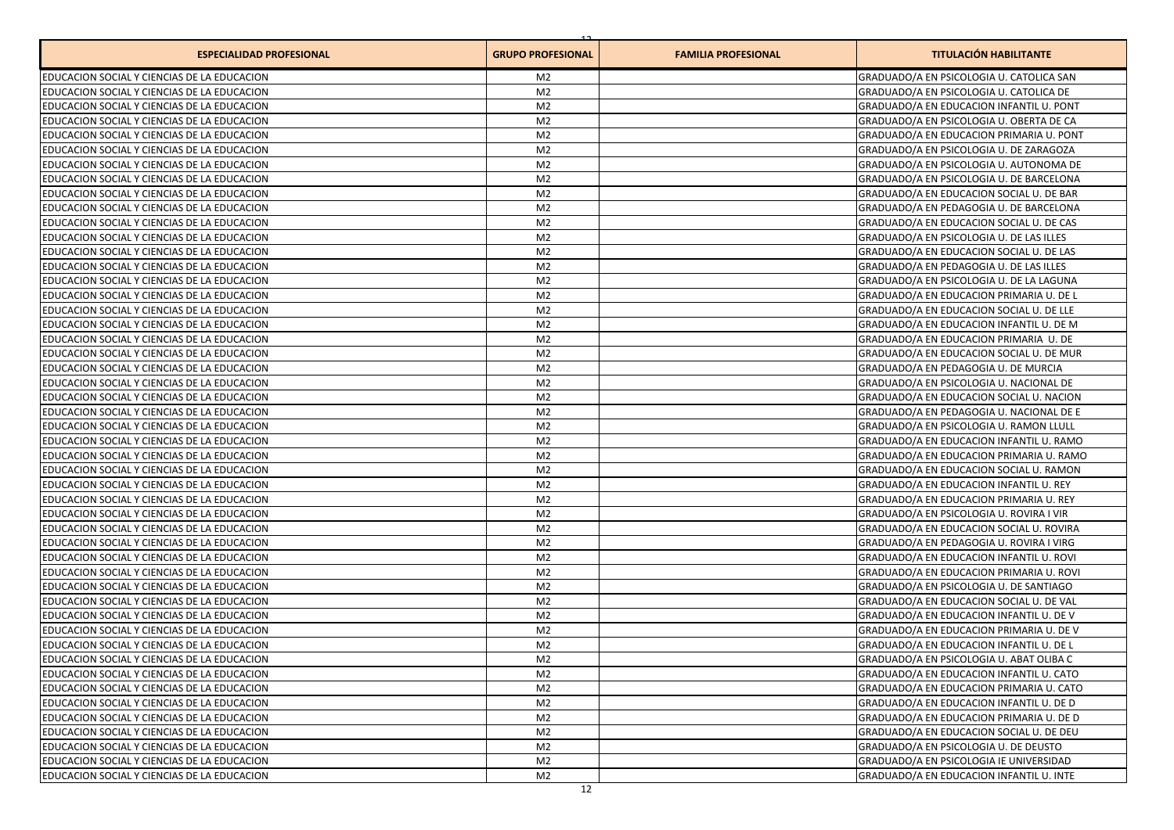| <b>ESPECIALIDAD PROFESIONAL</b>             | <b>GRUPO PROFESIONAL</b> | <b>FAMILIA PROFESIONAL</b> | <b>TITULACIÓN HABILITANTE</b>            |
|---------------------------------------------|--------------------------|----------------------------|------------------------------------------|
| EDUCACION SOCIAL Y CIENCIAS DE LA EDUCACION | M <sub>2</sub>           |                            | GRADUADO/A EN PSICOLOGIA U. CATOLICA SAN |
| EDUCACION SOCIAL Y CIENCIAS DE LA EDUCACION | M <sub>2</sub>           |                            | GRADUADO/A EN PSICOLOGIA U. CATOLICA DE  |
| EDUCACION SOCIAL Y CIENCIAS DE LA EDUCACION | M <sub>2</sub>           |                            | GRADUADO/A EN EDUCACION INFANTIL U. PONT |
| EDUCACION SOCIAL Y CIENCIAS DE LA EDUCACION | M <sub>2</sub>           |                            | GRADUADO/A EN PSICOLOGIA U. OBERTA DE CA |
| EDUCACION SOCIAL Y CIENCIAS DE LA EDUCACION | M <sub>2</sub>           |                            | GRADUADO/A EN EDUCACION PRIMARIA U. PONT |
| EDUCACION SOCIAL Y CIENCIAS DE LA EDUCACION | M <sub>2</sub>           |                            | GRADUADO/A EN PSICOLOGIA U. DE ZARAGOZA  |
| EDUCACION SOCIAL Y CIENCIAS DE LA EDUCACION | M <sub>2</sub>           |                            | GRADUADO/A EN PSICOLOGIA U. AUTONOMA DE  |
| EDUCACION SOCIAL Y CIENCIAS DE LA EDUCACION | M <sub>2</sub>           |                            | GRADUADO/A EN PSICOLOGIA U. DE BARCELONA |
| EDUCACION SOCIAL Y CIENCIAS DE LA EDUCACION | M <sub>2</sub>           |                            | GRADUADO/A EN EDUCACION SOCIAL U. DE BAR |
| EDUCACION SOCIAL Y CIENCIAS DE LA EDUCACION | M <sub>2</sub>           |                            | GRADUADO/A EN PEDAGOGIA U. DE BARCELONA  |
| EDUCACION SOCIAL Y CIENCIAS DE LA EDUCACION | M <sub>2</sub>           |                            | GRADUADO/A EN EDUCACION SOCIAL U. DE CAS |
| EDUCACION SOCIAL Y CIENCIAS DE LA EDUCACION | M <sub>2</sub>           |                            | GRADUADO/A EN PSICOLOGIA U. DE LAS ILLES |
| EDUCACION SOCIAL Y CIENCIAS DE LA EDUCACION | M <sub>2</sub>           |                            | GRADUADO/A EN EDUCACION SOCIAL U. DE LAS |
| EDUCACION SOCIAL Y CIENCIAS DE LA EDUCACION | M <sub>2</sub>           |                            | GRADUADO/A EN PEDAGOGIA U. DE LAS ILLES  |
| EDUCACION SOCIAL Y CIENCIAS DE LA EDUCACION | M <sub>2</sub>           |                            | GRADUADO/A EN PSICOLOGIA U. DE LA LAGUNA |
| EDUCACION SOCIAL Y CIENCIAS DE LA EDUCACION | M <sub>2</sub>           |                            | GRADUADO/A EN EDUCACION PRIMARIA U. DE L |
| EDUCACION SOCIAL Y CIENCIAS DE LA EDUCACION | M <sub>2</sub>           |                            | GRADUADO/A EN EDUCACION SOCIAL U. DE LLE |
| EDUCACION SOCIAL Y CIENCIAS DE LA EDUCACION | M <sub>2</sub>           |                            | GRADUADO/A EN EDUCACION INFANTIL U. DE M |
| EDUCACION SOCIAL Y CIENCIAS DE LA EDUCACION | M <sub>2</sub>           |                            | GRADUADO/A EN EDUCACION PRIMARIA U. DE   |
| EDUCACION SOCIAL Y CIENCIAS DE LA EDUCACION | M <sub>2</sub>           |                            | GRADUADO/A EN EDUCACION SOCIAL U. DE MUR |
| EDUCACION SOCIAL Y CIENCIAS DE LA EDUCACION | M <sub>2</sub>           |                            | GRADUADO/A EN PEDAGOGIA U. DE MURCIA     |
| EDUCACION SOCIAL Y CIENCIAS DE LA EDUCACION | M <sub>2</sub>           |                            | GRADUADO/A EN PSICOLOGIA U. NACIONAL DE  |
| EDUCACION SOCIAL Y CIENCIAS DE LA EDUCACION | M <sub>2</sub>           |                            | GRADUADO/A EN EDUCACION SOCIAL U. NACION |
| EDUCACION SOCIAL Y CIENCIAS DE LA EDUCACION | M <sub>2</sub>           |                            | GRADUADO/A EN PEDAGOGIA U. NACIONAL DE E |
| EDUCACION SOCIAL Y CIENCIAS DE LA EDUCACION | M <sub>2</sub>           |                            | GRADUADO/A EN PSICOLOGIA U. RAMON LLULL  |
| EDUCACION SOCIAL Y CIENCIAS DE LA EDUCACION | M <sub>2</sub>           |                            | GRADUADO/A EN EDUCACION INFANTIL U. RAMO |
| EDUCACION SOCIAL Y CIENCIAS DE LA EDUCACION | M <sub>2</sub>           |                            | GRADUADO/A EN EDUCACION PRIMARIA U. RAMO |
| EDUCACION SOCIAL Y CIENCIAS DE LA EDUCACION | M <sub>2</sub>           |                            | GRADUADO/A EN EDUCACION SOCIAL U. RAMON  |
| EDUCACION SOCIAL Y CIENCIAS DE LA EDUCACION | M <sub>2</sub>           |                            | GRADUADO/A EN EDUCACION INFANTIL U. REY  |
| EDUCACION SOCIAL Y CIENCIAS DE LA EDUCACION | M <sub>2</sub>           |                            | GRADUADO/A EN EDUCACION PRIMARIA U. REY  |
| EDUCACION SOCIAL Y CIENCIAS DE LA EDUCACION | M <sub>2</sub>           |                            | GRADUADO/A EN PSICOLOGIA U. ROVIRA I VIR |
| EDUCACION SOCIAL Y CIENCIAS DE LA EDUCACION | M <sub>2</sub>           |                            | GRADUADO/A EN EDUCACION SOCIAL U. ROVIRA |
| EDUCACION SOCIAL Y CIENCIAS DE LA EDUCACION | M <sub>2</sub>           |                            | GRADUADO/A EN PEDAGOGIA U. ROVIRA I VIRG |
| EDUCACION SOCIAL Y CIENCIAS DE LA EDUCACION | M <sub>2</sub>           |                            | GRADUADO/A EN EDUCACION INFANTIL U. ROVI |
| EDUCACION SOCIAL Y CIENCIAS DE LA EDUCACION | M <sub>2</sub>           |                            | GRADUADO/A EN EDUCACION PRIMARIA U. ROVI |
| EDUCACION SOCIAL Y CIENCIAS DE LA EDUCACION | M <sub>2</sub>           |                            | GRADUADO/A EN PSICOLOGIA U. DE SANTIAGO  |
| EDUCACION SOCIAL Y CIENCIAS DE LA EDUCACION | M <sub>2</sub>           |                            | GRADUADO/A EN EDUCACION SOCIAL U. DE VAL |
| EDUCACION SOCIAL Y CIENCIAS DE LA EDUCACION | M <sub>2</sub>           |                            | GRADUADO/A EN EDUCACION INFANTIL U. DE V |
| EDUCACION SOCIAL Y CIENCIAS DE LA EDUCACION | M <sub>2</sub>           |                            | GRADUADO/A EN EDUCACION PRIMARIA U. DE V |
| EDUCACION SOCIAL Y CIENCIAS DE LA EDUCACION | M <sub>2</sub>           |                            | GRADUADO/A EN EDUCACION INFANTIL U. DE L |
| EDUCACION SOCIAL Y CIENCIAS DE LA EDUCACION | M2                       |                            | GRADUADO/A EN PSICOLOGIA U. ABAT OLIBA C |
| EDUCACION SOCIAL Y CIENCIAS DE LA EDUCACION | M <sub>2</sub>           |                            | GRADUADO/A EN EDUCACION INFANTIL U. CATO |
| EDUCACION SOCIAL Y CIENCIAS DE LA EDUCACION | M <sub>2</sub>           |                            | GRADUADO/A EN EDUCACION PRIMARIA U. CATO |
| EDUCACION SOCIAL Y CIENCIAS DE LA EDUCACION | M <sub>2</sub>           |                            | GRADUADO/A EN EDUCACION INFANTIL U. DE D |
| EDUCACION SOCIAL Y CIENCIAS DE LA EDUCACION | M <sub>2</sub>           |                            | GRADUADO/A EN EDUCACION PRIMARIA U. DE D |
| EDUCACION SOCIAL Y CIENCIAS DE LA EDUCACION | M <sub>2</sub>           |                            | GRADUADO/A EN EDUCACION SOCIAL U. DE DEU |
| EDUCACION SOCIAL Y CIENCIAS DE LA EDUCACION | M <sub>2</sub>           |                            | GRADUADO/A EN PSICOLOGIA U. DE DEUSTO    |
| EDUCACION SOCIAL Y CIENCIAS DE LA EDUCACION | M <sub>2</sub>           |                            | GRADUADO/A EN PSICOLOGIA IE UNIVERSIDAD  |
| EDUCACION SOCIAL Y CIENCIAS DE LA EDUCACION | M <sub>2</sub>           |                            | GRADUADO/A EN EDUCACION INFANTIL U. INTE |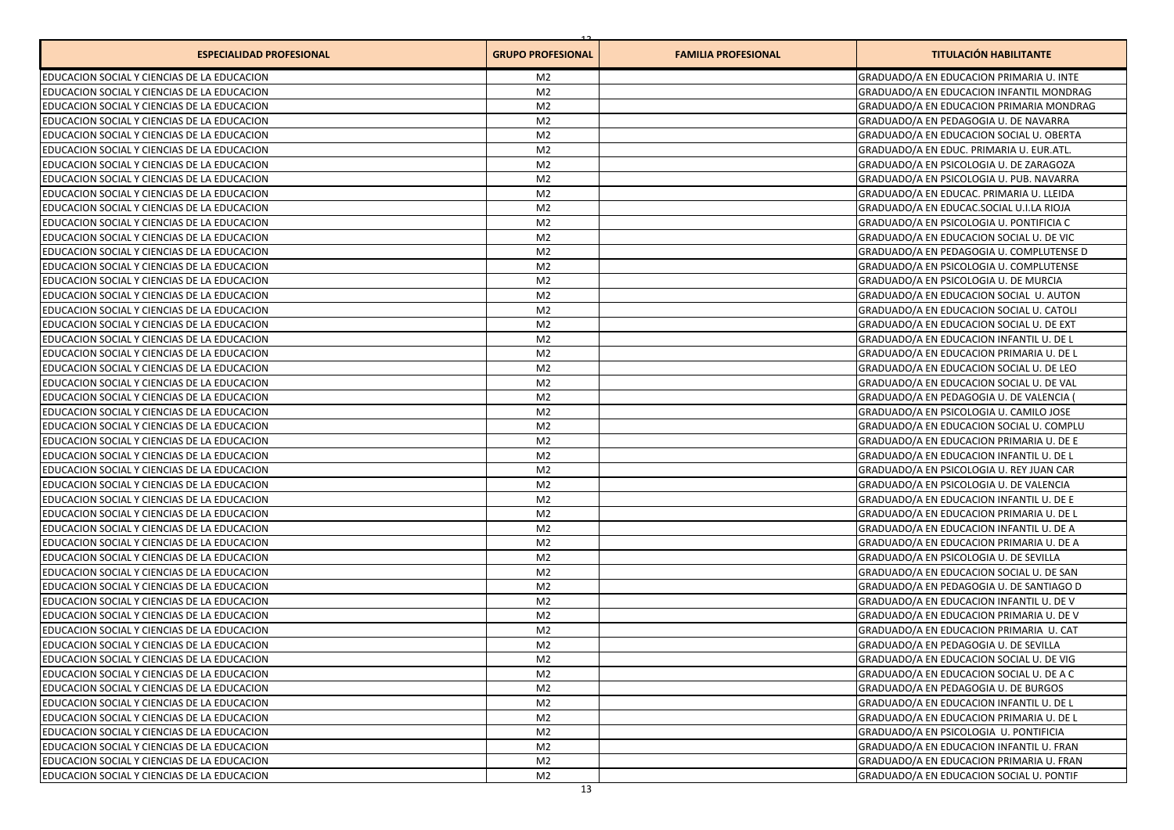| <b>ESPECIALIDAD PROFESIONAL</b>             | <b>GRUPO PROFESIONAL</b> | <b>FAMILIA PROFESIONAL</b> | <b>TITULACIÓN HABILITANTE</b>            |
|---------------------------------------------|--------------------------|----------------------------|------------------------------------------|
| EDUCACION SOCIAL Y CIENCIAS DE LA EDUCACION | M <sub>2</sub>           |                            | GRADUADO/A EN EDUCACION PRIMARIA U. INTE |
| EDUCACION SOCIAL Y CIENCIAS DE LA EDUCACION | M <sub>2</sub>           |                            | GRADUADO/A EN EDUCACION INFANTIL MONDRAG |
| EDUCACION SOCIAL Y CIENCIAS DE LA EDUCACION | M <sub>2</sub>           |                            | GRADUADO/A EN EDUCACION PRIMARIA MONDRAG |
| EDUCACION SOCIAL Y CIENCIAS DE LA EDUCACION | M <sub>2</sub>           |                            | GRADUADO/A EN PEDAGOGIA U. DE NAVARRA    |
| EDUCACION SOCIAL Y CIENCIAS DE LA EDUCACION | M <sub>2</sub>           |                            | GRADUADO/A EN EDUCACION SOCIAL U. OBERTA |
| EDUCACION SOCIAL Y CIENCIAS DE LA EDUCACION | M <sub>2</sub>           |                            | GRADUADO/A EN EDUC. PRIMARIA U. EUR.ATL. |
| EDUCACION SOCIAL Y CIENCIAS DE LA EDUCACION | M <sub>2</sub>           |                            | GRADUADO/A EN PSICOLOGIA U. DE ZARAGOZA  |
| EDUCACION SOCIAL Y CIENCIAS DE LA EDUCACION | M <sub>2</sub>           |                            | GRADUADO/A EN PSICOLOGIA U. PUB. NAVARRA |
| EDUCACION SOCIAL Y CIENCIAS DE LA EDUCACION | M <sub>2</sub>           |                            | GRADUADO/A EN EDUCAC, PRIMARIA U. LLEIDA |
| EDUCACION SOCIAL Y CIENCIAS DE LA EDUCACION | M <sub>2</sub>           |                            | GRADUADO/A EN EDUCAC.SOCIAL U.I.LA RIOJA |
| EDUCACION SOCIAL Y CIENCIAS DE LA EDUCACION | M <sub>2</sub>           |                            | GRADUADO/A EN PSICOLOGIA U. PONTIFICIA C |
| EDUCACION SOCIAL Y CIENCIAS DE LA EDUCACION | M <sub>2</sub>           |                            | GRADUADO/A EN EDUCACION SOCIAL U. DE VIC |
| EDUCACION SOCIAL Y CIENCIAS DE LA EDUCACION | M <sub>2</sub>           |                            | GRADUADO/A EN PEDAGOGIA U. COMPLUTENSE D |
| EDUCACION SOCIAL Y CIENCIAS DE LA EDUCACION | M <sub>2</sub>           |                            | GRADUADO/A EN PSICOLOGIA U. COMPLUTENSE  |
| EDUCACION SOCIAL Y CIENCIAS DE LA EDUCACION | M <sub>2</sub>           |                            | GRADUADO/A EN PSICOLOGIA U. DE MURCIA    |
| EDUCACION SOCIAL Y CIENCIAS DE LA EDUCACION | M <sub>2</sub>           |                            | GRADUADO/A EN EDUCACION SOCIAL U. AUTON  |
| EDUCACION SOCIAL Y CIENCIAS DE LA EDUCACION | M <sub>2</sub>           |                            | GRADUADO/A EN EDUCACION SOCIAL U. CATOLI |
| EDUCACION SOCIAL Y CIENCIAS DE LA EDUCACION | M <sub>2</sub>           |                            | GRADUADO/A EN EDUCACION SOCIAL U. DE EXT |
| EDUCACION SOCIAL Y CIENCIAS DE LA EDUCACION | M <sub>2</sub>           |                            | GRADUADO/A EN EDUCACION INFANTIL U. DE L |
| EDUCACION SOCIAL Y CIENCIAS DE LA EDUCACION | M <sub>2</sub>           |                            | GRADUADO/A EN EDUCACION PRIMARIA U. DE L |
| EDUCACION SOCIAL Y CIENCIAS DE LA EDUCACION | M <sub>2</sub>           |                            | GRADUADO/A EN EDUCACION SOCIAL U. DE LEO |
| EDUCACION SOCIAL Y CIENCIAS DE LA EDUCACION | M <sub>2</sub>           |                            | GRADUADO/A EN EDUCACION SOCIAL U. DE VAL |
| EDUCACION SOCIAL Y CIENCIAS DE LA EDUCACION | M <sub>2</sub>           |                            | GRADUADO/A EN PEDAGOGIA U. DE VALENCIA   |
| EDUCACION SOCIAL Y CIENCIAS DE LA EDUCACION | M <sub>2</sub>           |                            | GRADUADO/A EN PSICOLOGIA U. CAMILO JOSE  |
| EDUCACION SOCIAL Y CIENCIAS DE LA EDUCACION | M <sub>2</sub>           |                            | GRADUADO/A EN EDUCACION SOCIAL U. COMPLU |
| EDUCACION SOCIAL Y CIENCIAS DE LA EDUCACION | M <sub>2</sub>           |                            | GRADUADO/A EN EDUCACION PRIMARIA U. DE E |
| EDUCACION SOCIAL Y CIENCIAS DE LA EDUCACION | M <sub>2</sub>           |                            | GRADUADO/A EN EDUCACION INFANTIL U. DE L |
| EDUCACION SOCIAL Y CIENCIAS DE LA EDUCACION | M <sub>2</sub>           |                            | GRADUADO/A EN PSICOLOGIA U. REY JUAN CAR |
| EDUCACION SOCIAL Y CIENCIAS DE LA EDUCACION | M <sub>2</sub>           |                            | GRADUADO/A EN PSICOLOGIA U. DE VALENCIA  |
| EDUCACION SOCIAL Y CIENCIAS DE LA EDUCACION | M <sub>2</sub>           |                            | GRADUADO/A EN EDUCACION INFANTIL U. DE E |
| EDUCACION SOCIAL Y CIENCIAS DE LA EDUCACION | M <sub>2</sub>           |                            | GRADUADO/A EN EDUCACION PRIMARIA U. DE L |
| EDUCACION SOCIAL Y CIENCIAS DE LA EDUCACION | M <sub>2</sub>           |                            | GRADUADO/A EN EDUCACION INFANTIL U. DE A |
| EDUCACION SOCIAL Y CIENCIAS DE LA EDUCACION | M <sub>2</sub>           |                            | GRADUADO/A EN EDUCACION PRIMARIA U. DE A |
| EDUCACION SOCIAL Y CIENCIAS DE LA EDUCACION | M <sub>2</sub>           |                            | GRADUADO/A EN PSICOLOGIA U. DE SEVILLA   |
| EDUCACION SOCIAL Y CIENCIAS DE LA EDUCACION | M <sub>2</sub>           |                            | GRADUADO/A EN EDUCACION SOCIAL U. DE SAN |
| EDUCACION SOCIAL Y CIENCIAS DE LA EDUCACION | M <sub>2</sub>           |                            | GRADUADO/A EN PEDAGOGIA U. DE SANTIAGO D |
| EDUCACION SOCIAL Y CIENCIAS DE LA EDUCACION | M <sub>2</sub>           |                            | GRADUADO/A EN EDUCACION INFANTIL U. DE V |
| EDUCACION SOCIAL Y CIENCIAS DE LA EDUCACION | M <sub>2</sub>           |                            | GRADUADO/A EN EDUCACION PRIMARIA U. DE V |
| EDUCACION SOCIAL Y CIENCIAS DE LA EDUCACION | M <sub>2</sub>           |                            | GRADUADO/A EN EDUCACION PRIMARIA U. CAT  |
| EDUCACION SOCIAL Y CIENCIAS DE LA EDUCACION | M <sub>2</sub>           |                            | GRADUADO/A EN PEDAGOGIA U. DE SEVILLA    |
| EDUCACION SOCIAL Y CIENCIAS DE LA EDUCACION | M2                       |                            | GRADUADO/A EN EDUCACION SOCIAL U. DE VIG |
| EDUCACION SOCIAL Y CIENCIAS DE LA EDUCACION | M <sub>2</sub>           |                            | GRADUADO/A EN EDUCACION SOCIAL U. DE A C |
| EDUCACION SOCIAL Y CIENCIAS DE LA EDUCACION | M <sub>2</sub>           |                            | GRADUADO/A EN PEDAGOGIA U. DE BURGOS     |
| EDUCACION SOCIAL Y CIENCIAS DE LA EDUCACION | M <sub>2</sub>           |                            | GRADUADO/A EN EDUCACION INFANTIL U. DE L |
| EDUCACION SOCIAL Y CIENCIAS DE LA EDUCACION | M <sub>2</sub>           |                            | GRADUADO/A EN EDUCACION PRIMARIA U. DE L |
| EDUCACION SOCIAL Y CIENCIAS DE LA EDUCACION | M <sub>2</sub>           |                            | GRADUADO/A EN PSICOLOGIA U. PONTIFICIA   |
| EDUCACION SOCIAL Y CIENCIAS DE LA EDUCACION | M <sub>2</sub>           |                            | GRADUADO/A EN EDUCACION INFANTIL U. FRAN |
| EDUCACION SOCIAL Y CIENCIAS DE LA EDUCACION | M <sub>2</sub>           |                            | GRADUADO/A EN EDUCACION PRIMARIA U. FRAN |
| EDUCACION SOCIAL Y CIENCIAS DE LA EDUCACION | M <sub>2</sub>           |                            | GRADUADO/A EN EDUCACION SOCIAL U. PONTIF |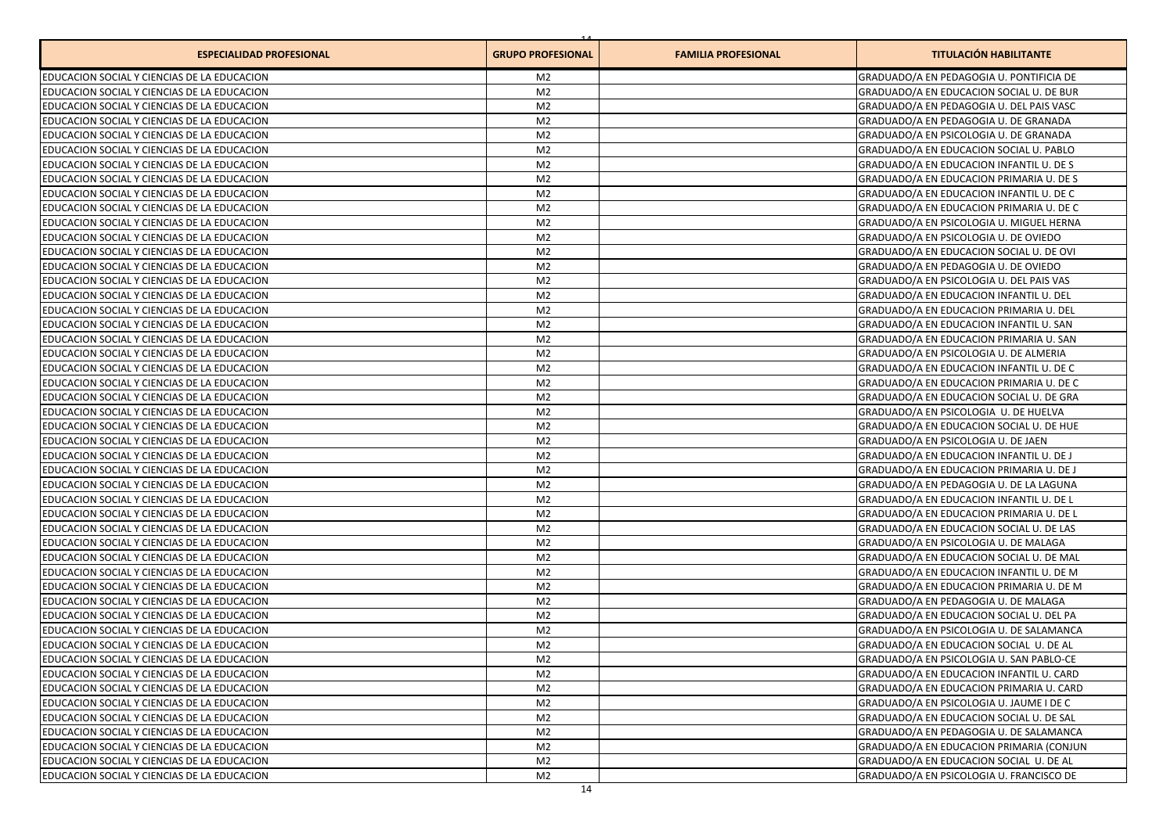| <b>ESPECIALIDAD PROFESIONAL</b>             | <b>GRUPO PROFESIONAL</b> | <b>FAMILIA PROFESIONAL</b> | <b>TITULACIÓN HABILITANTE</b>            |
|---------------------------------------------|--------------------------|----------------------------|------------------------------------------|
| EDUCACION SOCIAL Y CIENCIAS DE LA EDUCACION | M <sub>2</sub>           |                            | GRADUADO/A EN PEDAGOGIA U. PONTIFICIA DE |
| EDUCACION SOCIAL Y CIENCIAS DE LA EDUCACION | M <sub>2</sub>           |                            | GRADUADO/A EN EDUCACION SOCIAL U. DE BUR |
| EDUCACION SOCIAL Y CIENCIAS DE LA EDUCACION | M <sub>2</sub>           |                            | GRADUADO/A EN PEDAGOGIA U. DEL PAIS VASC |
| EDUCACION SOCIAL Y CIENCIAS DE LA EDUCACION | M <sub>2</sub>           |                            | GRADUADO/A EN PEDAGOGIA U. DE GRANADA    |
| EDUCACION SOCIAL Y CIENCIAS DE LA EDUCACION | M <sub>2</sub>           |                            | GRADUADO/A EN PSICOLOGIA U. DE GRANADA   |
| EDUCACION SOCIAL Y CIENCIAS DE LA EDUCACION | M <sub>2</sub>           |                            | GRADUADO/A EN EDUCACION SOCIAL U. PABLO  |
| EDUCACION SOCIAL Y CIENCIAS DE LA EDUCACION | M <sub>2</sub>           |                            | GRADUADO/A EN EDUCACION INFANTIL U. DE S |
| EDUCACION SOCIAL Y CIENCIAS DE LA EDUCACION | M <sub>2</sub>           |                            | GRADUADO/A EN EDUCACION PRIMARIA U. DE S |
| EDUCACION SOCIAL Y CIENCIAS DE LA EDUCACION | M <sub>2</sub>           |                            | GRADUADO/A EN EDUCACION INFANTIL U. DE C |
| EDUCACION SOCIAL Y CIENCIAS DE LA EDUCACION | M <sub>2</sub>           |                            | GRADUADO/A EN EDUCACION PRIMARIA U. DE C |
| EDUCACION SOCIAL Y CIENCIAS DE LA EDUCACION | M <sub>2</sub>           |                            | GRADUADO/A EN PSICOLOGIA U. MIGUEL HERNA |
| EDUCACION SOCIAL Y CIENCIAS DE LA EDUCACION | M <sub>2</sub>           |                            | GRADUADO/A EN PSICOLOGIA U. DE OVIEDO    |
| EDUCACION SOCIAL Y CIENCIAS DE LA EDUCACION | M <sub>2</sub>           |                            | GRADUADO/A EN EDUCACION SOCIAL U. DE OVI |
| EDUCACION SOCIAL Y CIENCIAS DE LA EDUCACION | M <sub>2</sub>           |                            | GRADUADO/A EN PEDAGOGIA U. DE OVIEDO     |
| EDUCACION SOCIAL Y CIENCIAS DE LA EDUCACION | M <sub>2</sub>           |                            | GRADUADO/A EN PSICOLOGIA U. DEL PAIS VAS |
| EDUCACION SOCIAL Y CIENCIAS DE LA EDUCACION | M <sub>2</sub>           |                            | GRADUADO/A EN EDUCACION INFANTIL U. DEL  |
| EDUCACION SOCIAL Y CIENCIAS DE LA EDUCACION | M <sub>2</sub>           |                            | GRADUADO/A EN EDUCACION PRIMARIA U. DEL  |
| EDUCACION SOCIAL Y CIENCIAS DE LA EDUCACION | M <sub>2</sub>           |                            | GRADUADO/A EN EDUCACION INFANTIL U. SAN  |
| EDUCACION SOCIAL Y CIENCIAS DE LA EDUCACION | M <sub>2</sub>           |                            | GRADUADO/A EN EDUCACION PRIMARIA U. SAN  |
| EDUCACION SOCIAL Y CIENCIAS DE LA EDUCACION | M <sub>2</sub>           |                            | GRADUADO/A EN PSICOLOGIA U. DE ALMERIA   |
| EDUCACION SOCIAL Y CIENCIAS DE LA EDUCACION | M <sub>2</sub>           |                            | GRADUADO/A EN EDUCACION INFANTIL U. DE C |
| EDUCACION SOCIAL Y CIENCIAS DE LA EDUCACION | M <sub>2</sub>           |                            | GRADUADO/A EN EDUCACION PRIMARIA U. DE C |
| EDUCACION SOCIAL Y CIENCIAS DE LA EDUCACION | M <sub>2</sub>           |                            | GRADUADO/A EN EDUCACION SOCIAL U. DE GRA |
| EDUCACION SOCIAL Y CIENCIAS DE LA EDUCACION | M <sub>2</sub>           |                            | GRADUADO/A EN PSICOLOGIA U. DE HUELVA    |
| EDUCACION SOCIAL Y CIENCIAS DE LA EDUCACION | M <sub>2</sub>           |                            | GRADUADO/A EN EDUCACION SOCIAL U. DE HUE |
| EDUCACION SOCIAL Y CIENCIAS DE LA EDUCACION | M <sub>2</sub>           |                            | GRADUADO/A EN PSICOLOGIA U. DE JAEN      |
| EDUCACION SOCIAL Y CIENCIAS DE LA EDUCACION | M <sub>2</sub>           |                            | GRADUADO/A EN EDUCACION INFANTIL U. DE J |
| EDUCACION SOCIAL Y CIENCIAS DE LA EDUCACION | M <sub>2</sub>           |                            | GRADUADO/A EN EDUCACION PRIMARIA U. DE J |
| EDUCACION SOCIAL Y CIENCIAS DE LA EDUCACION | M <sub>2</sub>           |                            | GRADUADO/A EN PEDAGOGIA U. DE LA LAGUNA  |
| EDUCACION SOCIAL Y CIENCIAS DE LA EDUCACION | M <sub>2</sub>           |                            | GRADUADO/A EN EDUCACION INFANTIL U. DE L |
| EDUCACION SOCIAL Y CIENCIAS DE LA EDUCACION | M <sub>2</sub>           |                            | GRADUADO/A EN EDUCACION PRIMARIA U. DE L |
| EDUCACION SOCIAL Y CIENCIAS DE LA EDUCACION | M <sub>2</sub>           |                            | GRADUADO/A EN EDUCACION SOCIAL U. DE LAS |
| EDUCACION SOCIAL Y CIENCIAS DE LA EDUCACION | M <sub>2</sub>           |                            | GRADUADO/A EN PSICOLOGIA U. DE MALAGA    |
| EDUCACION SOCIAL Y CIENCIAS DE LA EDUCACION | M <sub>2</sub>           |                            | GRADUADO/A EN EDUCACION SOCIAL U. DE MAL |
| EDUCACION SOCIAL Y CIENCIAS DE LA EDUCACION | M <sub>2</sub>           |                            | GRADUADO/A EN EDUCACION INFANTIL U. DE M |
| EDUCACION SOCIAL Y CIENCIAS DE LA EDUCACION | M <sub>2</sub>           |                            | GRADUADO/A EN EDUCACION PRIMARIA U. DE M |
| EDUCACION SOCIAL Y CIENCIAS DE LA EDUCACION | M <sub>2</sub>           |                            | GRADUADO/A EN PEDAGOGIA U. DE MALAGA     |
| EDUCACION SOCIAL Y CIENCIAS DE LA EDUCACION | M <sub>2</sub>           |                            | GRADUADO/A EN EDUCACION SOCIAL U. DEL PA |
| EDUCACION SOCIAL Y CIENCIAS DE LA EDUCACION | M <sub>2</sub>           |                            | GRADUADO/A EN PSICOLOGIA U. DE SALAMANCA |
| EDUCACION SOCIAL Y CIENCIAS DE LA EDUCACION | M <sub>2</sub>           |                            | GRADUADO/A EN EDUCACION SOCIAL U. DE AL  |
| EDUCACION SOCIAL Y CIENCIAS DE LA EDUCACION | M2                       |                            | GRADUADO/A EN PSICOLOGIA U. SAN PABLO-CE |
| EDUCACION SOCIAL Y CIENCIAS DE LA EDUCACION | M <sub>2</sub>           |                            | GRADUADO/A EN EDUCACION INFANTIL U. CARD |
| EDUCACION SOCIAL Y CIENCIAS DE LA EDUCACION | M <sub>2</sub>           |                            | GRADUADO/A EN EDUCACION PRIMARIA U. CARD |
| EDUCACION SOCIAL Y CIENCIAS DE LA EDUCACION | M <sub>2</sub>           |                            | GRADUADO/A EN PSICOLOGIA U. JAUME I DE C |
| EDUCACION SOCIAL Y CIENCIAS DE LA EDUCACION | M <sub>2</sub>           |                            | GRADUADO/A EN EDUCACION SOCIAL U. DE SAL |
| EDUCACION SOCIAL Y CIENCIAS DE LA EDUCACION | M <sub>2</sub>           |                            | GRADUADO/A EN PEDAGOGIA U. DE SALAMANCA  |
| EDUCACION SOCIAL Y CIENCIAS DE LA EDUCACION | M <sub>2</sub>           |                            | GRADUADO/A EN EDUCACION PRIMARIA (CONJUN |
| EDUCACION SOCIAL Y CIENCIAS DE LA EDUCACION | M <sub>2</sub>           |                            | GRADUADO/A EN EDUCACION SOCIAL U. DE AL  |
| EDUCACION SOCIAL Y CIENCIAS DE LA EDUCACION | M <sub>2</sub>           |                            | GRADUADO/A EN PSICOLOGIA U. FRANCISCO DE |
|                                             |                          |                            |                                          |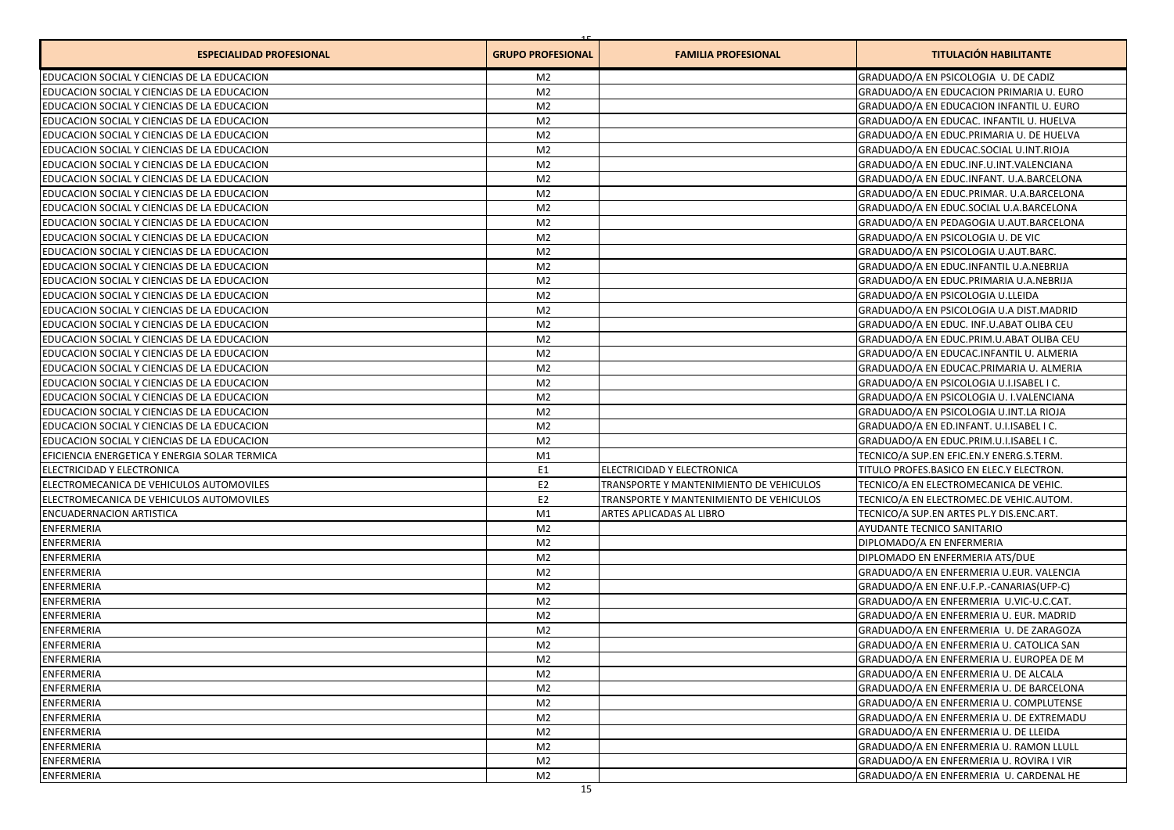| <b>ESPECIALIDAD PROFESIONAL</b>               | <b>GRUPO PROFESIONAL</b> | <b>FAMILIA PROFESIONAL</b>              | <b>TITULACIÓN HABILITANTE</b>                  |
|-----------------------------------------------|--------------------------|-----------------------------------------|------------------------------------------------|
| EDUCACION SOCIAL Y CIENCIAS DE LA EDUCACION   | M <sub>2</sub>           |                                         | GRADUADO/A EN PSICOLOGIA U. DE CADIZ           |
| EDUCACION SOCIAL Y CIENCIAS DE LA EDUCACION   | M <sub>2</sub>           |                                         | GRADUADO/A EN EDUCACION PRIMARIA U. EURO       |
| EDUCACION SOCIAL Y CIENCIAS DE LA EDUCACION   | M <sub>2</sub>           |                                         | GRADUADO/A EN EDUCACION INFANTIL U. EURO       |
| EDUCACION SOCIAL Y CIENCIAS DE LA EDUCACION   | M <sub>2</sub>           |                                         | GRADUADO/A EN EDUCAC. INFANTIL U. HUELVA       |
| EDUCACION SOCIAL Y CIENCIAS DE LA EDUCACION   | M <sub>2</sub>           |                                         | GRADUADO/A EN EDUC.PRIMARIA U. DE HUELVA       |
| EDUCACION SOCIAL Y CIENCIAS DE LA EDUCACION   | M <sub>2</sub>           |                                         | GRADUADO/A EN EDUCAC.SOCIAL U.INT.RIOJA        |
| EDUCACION SOCIAL Y CIENCIAS DE LA EDUCACION   | M <sub>2</sub>           |                                         | GRADUADO/A EN EDUC.INF.U.INT.VALENCIANA        |
| EDUCACION SOCIAL Y CIENCIAS DE LA EDUCACION   | M <sub>2</sub>           |                                         | GRADUADO/A EN EDUC.INFANT. U.A.BARCELONA       |
| EDUCACION SOCIAL Y CIENCIAS DE LA EDUCACION   | M <sub>2</sub>           |                                         | GRADUADO/A EN EDUC.PRIMAR. U.A.BARCELONA       |
| EDUCACION SOCIAL Y CIENCIAS DE LA EDUCACION   | M <sub>2</sub>           |                                         | GRADUADO/A EN EDUC.SOCIAL U.A.BARCELONA        |
| EDUCACION SOCIAL Y CIENCIAS DE LA EDUCACION   | M <sub>2</sub>           |                                         | GRADUADO/A EN PEDAGOGIA U.AUT.BARCELONA        |
| EDUCACION SOCIAL Y CIENCIAS DE LA EDUCACION   | M <sub>2</sub>           |                                         | GRADUADO/A EN PSICOLOGIA U. DE VIC             |
| EDUCACION SOCIAL Y CIENCIAS DE LA EDUCACION   | M <sub>2</sub>           |                                         | GRADUADO/A EN PSICOLOGIA U.AUT.BARC.           |
| EDUCACION SOCIAL Y CIENCIAS DE LA EDUCACION   | M <sub>2</sub>           |                                         | GRADUADO/A EN EDUC.INFANTIL U.A.NEBRIJA        |
| EDUCACION SOCIAL Y CIENCIAS DE LA EDUCACION   | M <sub>2</sub>           |                                         | GRADUADO/A EN EDUC.PRIMARIA U.A.NEBRIJA        |
| EDUCACION SOCIAL Y CIENCIAS DE LA EDUCACION   | M <sub>2</sub>           |                                         | GRADUADO/A EN PSICOLOGIA U.LLEIDA              |
| EDUCACION SOCIAL Y CIENCIAS DE LA EDUCACION   | M <sub>2</sub>           |                                         | GRADUADO/A EN PSICOLOGIA U.A DIST.MADRID       |
| EDUCACION SOCIAL Y CIENCIAS DE LA EDUCACION   | M <sub>2</sub>           |                                         | GRADUADO/A EN EDUC. INF.U.ABAT OLIBA CEU       |
| EDUCACION SOCIAL Y CIENCIAS DE LA EDUCACION   | M <sub>2</sub>           |                                         | GRADUADO/A EN EDUC.PRIM.U.ABAT OLIBA CEU       |
| EDUCACION SOCIAL Y CIENCIAS DE LA EDUCACION   | M <sub>2</sub>           |                                         | GRADUADO/A EN EDUCAC.INFANTIL U. ALMERIA       |
| EDUCACION SOCIAL Y CIENCIAS DE LA EDUCACION   | M <sub>2</sub>           |                                         | GRADUADO/A EN EDUCAC.PRIMARIA U. ALMERIA       |
| EDUCACION SOCIAL Y CIENCIAS DE LA EDUCACION   | M <sub>2</sub>           |                                         | GRADUADO/A EN PSICOLOGIA U.I.ISABEL I C.       |
| EDUCACION SOCIAL Y CIENCIAS DE LA EDUCACION   | M <sub>2</sub>           |                                         | GRADUADO/A EN PSICOLOGIA U. I.VALENCIANA       |
| EDUCACION SOCIAL Y CIENCIAS DE LA EDUCACION   | M <sub>2</sub>           |                                         | GRADUADO/A EN PSICOLOGIA U.INT.LA RIOJA        |
| EDUCACION SOCIAL Y CIENCIAS DE LA EDUCACION   | M <sub>2</sub>           |                                         | GRADUADO/A EN ED.INFANT. U.I.ISABEL I C.       |
| EDUCACION SOCIAL Y CIENCIAS DE LA EDUCACION   | M <sub>2</sub>           |                                         | GRADUADO/A EN EDUC.PRIM.U.I.ISABEL I C.        |
| EFICIENCIA ENERGETICA Y ENERGIA SOLAR TERMICA | M1                       |                                         | TECNICO/A SUP.EN EFIC.EN.Y ENERG.S.TERM.       |
| ELECTRICIDAD Y ELECTRONICA                    | E <sub>1</sub>           | ELECTRICIDAD Y ELECTRONICA              | TITULO PROFES.BASICO EN ELEC.Y ELECTRON.       |
| ELECTROMECANICA DE VEHICULOS AUTOMOVILES      | E <sub>2</sub>           | TRANSPORTE Y MANTENIMIENTO DE VEHICULOS | TECNICO/A EN ELECTROMECANICA DE VEHIC.         |
| ELECTROMECANICA DE VEHICULOS AUTOMOVILES      | E <sub>2</sub>           | TRANSPORTE Y MANTENIMIENTO DE VEHICULOS | TECNICO/A EN ELECTROMEC.DE VEHIC.AUTOM.        |
| <b>ENCUADERNACION ARTISTICA</b>               | M1                       | ARTES APLICADAS AL LIBRO                | TECNICO/A SUP.EN ARTES PL.Y DIS.ENC.ART.       |
| ENFERMERIA                                    | M <sub>2</sub>           |                                         | <b>AYUDANTE TECNICO SANITARIO</b>              |
| ENFERMERIA                                    | M <sub>2</sub>           |                                         | DIPLOMADO/A EN ENFERMERIA                      |
| ENFERMERIA                                    | M <sub>2</sub>           |                                         | DIPLOMADO EN ENFERMERIA ATS/DUE                |
| <b>ENFERMERIA</b>                             | M <sub>2</sub>           |                                         | GRADUADO/A EN ENFERMERIA U.EUR. VALENCIA       |
| <b>ENFERMERIA</b>                             | M <sub>2</sub>           |                                         | GRADUADO/A EN ENF.U.F.P.-CANARIAS(UFP-C)       |
| <b>ENFERMERIA</b>                             | M <sub>2</sub>           |                                         | GRADUADO/A EN ENFERMERIA U.VIC-U.C.CAT.        |
| ENFERMERIA                                    | M <sub>2</sub>           |                                         | GRADUADO/A EN ENFERMERIA U. EUR. MADRID        |
| <b>ENFERMERIA</b>                             | M <sub>2</sub>           |                                         | GRADUADO/A EN ENFERMERIA U. DE ZARAGOZA        |
| <b>ENFERMERIA</b>                             | M <sub>2</sub>           |                                         | GRADUADO/A EN ENFERMERIA U. CATOLICA SAN       |
| <b>ENFERMERIA</b>                             | M <sub>2</sub>           |                                         | GRADUADO/A EN ENFERMERIA U. EUROPEA DE M       |
| <b>ENFERMERIA</b>                             | M <sub>2</sub>           |                                         | GRADUADO/A EN ENFERMERIA U. DE ALCALA          |
| <b>ENFERMERIA</b>                             | M <sub>2</sub>           |                                         | GRADUADO/A EN ENFERMERIA U. DE BARCELONA       |
| ENFERMERIA                                    | M <sub>2</sub>           |                                         | <b>GRADUADO/A EN ENFERMERIA U. COMPLUTENSE</b> |
| ENFERMERIA                                    | M <sub>2</sub>           |                                         | GRADUADO/A EN ENFERMERIA U. DE EXTREMADU       |
| <b>ENFERMERIA</b>                             | M <sub>2</sub>           |                                         | GRADUADO/A EN ENFERMERIA U. DE LLEIDA          |
| ENFERMERIA                                    | M <sub>2</sub>           |                                         | GRADUADO/A EN ENFERMERIA U. RAMON LLULL        |
| <b>ENFERMERIA</b>                             | M <sub>2</sub>           |                                         | GRADUADO/A EN ENFERMERIA U. ROVIRA I VIR       |
| ENFERMERIA                                    | M <sub>2</sub>           |                                         | GRADUADO/A EN ENFERMERIA U. CARDENAL HE        |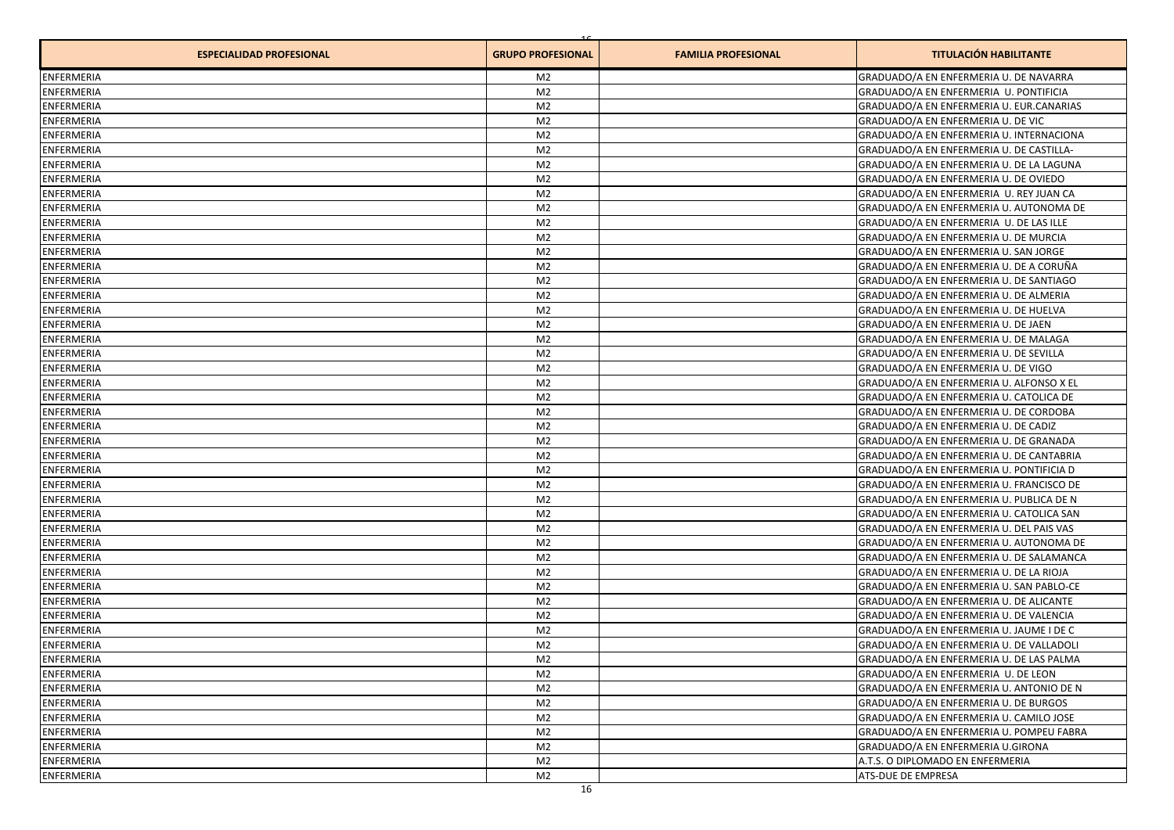| <b>ESPECIALIDAD PROFESIONAL</b> | <b>GRUPO PROFESIONAL</b> | <b>FAMILIA PROFESIONAL</b> | <b>TITULACIÓN HABILITANTE</b>            |
|---------------------------------|--------------------------|----------------------------|------------------------------------------|
| <b>ENFERMERIA</b>               | M <sub>2</sub>           |                            | GRADUADO/A EN ENFERMERIA U. DE NAVARRA   |
| <b>ENFERMERIA</b>               | M <sub>2</sub>           |                            | GRADUADO/A EN ENFERMERIA U. PONTIFICIA   |
| <b>ENFERMERIA</b>               | M <sub>2</sub>           |                            | GRADUADO/A EN ENFERMERIA U. EUR.CANARIAS |
| <b>ENFERMERIA</b>               | M <sub>2</sub>           |                            | GRADUADO/A EN ENFERMERIA U. DE VIC       |
| <b>ENFERMERIA</b>               | M <sub>2</sub>           |                            | GRADUADO/A EN ENFERMERIA U. INTERNACIONA |
| <b>ENFERMERIA</b>               | M <sub>2</sub>           |                            | GRADUADO/A EN ENFERMERIA U. DE CASTILLA- |
| <b>ENFERMERIA</b>               | M <sub>2</sub>           |                            | GRADUADO/A EN ENFERMERIA U. DE LA LAGUNA |
| <b>ENFERMERIA</b>               | M <sub>2</sub>           |                            | GRADUADO/A EN ENFERMERIA U. DE OVIEDO    |
| <b>ENFERMERIA</b>               | M <sub>2</sub>           |                            | GRADUADO/A EN ENFERMERIA U. REY JUAN CA  |
| <b>ENFERMERIA</b>               | M <sub>2</sub>           |                            | GRADUADO/A EN ENFERMERIA U. AUTONOMA DE  |
| <b>ENFERMERIA</b>               | M <sub>2</sub>           |                            | GRADUADO/A EN ENFERMERIA U. DE LAS ILLE  |
| <b>ENFERMERIA</b>               | M <sub>2</sub>           |                            | GRADUADO/A EN ENFERMERIA U. DE MURCIA    |
| <b>ENFERMERIA</b>               | M <sub>2</sub>           |                            | GRADUADO/A EN ENFERMERIA U. SAN JORGE    |
| <b>ENFERMERIA</b>               | M <sub>2</sub>           |                            | GRADUADO/A EN ENFERMERIA U. DE A CORUÑA  |
| <b>ENFERMERIA</b>               | M <sub>2</sub>           |                            | GRADUADO/A EN ENFERMERIA U. DE SANTIAGO  |
| <b>ENFERMERIA</b>               | M <sub>2</sub>           |                            | GRADUADO/A EN ENFERMERIA U. DE ALMERIA   |
| <b>ENFERMERIA</b>               | M <sub>2</sub>           |                            | GRADUADO/A EN ENFERMERIA U. DE HUELVA    |
| <b>ENFERMERIA</b>               | M <sub>2</sub>           |                            | GRADUADO/A EN ENFERMERIA U. DE JAEN      |
| <b>ENFERMERIA</b>               | M <sub>2</sub>           |                            | GRADUADO/A EN ENFERMERIA U. DE MALAGA    |
| <b>ENFERMERIA</b>               | M <sub>2</sub>           |                            | GRADUADO/A EN ENFERMERIA U. DE SEVILLA   |
| ENFERMERIA                      | M <sub>2</sub>           |                            | GRADUADO/A EN ENFERMERIA U. DE VIGO      |
| <b>ENFERMERIA</b>               | M <sub>2</sub>           |                            | GRADUADO/A EN ENFERMERIA U. ALFONSO X EL |
| <b>ENFERMERIA</b>               | M <sub>2</sub>           |                            | GRADUADO/A EN ENFERMERIA U. CATOLICA DE  |
| <b>ENFERMERIA</b>               | M <sub>2</sub>           |                            | GRADUADO/A EN ENFERMERIA U. DE CORDOBA   |
| <b>ENFERMERIA</b>               | M <sub>2</sub>           |                            | GRADUADO/A EN ENFERMERIA U. DE CADIZ     |
| <b>ENFERMERIA</b>               | M <sub>2</sub>           |                            | GRADUADO/A EN ENFERMERIA U. DE GRANADA   |
| <b>ENFERMERIA</b>               | M <sub>2</sub>           |                            | GRADUADO/A EN ENFERMERIA U. DE CANTABRIA |
| <b>ENFERMERIA</b>               | M <sub>2</sub>           |                            | GRADUADO/A EN ENFERMERIA U. PONTIFICIA D |
| <b>ENFERMERIA</b>               | M <sub>2</sub>           |                            | GRADUADO/A EN ENFERMERIA U. FRANCISCO DE |
| <b>ENFERMERIA</b>               | M <sub>2</sub>           |                            | GRADUADO/A EN ENFERMERIA U. PUBLICA DE N |
| <b>ENFERMERIA</b>               | M <sub>2</sub>           |                            | GRADUADO/A EN ENFERMERIA U. CATOLICA SAN |
| <b>ENFERMERIA</b>               | M <sub>2</sub>           |                            | GRADUADO/A EN ENFERMERIA U. DEL PAIS VAS |
| <b>ENFERMERIA</b>               | M <sub>2</sub>           |                            | GRADUADO/A EN ENFERMERIA U. AUTONOMA DE  |
| <b>ENFERMERIA</b>               | M <sub>2</sub>           |                            | GRADUADO/A EN ENFERMERIA U. DE SALAMANCA |
| <b>ENFERMERIA</b>               | M <sub>2</sub>           |                            | GRADUADO/A EN ENFERMERIA U. DE LA RIOJA  |
| <b>ENFERMERIA</b>               | M <sub>2</sub>           |                            | GRADUADO/A EN ENFERMERIA U. SAN PABLO-CE |
| <b>ENFERMERIA</b>               | M <sub>2</sub>           |                            | GRADUADO/A EN ENFERMERIA U. DE ALICANTE  |
| <b>ENFERMERIA</b>               | M <sub>2</sub>           |                            | GRADUADO/A EN ENFERMERIA U. DE VALENCIA  |
| <b>ENFERMERIA</b>               | M <sub>2</sub>           |                            | GRADUADO/A EN ENFERMERIA U. JAUME I DE C |
| <b>ENFERMERIA</b>               | M <sub>2</sub>           |                            | GRADUADO/A EN ENFERMERIA U. DE VALLADOLI |
| <b>ENFERMERIA</b>               | M <sub>2</sub>           |                            | GRADUADO/A EN ENFERMERIA U. DE LAS PALMA |
| ENFERMERIA                      | M <sub>2</sub>           |                            | GRADUADO/A EN ENFERMERIA U. DE LEON      |
| <b>ENFERMERIA</b>               | M <sub>2</sub>           |                            | GRADUADO/A EN ENFERMERIA U. ANTONIO DE N |
| <b>ENFERMERIA</b>               | M <sub>2</sub>           |                            | GRADUADO/A EN ENFERMERIA U. DE BURGOS    |
| <b>ENFERMERIA</b>               | M <sub>2</sub>           |                            | GRADUADO/A EN ENFERMERIA U. CAMILO JOSE  |
| <b>ENFERMERIA</b>               | M <sub>2</sub>           |                            | GRADUADO/A EN ENFERMERIA U. POMPEU FABRA |
| ENFERMERIA                      | M <sub>2</sub>           |                            | GRADUADO/A EN ENFERMERIA U.GIRONA        |
| ENFERMERIA                      | M <sub>2</sub>           |                            | A.T.S. O DIPLOMADO EN ENFERMERIA         |
| ENFERMERIA                      | M <sub>2</sub>           |                            | ATS-DUE DE EMPRESA                       |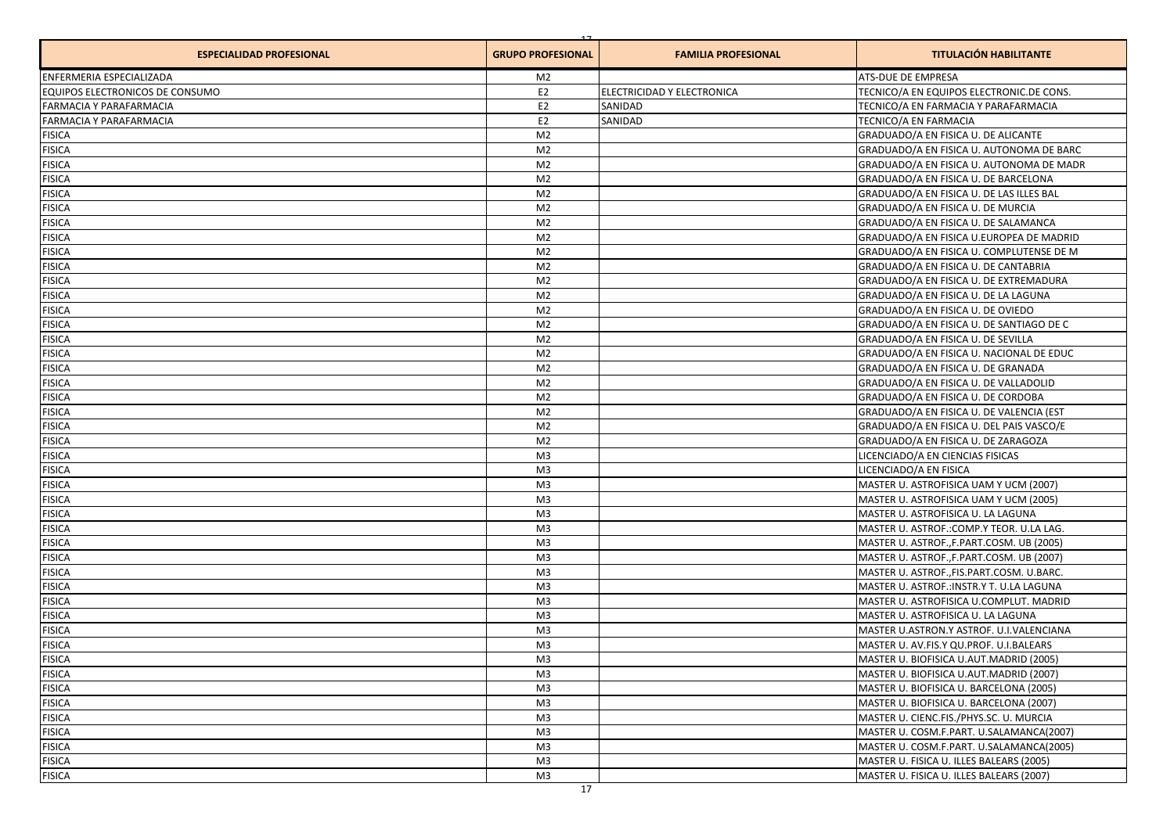| <b>ESPECIALIDAD PROFESIONAL</b> | <b>GRUPO PROFESIONAL</b> | <b>FAMILIA PROFESIONAL</b> | <b>TITULACIÓN HABILITANTE</b>              |
|---------------------------------|--------------------------|----------------------------|--------------------------------------------|
| <b>ENFERMERIA ESPECIALIZADA</b> | M <sub>2</sub>           |                            | <b>ATS-DUE DE EMPRESA</b>                  |
| EQUIPOS ELECTRONICOS DE CONSUMO | E2                       | ELECTRICIDAD Y ELECTRONICA | TECNICO/A EN EQUIPOS ELECTRONIC.DE CONS.   |
| FARMACIA Y PARAFARMACIA         | E <sub>2</sub>           | SANIDAD                    | TECNICO/A EN FARMACIA Y PARAFARMACIA       |
| FARMACIA Y PARAFARMACIA         | E <sub>2</sub>           | SANIDAD                    | TECNICO/A EN FARMACIA                      |
| <b>FISICA</b>                   | M <sub>2</sub>           |                            | GRADUADO/A EN FISICA U. DE ALICANTE        |
| <b>FISICA</b>                   | M <sub>2</sub>           |                            | GRADUADO/A EN FISICA U. AUTONOMA DE BARC   |
| <b>FISICA</b>                   | M <sub>2</sub>           |                            | GRADUADO/A EN FISICA U. AUTONOMA DE MADR   |
| <b>FISICA</b>                   | M <sub>2</sub>           |                            | GRADUADO/A EN FISICA U. DE BARCELONA       |
| <b>FISICA</b>                   | M <sub>2</sub>           |                            | GRADUADO/A EN FISICA U. DE LAS ILLES BAL   |
| <b>FISICA</b>                   | M <sub>2</sub>           |                            | GRADUADO/A EN FISICA U. DE MURCIA          |
| <b>FISICA</b>                   | M <sub>2</sub>           |                            | GRADUADO/A EN FISICA U. DE SALAMANCA       |
| <b>FISICA</b>                   | M <sub>2</sub>           |                            | GRADUADO/A EN FISICA U.EUROPEA DE MADRID   |
| <b>FISICA</b>                   | M <sub>2</sub>           |                            | GRADUADO/A EN FISICA U. COMPLUTENSE DE M   |
| <b>FISICA</b>                   | M <sub>2</sub>           |                            | GRADUADO/A EN FISICA U. DE CANTABRIA       |
| <b>FISICA</b>                   | M <sub>2</sub>           |                            | GRADUADO/A EN FISICA U. DE EXTREMADURA     |
| <b>FISICA</b>                   | M <sub>2</sub>           |                            | GRADUADO/A EN FISICA U. DE LA LAGUNA       |
| <b>FISICA</b>                   | M <sub>2</sub>           |                            | GRADUADO/A EN FISICA U. DE OVIEDO          |
| <b>FISICA</b>                   | M <sub>2</sub>           |                            | GRADUADO/A EN FISICA U. DE SANTIAGO DE C   |
| <b>FISICA</b>                   | M <sub>2</sub>           |                            | GRADUADO/A EN FISICA U. DE SEVILLA         |
| <b>FISICA</b>                   | M <sub>2</sub>           |                            | GRADUADO/A EN FISICA U. NACIONAL DE EDUC   |
| <b>FISICA</b>                   | M <sub>2</sub>           |                            | GRADUADO/A EN FISICA U. DE GRANADA         |
| <b>FISICA</b>                   | M <sub>2</sub>           |                            | GRADUADO/A EN FISICA U. DE VALLADOLID      |
| <b>FISICA</b>                   | M <sub>2</sub>           |                            | GRADUADO/A EN FISICA U. DE CORDOBA         |
| <b>FISICA</b>                   | M <sub>2</sub>           |                            | GRADUADO/A EN FISICA U. DE VALENCIA (EST   |
| <b>FISICA</b>                   | M <sub>2</sub>           |                            | GRADUADO/A EN FISICA U. DEL PAIS VASCO/E   |
| <b>FISICA</b>                   | M <sub>2</sub>           |                            | GRADUADO/A EN FISICA U. DE ZARAGOZA        |
| <b>FISICA</b>                   | M <sub>3</sub>           |                            | LICENCIADO/A EN CIENCIAS FISICAS           |
| <b>FISICA</b>                   | M <sub>3</sub>           |                            | LICENCIADO/A EN FISICA                     |
| <b>FISICA</b>                   | M <sub>3</sub>           |                            | MASTER U. ASTROFISICA UAM Y UCM (2007)     |
| <b>FISICA</b>                   | M <sub>3</sub>           |                            | MASTER U. ASTROFISICA UAM Y UCM (2005)     |
| <b>FISICA</b>                   | M <sub>3</sub>           |                            | MASTER U. ASTROFISICA U. LA LAGUNA         |
| <b>FISICA</b>                   | M <sub>3</sub>           |                            | MASTER U. ASTROF.: COMP.Y TEOR. U.LA LAG.  |
| <b>FISICA</b>                   | M <sub>3</sub>           |                            | MASTER U. ASTROF., F. PART.COSM. UB (2005) |
| <b>FISICA</b>                   | M <sub>3</sub>           |                            | MASTER U. ASTROF., F. PART.COSM. UB (2007) |
| <b>FISICA</b>                   | M <sub>3</sub>           |                            | MASTER U. ASTROF., FIS.PART.COSM. U.BARC.  |
| <b>FISICA</b>                   | M <sub>3</sub>           |                            | MASTER U. ASTROF.: INSTR.Y T. U.LA LAGUNA  |
| <b>FISICA</b>                   | M <sub>3</sub>           |                            | MASTER U. ASTROFISICA U.COMPLUT. MADRID    |
| <b>FISICA</b>                   | M <sub>3</sub>           |                            | MASTER U. ASTROFISICA U. LA LAGUNA         |
| <b>FISICA</b>                   | M <sub>3</sub>           |                            | MASTER U.ASTRON.Y ASTROF. U.I.VALENCIANA   |
| <b>FISICA</b>                   | M <sub>3</sub>           |                            | MASTER U. AV.FIS.Y QU.PROF. U.I.BALEARS    |
| <b>FISICA</b>                   | M <sub>3</sub>           |                            | MASTER U. BIOFISICA U.AUT.MADRID (2005)    |
| <b>FISICA</b>                   | M <sub>3</sub>           |                            | MASTER U. BIOFISICA U.AUT.MADRID (2007)    |
| <b>FISICA</b>                   | M <sub>3</sub>           |                            | MASTER U. BIOFISICA U. BARCELONA (2005)    |
| <b>FISICA</b>                   | M <sub>3</sub>           |                            | MASTER U. BIOFISICA U. BARCELONA (2007)    |
| <b>FISICA</b>                   | M <sub>3</sub>           |                            | MASTER U. CIENC.FIS./PHYS.SC. U. MURCIA    |
| <b>FISICA</b>                   | M <sub>3</sub>           |                            | MASTER U. COSM.F.PART. U.SALAMANCA(2007)   |
| <b>FISICA</b>                   | M <sub>3</sub>           |                            | MASTER U. COSM.F.PART. U.SALAMANCA(2005)   |
| <b>FISICA</b>                   | M <sub>3</sub>           |                            | MASTER U. FISICA U. ILLES BALEARS (2005)   |
| <b>FISICA</b>                   | M <sub>3</sub>           |                            | MASTER U. FISICA U. ILLES BALEARS (2007)   |
|                                 |                          |                            |                                            |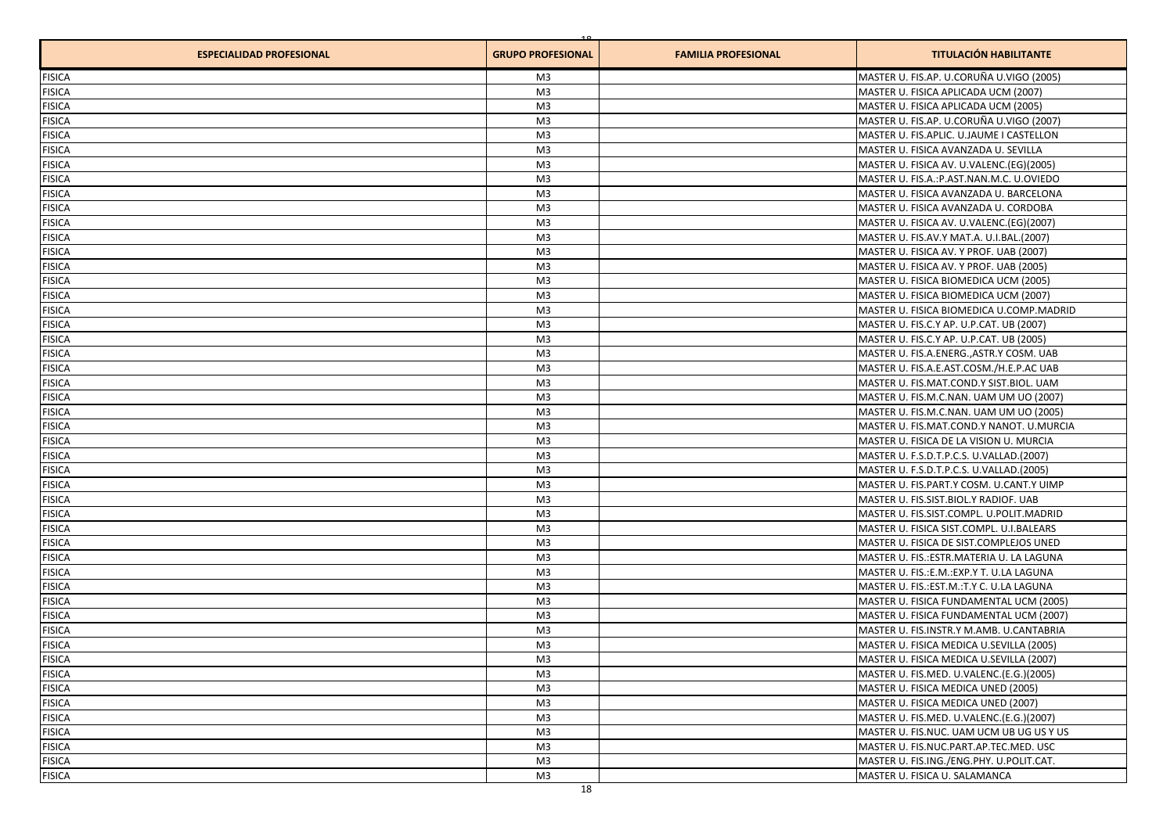| <b>ESPECIALIDAD PROFESIONAL</b> | <b>GRUPO PROFESIONAL</b> | <b>FAMILIA PROFESIONAL</b> | <b>TITULACIÓN HABILITANTE</b>              |
|---------------------------------|--------------------------|----------------------------|--------------------------------------------|
| <b>FISICA</b>                   | M <sub>3</sub>           |                            | MASTER U. FIS.AP. U.CORUÑA U.VIGO (2005)   |
| <b>FISICA</b>                   | M <sub>3</sub>           |                            | MASTER U. FISICA APLICADA UCM (2007)       |
| <b>FISICA</b>                   | M <sub>3</sub>           |                            | MASTER U. FISICA APLICADA UCM (2005)       |
| <b>FISICA</b>                   | M <sub>3</sub>           |                            | MASTER U. FIS.AP. U.CORUÑA U.VIGO (2007)   |
| <b>FISICA</b>                   | M <sub>3</sub>           |                            | MASTER U. FIS.APLIC. U.JAUME I CASTELLON   |
| <b>FISICA</b>                   | M <sub>3</sub>           |                            | MASTER U. FISICA AVANZADA U. SEVILLA       |
| <b>FISICA</b>                   | M <sub>3</sub>           |                            | MASTER U. FISICA AV. U.VALENC.(EG)(2005)   |
| <b>FISICA</b>                   | M <sub>3</sub>           |                            | MASTER U. FIS.A.: P.AST.NAN.M.C. U.OVIEDO  |
| <b>FISICA</b>                   | M <sub>3</sub>           |                            | MASTER U. FISICA AVANZADA U. BARCELONA     |
| <b>FISICA</b>                   | M <sub>3</sub>           |                            | MASTER U. FISICA AVANZADA U. CORDOBA       |
| <b>FISICA</b>                   | M <sub>3</sub>           |                            | MASTER U. FISICA AV. U.VALENC.(EG)(2007)   |
| <b>FISICA</b>                   | M <sub>3</sub>           |                            | MASTER U. FIS.AV.Y MAT.A. U.I.BAL.(2007)   |
| <b>FISICA</b>                   | M <sub>3</sub>           |                            | MASTER U. FISICA AV. Y PROF. UAB (2007)    |
| <b>FISICA</b>                   | M <sub>3</sub>           |                            | MASTER U. FISICA AV. Y PROF. UAB (2005)    |
| <b>FISICA</b>                   | M <sub>3</sub>           |                            | MASTER U. FISICA BIOMEDICA UCM (2005)      |
| <b>FISICA</b>                   | M <sub>3</sub>           |                            | MASTER U. FISICA BIOMEDICA UCM (2007)      |
| <b>FISICA</b>                   | M <sub>3</sub>           |                            | MASTER U. FISICA BIOMEDICA U.COMP.MADRID   |
| <b>FISICA</b>                   | M <sub>3</sub>           |                            | MASTER U. FIS.C.Y AP. U.P.CAT. UB (2007)   |
| <b>FISICA</b>                   | M <sub>3</sub>           |                            | MASTER U. FIS.C.Y AP. U.P.CAT. UB (2005)   |
| <b>FISICA</b>                   | M <sub>3</sub>           |                            | MASTER U. FIS.A.ENERG., ASTR.Y COSM. UAB   |
| <b>FISICA</b>                   | M <sub>3</sub>           |                            | MASTER U. FIS.A.E.AST.COSM./H.E.P.AC UAB   |
| <b>FISICA</b>                   | M <sub>3</sub>           |                            | MASTER U. FIS.MAT.COND.Y SIST.BIOL. UAM    |
| <b>FISICA</b>                   | M <sub>3</sub>           |                            | MASTER U. FIS.M.C.NAN. UAM UM UO (2007)    |
| <b>FISICA</b>                   | M <sub>3</sub>           |                            | MASTER U. FIS.M.C.NAN. UAM UM UO (2005)    |
| <b>FISICA</b>                   | M <sub>3</sub>           |                            | MASTER U. FIS.MAT.COND.Y NANOT. U.MURCIA   |
| <b>FISICA</b>                   | M <sub>3</sub>           |                            | MASTER U. FISICA DE LA VISION U. MURCIA    |
| <b>FISICA</b>                   | M <sub>3</sub>           |                            | MASTER U. F.S.D.T.P.C.S. U.VALLAD.(2007)   |
| <b>FISICA</b>                   | M <sub>3</sub>           |                            | MASTER U. F.S.D.T.P.C.S. U.VALLAD.(2005)   |
| <b>FISICA</b>                   | M <sub>3</sub>           |                            | MASTER U. FIS.PART.Y COSM. U.CANT.Y UIMP   |
| <b>FISICA</b>                   | M <sub>3</sub>           |                            | MASTER U. FIS.SIST.BIOL.Y RADIOF. UAB      |
| <b>FISICA</b>                   | M <sub>3</sub>           |                            | MASTER U. FIS.SIST.COMPL. U.POLIT.MADRID   |
| <b>FISICA</b>                   | M <sub>3</sub>           |                            | MASTER U. FISICA SIST.COMPL. U.I.BALEARS   |
| <b>FISICA</b>                   | M <sub>3</sub>           |                            | MASTER U. FISICA DE SIST.COMPLEJOS UNED    |
| <b>FISICA</b>                   | M <sub>3</sub>           |                            | MASTER U. FIS.: ESTR. MATERIA U. LA LAGUNA |
| <b>FISICA</b>                   | M <sub>3</sub>           |                            | MASTER U. FIS.: E.M.: EXP.Y T. U.LA LAGUNA |
| <b>FISICA</b>                   | M <sub>3</sub>           |                            | MASTER U. FIS.: EST.M.: T.Y C. U.LA LAGUNA |
| <b>FISICA</b>                   | M <sub>3</sub>           |                            | MASTER U. FISICA FUNDAMENTAL UCM (2005)    |
| <b>FISICA</b>                   | M <sub>3</sub>           |                            | MASTER U. FISICA FUNDAMENTAL UCM (2007)    |
| <b>FISICA</b>                   | M <sub>3</sub>           |                            | MASTER U. FIS.INSTR.Y M.AMB. U.CANTABRIA   |
| <b>FISICA</b>                   | M <sub>3</sub>           |                            | MASTER U. FISICA MEDICA U.SEVILLA (2005)   |
| <b>FISICA</b>                   | M <sub>3</sub>           |                            | MASTER U. FISICA MEDICA U.SEVILLA (2007)   |
| <b>FISICA</b>                   | M <sub>3</sub>           |                            | MASTER U. FIS.MED. U.VALENC.(E.G.)(2005)   |
| <b>FISICA</b>                   | M <sub>3</sub>           |                            | MASTER U. FISICA MEDICA UNED (2005)        |
| <b>FISICA</b>                   | M <sub>3</sub>           |                            | MASTER U. FISICA MEDICA UNED (2007)        |
| <b>FISICA</b>                   | M <sub>3</sub>           |                            | MASTER U. FIS.MED. U.VALENC.(E.G.)(2007)   |
| <b>FISICA</b>                   | M <sub>3</sub>           |                            | MASTER U. FIS.NUC. UAM UCM UB UG US Y US   |
| <b>FISICA</b>                   | M <sub>3</sub>           |                            | MASTER U. FIS.NUC.PART.AP.TEC.MED. USC     |
| <b>FISICA</b>                   | M <sub>3</sub>           |                            | MASTER U. FIS.ING./ENG.PHY. U.POLIT.CAT.   |
| <b>FISICA</b>                   | M <sub>3</sub>           |                            | MASTER U. FISICA U. SALAMANCA              |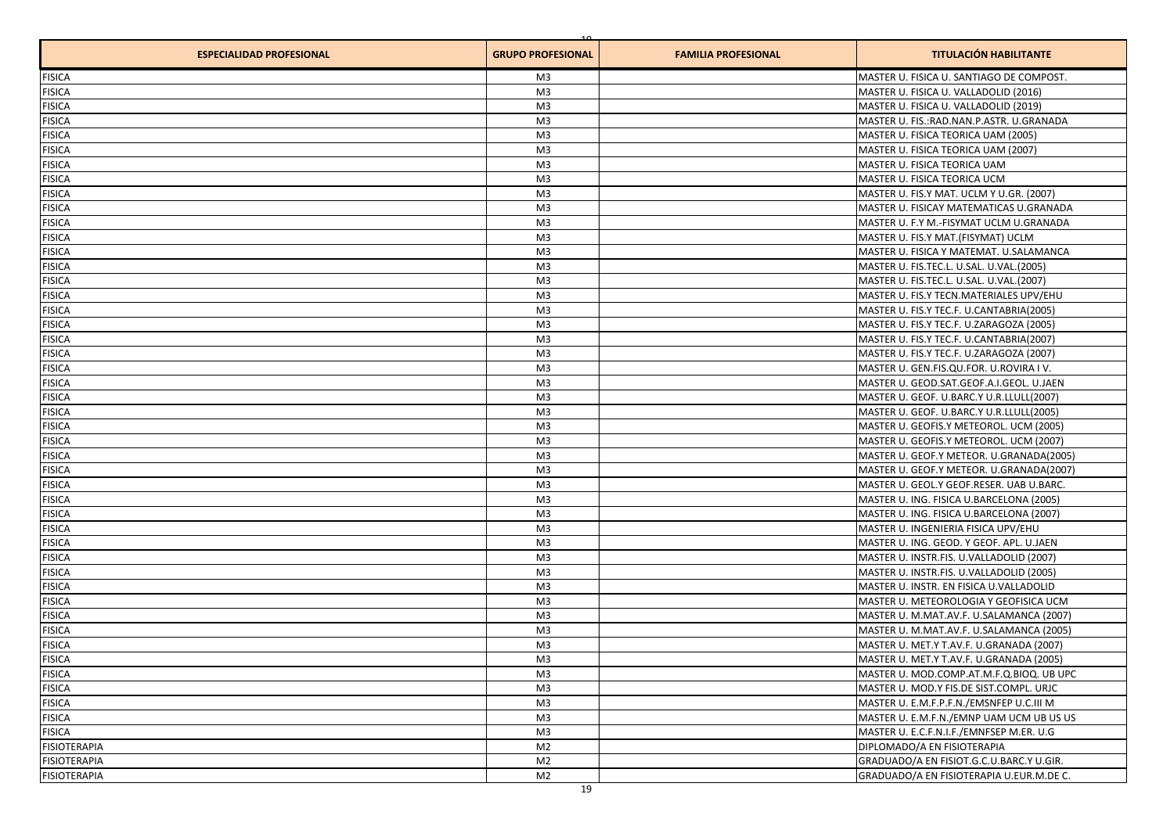| <b>ESPECIALIDAD PROFESIONAL</b> | <b>GRUPO PROFESIONAL</b> | <b>FAMILIA PROFESIONAL</b> | <b>TITULACIÓN HABILITANTE</b>                |
|---------------------------------|--------------------------|----------------------------|----------------------------------------------|
| <b>FISICA</b>                   | M <sub>3</sub>           |                            | MASTER U. FISICA U. SANTIAGO DE COMPOST.     |
| <b>FISICA</b>                   | M <sub>3</sub>           |                            | MASTER U. FISICA U. VALLADOLID (2016)        |
| <b>FISICA</b>                   | M <sub>3</sub>           |                            | MASTER U. FISICA U. VALLADOLID (2019)        |
| <b>FISICA</b>                   | M <sub>3</sub>           |                            | MASTER U. FIS.: RAD. NAN. P.ASTR. U. GRANADA |
| <b>FISICA</b>                   | M <sub>3</sub>           |                            | MASTER U. FISICA TEORICA UAM (2005)          |
| <b>FISICA</b>                   | M <sub>3</sub>           |                            | MASTER U. FISICA TEORICA UAM (2007)          |
| <b>FISICA</b>                   | M <sub>3</sub>           |                            | MASTER U. FISICA TEORICA UAM                 |
| <b>FISICA</b>                   | M <sub>3</sub>           |                            | MASTER U. FISICA TEORICA UCM                 |
| <b>FISICA</b>                   | M <sub>3</sub>           |                            | MASTER U. FIS.Y MAT. UCLM Y U.GR. (2007)     |
| <b>FISICA</b>                   | M <sub>3</sub>           |                            | MASTER U. FISICAY MATEMATICAS U.GRANADA      |
| <b>FISICA</b>                   | M <sub>3</sub>           |                            | MASTER U. F.Y M.-FISYMAT UCLM U.GRANADA      |
| <b>FISICA</b>                   | M <sub>3</sub>           |                            | MASTER U. FIS.Y MAT.(FISYMAT) UCLM           |
| <b>FISICA</b>                   | M <sub>3</sub>           |                            | MASTER U. FISICA Y MATEMAT. U.SALAMANCA      |
| <b>FISICA</b>                   | M <sub>3</sub>           |                            | MASTER U. FIS.TEC.L. U.SAL. U.VAL.(2005)     |
| <b>FISICA</b>                   | M <sub>3</sub>           |                            | MASTER U. FIS.TEC.L. U.SAL. U.VAL.(2007)     |
| <b>FISICA</b>                   | M <sub>3</sub>           |                            | MASTER U. FIS.Y TECN.MATERIALES UPV/EHU      |
| <b>FISICA</b>                   | M <sub>3</sub>           |                            | MASTER U. FIS.Y TEC.F. U.CANTABRIA(2005)     |
| <b>FISICA</b>                   | M <sub>3</sub>           |                            | MASTER U. FIS.Y TEC.F. U.ZARAGOZA (2005)     |
| <b>FISICA</b>                   | M <sub>3</sub>           |                            | MASTER U. FIS.Y TEC.F. U.CANTABRIA(2007)     |
| <b>FISICA</b>                   | M <sub>3</sub>           |                            | MASTER U. FIS.Y TEC.F. U.ZARAGOZA (2007)     |
| <b>FISICA</b>                   | M <sub>3</sub>           |                            | MASTER U. GEN.FIS.QU.FOR. U.ROVIRA I V.      |
| <b>FISICA</b>                   | M <sub>3</sub>           |                            | MASTER U. GEOD.SAT.GEOF.A.I.GEOL. U.JAEN     |
| <b>FISICA</b>                   | M <sub>3</sub>           |                            | MASTER U. GEOF. U.BARC.Y U.R.LLULL(2007)     |
| <b>FISICA</b>                   | M <sub>3</sub>           |                            | MASTER U. GEOF. U.BARC.Y U.R.LLULL(2005)     |
| <b>FISICA</b>                   | M <sub>3</sub>           |                            | MASTER U. GEOFIS.Y METEOROL. UCM (2005)      |
| <b>FISICA</b>                   | M <sub>3</sub>           |                            | MASTER U. GEOFIS.Y METEOROL. UCM (2007)      |
| <b>FISICA</b>                   | M <sub>3</sub>           |                            | MASTER U. GEOF.Y METEOR. U.GRANADA(2005)     |
| <b>FISICA</b>                   | M <sub>3</sub>           |                            | MASTER U. GEOF.Y METEOR. U.GRANADA(2007)     |
| <b>FISICA</b>                   | M <sub>3</sub>           |                            | MASTER U. GEOL.Y GEOF.RESER. UAB U.BARC.     |
| <b>FISICA</b>                   | M <sub>3</sub>           |                            | MASTER U. ING. FISICA U.BARCELONA (2005)     |
| <b>FISICA</b>                   | M <sub>3</sub>           |                            | MASTER U. ING. FISICA U.BARCELONA (2007)     |
| <b>FISICA</b>                   | M <sub>3</sub>           |                            | MASTER U. INGENIERIA FISICA UPV/EHU          |
| <b>FISICA</b>                   | M <sub>3</sub>           |                            | MASTER U. ING. GEOD. Y GEOF. APL. U.JAEN     |
| <b>FISICA</b>                   | M <sub>3</sub>           |                            | MASTER U. INSTR.FIS. U.VALLADOLID (2007)     |
| <b>FISICA</b>                   | M <sub>3</sub>           |                            | MASTER U. INSTR.FIS. U.VALLADOLID (2005)     |
| <b>FISICA</b>                   | M <sub>3</sub>           |                            | MASTER U. INSTR. EN FISICA U.VALLADOLID      |
| <b>FISICA</b>                   | M <sub>3</sub>           |                            | MASTER U. METEOROLOGIA Y GEOFISICA UCM       |
| <b>FISICA</b>                   | M <sub>3</sub>           |                            | MASTER U. M.MAT.AV.F. U.SALAMANCA (2007)     |
| <b>FISICA</b>                   | M <sub>3</sub>           |                            | MASTER U. M.MAT.AV.F. U.SALAMANCA (2005)     |
| <b>FISICA</b>                   | M <sub>3</sub>           |                            | MASTER U. MET.Y T.AV.F. U.GRANADA (2007)     |
| <b>FISICA</b>                   | M <sub>3</sub>           |                            | MASTER U. MET.Y T.AV.F. U.GRANADA (2005)     |
| <b>FISICA</b>                   | M <sub>3</sub>           |                            | MASTER U. MOD.COMP.AT.M.F.Q.BIOQ. UB UPC     |
| <b>FISICA</b>                   | M <sub>3</sub>           |                            | MASTER U. MOD.Y FIS.DE SIST.COMPL. URJC      |
| <b>FISICA</b>                   | M <sub>3</sub>           |                            | MASTER U. E.M.F.P.F.N./EMSNFEP U.C.III M     |
| <b>FISICA</b>                   | M <sub>3</sub>           |                            | MASTER U. E.M.F.N./EMNP UAM UCM UB US US     |
| <b>FISICA</b>                   | M <sub>3</sub>           |                            | MASTER U. E.C.F.N.I.F./EMNFSEP M.ER. U.G     |
| <b>FISIOTERAPIA</b>             | M <sub>2</sub>           |                            | DIPLOMADO/A EN FISIOTERAPIA                  |
| <b>FISIOTERAPIA</b>             | M <sub>2</sub>           |                            | GRADUADO/A EN FISIOT.G.C.U.BARC.Y U.GIR.     |
| <b>FISIOTERAPIA</b>             | M <sub>2</sub>           |                            | GRADUADO/A EN FISIOTERAPIA U.EUR.M.DE C.     |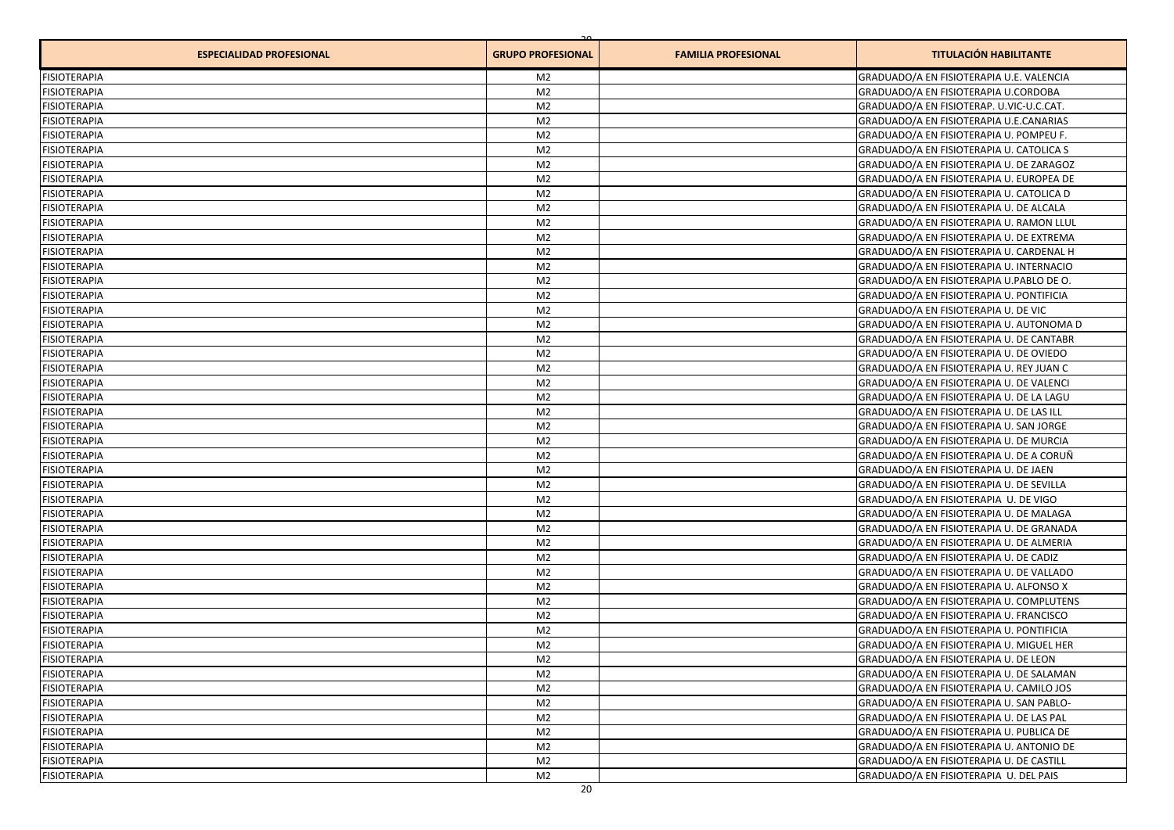| <b>ESPECIALIDAD PROFESIONAL</b> | <b>GRUPO PROFESIONAL</b> | <b>FAMILIA PROFESIONAL</b> | <b>TITULACIÓN HABILITANTE</b>            |
|---------------------------------|--------------------------|----------------------------|------------------------------------------|
| <b>FISIOTERAPIA</b>             | M2                       |                            | GRADUADO/A EN FISIOTERAPIA U.E. VALENCIA |
| <b>FISIOTERAPIA</b>             | M <sub>2</sub>           |                            | GRADUADO/A EN FISIOTERAPIA U.CORDOBA     |
| <b>FISIOTERAPIA</b>             | M <sub>2</sub>           |                            | GRADUADO/A EN FISIOTERAP. U.VIC-U.C.CAT. |
| <b>FISIOTERAPIA</b>             | M <sub>2</sub>           |                            | GRADUADO/A EN FISIOTERAPIA U.E.CANARIAS  |
| <b>FISIOTERAPIA</b>             | M <sub>2</sub>           |                            | GRADUADO/A EN FISIOTERAPIA U. POMPEU F.  |
| <b>FISIOTERAPIA</b>             | M <sub>2</sub>           |                            | GRADUADO/A EN FISIOTERAPIA U. CATOLICA S |
| <b>FISIOTERAPIA</b>             | M <sub>2</sub>           |                            | GRADUADO/A EN FISIOTERAPIA U. DE ZARAGOZ |
| <b>FISIOTERAPIA</b>             | M <sub>2</sub>           |                            | GRADUADO/A EN FISIOTERAPIA U. EUROPEA DE |
| <b>FISIOTERAPIA</b>             | M <sub>2</sub>           |                            | GRADUADO/A EN FISIOTERAPIA U. CATOLICA D |
| <b>FISIOTERAPIA</b>             | M <sub>2</sub>           |                            | GRADUADO/A EN FISIOTERAPIA U. DE ALCALA  |
| <b>FISIOTERAPIA</b>             | M <sub>2</sub>           |                            | GRADUADO/A EN FISIOTERAPIA U. RAMON LLUL |
| <b>FISIOTERAPIA</b>             | M <sub>2</sub>           |                            | GRADUADO/A EN FISIOTERAPIA U. DE EXTREMA |
| <b>FISIOTERAPIA</b>             | M <sub>2</sub>           |                            | GRADUADO/A EN FISIOTERAPIA U. CARDENAL H |
| <b>FISIOTERAPIA</b>             | M <sub>2</sub>           |                            | GRADUADO/A EN FISIOTERAPIA U. INTERNACIO |
| <b>FISIOTERAPIA</b>             | M <sub>2</sub>           |                            | GRADUADO/A EN FISIOTERAPIA U.PABLO DE O. |
| <b>FISIOTERAPIA</b>             | M <sub>2</sub>           |                            | GRADUADO/A EN FISIOTERAPIA U. PONTIFICIA |
| <b>FISIOTERAPIA</b>             | M <sub>2</sub>           |                            | GRADUADO/A EN FISIOTERAPIA U. DE VIC     |
| <b>FISIOTERAPIA</b>             | M <sub>2</sub>           |                            | GRADUADO/A EN FISIOTERAPIA U. AUTONOMA D |
| <b>FISIOTERAPIA</b>             | M <sub>2</sub>           |                            | GRADUADO/A EN FISIOTERAPIA U. DE CANTABR |
| <b>FISIOTERAPIA</b>             | M <sub>2</sub>           |                            | GRADUADO/A EN FISIOTERAPIA U. DE OVIEDO  |
| <b>FISIOTERAPIA</b>             | M <sub>2</sub>           |                            | GRADUADO/A EN FISIOTERAPIA U. REY JUAN C |
| <b>FISIOTERAPIA</b>             | M <sub>2</sub>           |                            | GRADUADO/A EN FISIOTERAPIA U. DE VALENCI |
| <b>FISIOTERAPIA</b>             | M <sub>2</sub>           |                            | GRADUADO/A EN FISIOTERAPIA U. DE LA LAGU |
| <b>FISIOTERAPIA</b>             | M <sub>2</sub>           |                            | GRADUADO/A EN FISIOTERAPIA U. DE LAS ILL |
| <b>FISIOTERAPIA</b>             | M <sub>2</sub>           |                            | GRADUADO/A EN FISIOTERAPIA U. SAN JORGE  |
| <b>FISIOTERAPIA</b>             | M <sub>2</sub>           |                            | GRADUADO/A EN FISIOTERAPIA U. DE MURCIA  |
| <b>FISIOTERAPIA</b>             | M <sub>2</sub>           |                            | GRADUADO/A EN FISIOTERAPIA U. DE A CORUÑ |
| <b>FISIOTERAPIA</b>             | M <sub>2</sub>           |                            | GRADUADO/A EN FISIOTERAPIA U. DE JAEN    |
| <b>FISIOTERAPIA</b>             | M <sub>2</sub>           |                            | GRADUADO/A EN FISIOTERAPIA U. DE SEVILLA |
| <b>FISIOTERAPIA</b>             | M <sub>2</sub>           |                            | GRADUADO/A EN FISIOTERAPIA U. DE VIGO    |
| <b>FISIOTERAPIA</b>             | M <sub>2</sub>           |                            | GRADUADO/A EN FISIOTERAPIA U. DE MALAGA  |
| <b>FISIOTERAPIA</b>             | M <sub>2</sub>           |                            | GRADUADO/A EN FISIOTERAPIA U. DE GRANADA |
| <b>FISIOTERAPIA</b>             | M <sub>2</sub>           |                            | GRADUADO/A EN FISIOTERAPIA U. DE ALMERIA |
| <b>FISIOTERAPIA</b>             | M <sub>2</sub>           |                            | GRADUADO/A EN FISIOTERAPIA U. DE CADIZ   |
| <b>FISIOTERAPIA</b>             | M <sub>2</sub>           |                            | GRADUADO/A EN FISIOTERAPIA U. DE VALLADO |
| <b>FISIOTERAPIA</b>             | M <sub>2</sub>           |                            | GRADUADO/A EN FISIOTERAPIA U. ALFONSO X  |
| <b>FISIOTERAPIA</b>             | M <sub>2</sub>           |                            | GRADUADO/A EN FISIOTERAPIA U. COMPLUTENS |
| <b>FISIOTERAPIA</b>             | M <sub>2</sub>           |                            | GRADUADO/A EN FISIOTERAPIA U. FRANCISCO  |
| <b>FISIOTERAPIA</b>             | M <sub>2</sub>           |                            | GRADUADO/A EN FISIOTERAPIA U. PONTIFICIA |
| <b>FISIOTERAPIA</b>             | M <sub>2</sub>           |                            | GRADUADO/A EN FISIOTERAPIA U. MIGUEL HER |
| <b>FISIOTERAPIA</b>             | M2                       |                            | GRADUADO/A EN FISIOTERAPIA U. DE LEON    |
| <b>FISIOTERAPIA</b>             | M <sub>2</sub>           |                            | GRADUADO/A EN FISIOTERAPIA U. DE SALAMAN |
| <b>FISIOTERAPIA</b>             | M <sub>2</sub>           |                            | GRADUADO/A EN FISIOTERAPIA U. CAMILO JOS |
| <b>FISIOTERAPIA</b>             | M <sub>2</sub>           |                            | GRADUADO/A EN FISIOTERAPIA U. SAN PABLO- |
| <b>FISIOTERAPIA</b>             | M <sub>2</sub>           |                            | GRADUADO/A EN FISIOTERAPIA U. DE LAS PAL |
| <b>FISIOTERAPIA</b>             | M <sub>2</sub>           |                            | GRADUADO/A EN FISIOTERAPIA U. PUBLICA DE |
| <b>FISIOTERAPIA</b>             | M <sub>2</sub>           |                            | GRADUADO/A EN FISIOTERAPIA U. ANTONIO DE |
| <b>FISIOTERAPIA</b>             | M <sub>2</sub>           |                            | GRADUADO/A EN FISIOTERAPIA U. DE CASTILL |
| <b>FISIOTERAPIA</b>             | M <sub>2</sub>           |                            | GRADUADO/A EN FISIOTERAPIA U. DEL PAIS   |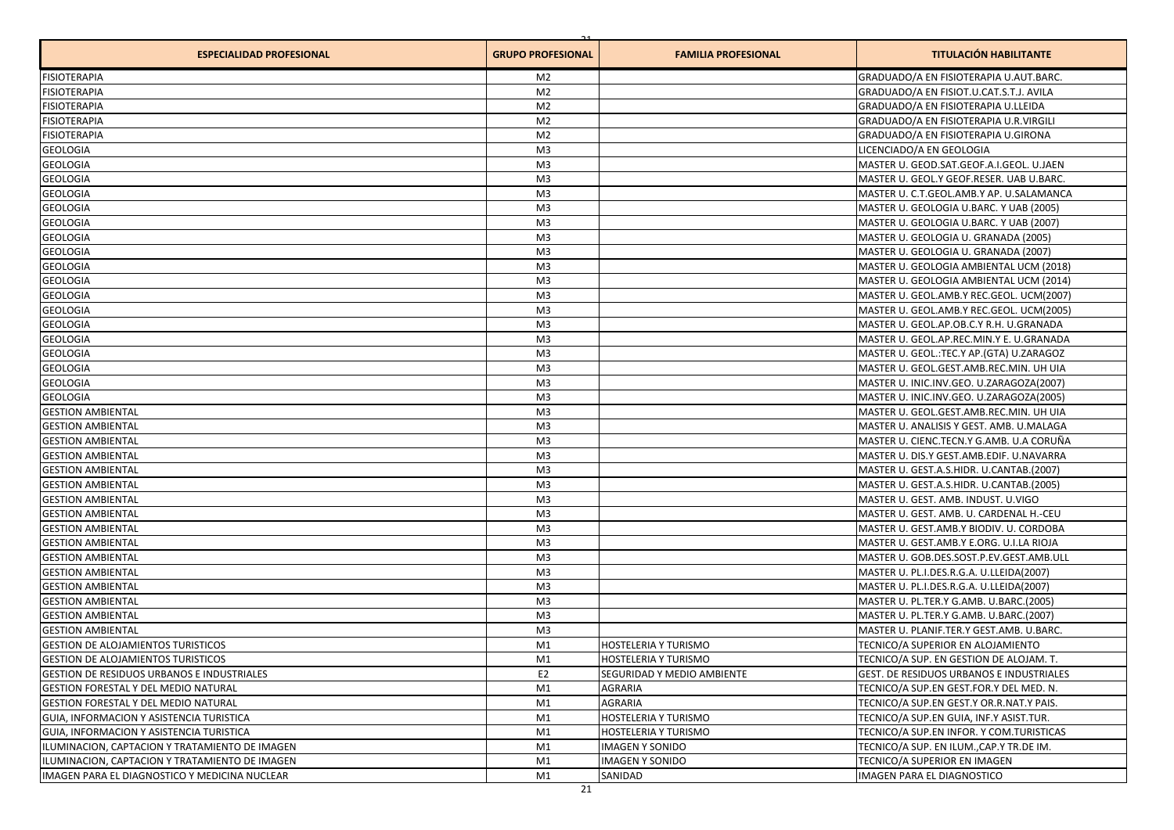| <b>ESPECIALIDAD PROFESIONAL</b>                | <b>GRUPO PROFESIONAL</b> | <b>FAMILIA PROFESIONAL</b>                   | <b>TITULACIÓN HABILITANTE</b>                                                       |
|------------------------------------------------|--------------------------|----------------------------------------------|-------------------------------------------------------------------------------------|
| <b>FISIOTERAPIA</b>                            | M <sub>2</sub>           |                                              | GRADUADO/A EN FISIOTERAPIA U.AUT.BARC.                                              |
| <b>FISIOTERAPIA</b>                            | M <sub>2</sub>           |                                              | GRADUADO/A EN FISIOT.U.CAT.S.T.J. AVILA                                             |
| <b>FISIOTERAPIA</b>                            | M <sub>2</sub>           |                                              | GRADUADO/A EN FISIOTERAPIA U.LLEIDA                                                 |
| <b>FISIOTERAPIA</b>                            | M <sub>2</sub>           |                                              | GRADUADO/A EN FISIOTERAPIA U.R.VIRGILI                                              |
| <b>FISIOTERAPIA</b>                            | M <sub>2</sub>           |                                              | GRADUADO/A EN FISIOTERAPIA U.GIRONA                                                 |
| <b>GEOLOGIA</b>                                | M <sub>3</sub>           |                                              | LICENCIADO/A EN GEOLOGIA                                                            |
| <b>GEOLOGIA</b>                                | M <sub>3</sub>           |                                              | MASTER U. GEOD.SAT.GEOF.A.I.GEOL. U.JAEN                                            |
| <b>GEOLOGIA</b>                                | M <sub>3</sub>           |                                              | MASTER U. GEOL.Y GEOF.RESER. UAB U.BARC.                                            |
| <b>GEOLOGIA</b>                                | M <sub>3</sub>           |                                              | MASTER U. C.T.GEOL.AMB.Y AP. U.SALAMANCA                                            |
| <b>GEOLOGIA</b>                                | M <sub>3</sub>           |                                              | MASTER U. GEOLOGIA U.BARC. Y UAB (2005)                                             |
| <b>GEOLOGIA</b>                                | M <sub>3</sub>           |                                              | MASTER U. GEOLOGIA U.BARC. Y UAB (2007)                                             |
| <b>GEOLOGIA</b>                                | M <sub>3</sub>           |                                              | MASTER U. GEOLOGIA U. GRANADA (2005)                                                |
| <b>GEOLOGIA</b>                                | M <sub>3</sub>           |                                              | MASTER U. GEOLOGIA U. GRANADA (2007)                                                |
| <b>GEOLOGIA</b>                                | M <sub>3</sub>           |                                              | MASTER U. GEOLOGIA AMBIENTAL UCM (2018)                                             |
| <b>GEOLOGIA</b>                                | M <sub>3</sub>           |                                              | MASTER U. GEOLOGIA AMBIENTAL UCM (2014)                                             |
| <b>GEOLOGIA</b>                                | M <sub>3</sub>           |                                              | MASTER U. GEOL.AMB.Y REC.GEOL. UCM(2007)                                            |
| <b>GEOLOGIA</b>                                | M <sub>3</sub>           |                                              | MASTER U. GEOL.AMB.Y REC.GEOL. UCM(2005)                                            |
| <b>GEOLOGIA</b>                                | M <sub>3</sub>           |                                              | MASTER U. GEOL.AP.OB.C.Y R.H. U.GRANADA                                             |
| <b>GEOLOGIA</b>                                | M <sub>3</sub>           |                                              | MASTER U. GEOL.AP.REC.MIN.Y E. U.GRANADA                                            |
| <b>GEOLOGIA</b>                                | M <sub>3</sub>           |                                              | MASTER U. GEOL.:TEC.Y AP.(GTA) U.ZARAGOZ                                            |
| <b>GEOLOGIA</b>                                | M <sub>3</sub>           |                                              | MASTER U. GEOL.GEST.AMB.REC.MIN. UH UIA                                             |
| <b>GEOLOGIA</b>                                | M <sub>3</sub>           |                                              | MASTER U. INIC.INV.GEO. U.ZARAGOZA(2007)                                            |
| <b>GEOLOGIA</b>                                | M <sub>3</sub>           |                                              | MASTER U. INIC.INV.GEO. U.ZARAGOZA(2005)                                            |
| <b>GESTION AMBIENTAL</b>                       | M <sub>3</sub>           |                                              | MASTER U. GEOL.GEST.AMB.REC.MIN. UH UIA                                             |
| <b>GESTION AMBIENTAL</b>                       | M <sub>3</sub>           |                                              | MASTER U. ANALISIS Y GEST. AMB. U.MALAGA                                            |
| <b>GESTION AMBIENTAL</b>                       | M <sub>3</sub>           |                                              | MASTER U. CIENC.TECN.Y G.AMB. U.A CORUÑA                                            |
| <b>GESTION AMBIENTAL</b>                       | M <sub>3</sub>           |                                              | MASTER U. DIS.Y GEST.AMB.EDIF. U.NAVARRA                                            |
| <b>GESTION AMBIENTAL</b>                       | M <sub>3</sub>           |                                              | MASTER U. GEST.A.S.HIDR. U.CANTAB.(2007)                                            |
| <b>GESTION AMBIENTAL</b>                       | M <sub>3</sub>           |                                              | MASTER U. GEST.A.S.HIDR. U.CANTAB.(2005)                                            |
| <b>GESTION AMBIENTAL</b>                       | M <sub>3</sub>           |                                              | MASTER U. GEST. AMB. INDUST. U.VIGO                                                 |
| <b>GESTION AMBIENTAL</b>                       | M <sub>3</sub>           |                                              | MASTER U. GEST. AMB. U. CARDENAL H.-CEU                                             |
| <b>GESTION AMBIENTAL</b>                       | M <sub>3</sub>           |                                              | MASTER U. GEST.AMB.Y BIODIV. U. CORDOBA                                             |
| <b>GESTION AMBIENTAL</b>                       | M <sub>3</sub>           |                                              | MASTER U. GEST.AMB.Y E.ORG. U.I.LA RIOJA                                            |
| <b>GESTION AMBIENTAL</b>                       | M <sub>3</sub>           |                                              | MASTER U. GOB.DES.SOST.P.EV.GEST.AMB.ULL                                            |
| <b>GESTION AMBIENTAL</b>                       | M <sub>3</sub>           |                                              | MASTER U. PL.I.DES.R.G.A. U.LLEIDA(2007)                                            |
| <b>GESTION AMBIENTAL</b>                       | M <sub>3</sub>           |                                              | MASTER U. PL.I.DES.R.G.A. U.LLEIDA(2007)                                            |
| <b>GESTION AMBIENTAL</b>                       | M <sub>3</sub>           |                                              | MASTER U. PL.TER.Y G.AMB. U.BARC.(2005)                                             |
| <b>GESTION AMBIENTAL</b>                       | M <sub>3</sub>           |                                              | MASTER U. PL.TER.Y G.AMB. U.BARC.(2007)                                             |
| <b>GESTION AMBIENTAL</b>                       | M <sub>3</sub>           |                                              | MASTER U. PLANIF.TER.Y GEST.AMB. U.BARC.                                            |
| <b>GESTION DE ALOJAMIENTOS TURISTICOS</b>      | M1                       | HOSTELERIA Y TURISMO                         | TECNICO/A SUPERIOR EN ALOJAMIENTO                                                   |
| <b>GESTION DE ALOJAMIENTOS TURISTICOS</b>      | M1                       | HOSTELERIA Y TURISMO                         |                                                                                     |
| GESTION DE RESIDUOS URBANOS E INDUSTRIALES     | E <sub>2</sub>           | SEGURIDAD Y MEDIO AMBIENTE                   | TECNICO/A SUP. EN GESTION DE ALOJAM. T.<br>GEST. DE RESIDUOS URBANOS E INDUSTRIALES |
| GESTION FORESTAL Y DEL MEDIO NATURAL           | M1                       | AGRARIA                                      | TECNICO/A SUP.EN GEST.FOR.Y DEL MED. N.                                             |
|                                                |                          |                                              |                                                                                     |
| GESTION FORESTAL Y DEL MEDIO NATURAL           | M1                       | AGRARIA                                      | TECNICO/A SUP.EN GEST.Y OR.R.NAT.Y PAIS.                                            |
| GUIA, INFORMACION Y ASISTENCIA TURISTICA       | M1                       | HOSTELERIA Y TURISMO<br>HOSTELERIA Y TURISMO | TECNICO/A SUP.EN GUIA, INF.Y ASIST.TUR.                                             |
| GUIA, INFORMACION Y ASISTENCIA TURISTICA       | M1                       |                                              | TECNICO/A SUP.EN INFOR. Y COM.TURISTICAS                                            |
| ILUMINACION, CAPTACION Y TRATAMIENTO DE IMAGEN | M1                       | <b>IMAGEN Y SONIDO</b>                       | TECNICO/A SUP. EN ILUM., CAP.Y TR. DE IM.                                           |
| ILUMINACION, CAPTACION Y TRATAMIENTO DE IMAGEN | M1                       | IMAGEN Y SONIDO                              | TECNICO/A SUPERIOR EN IMAGEN                                                        |
| IMAGEN PARA EL DIAGNOSTICO Y MEDICINA NUCLEAR  | M1                       | SANIDAD                                      | IMAGEN PARA EL DIAGNOSTICO                                                          |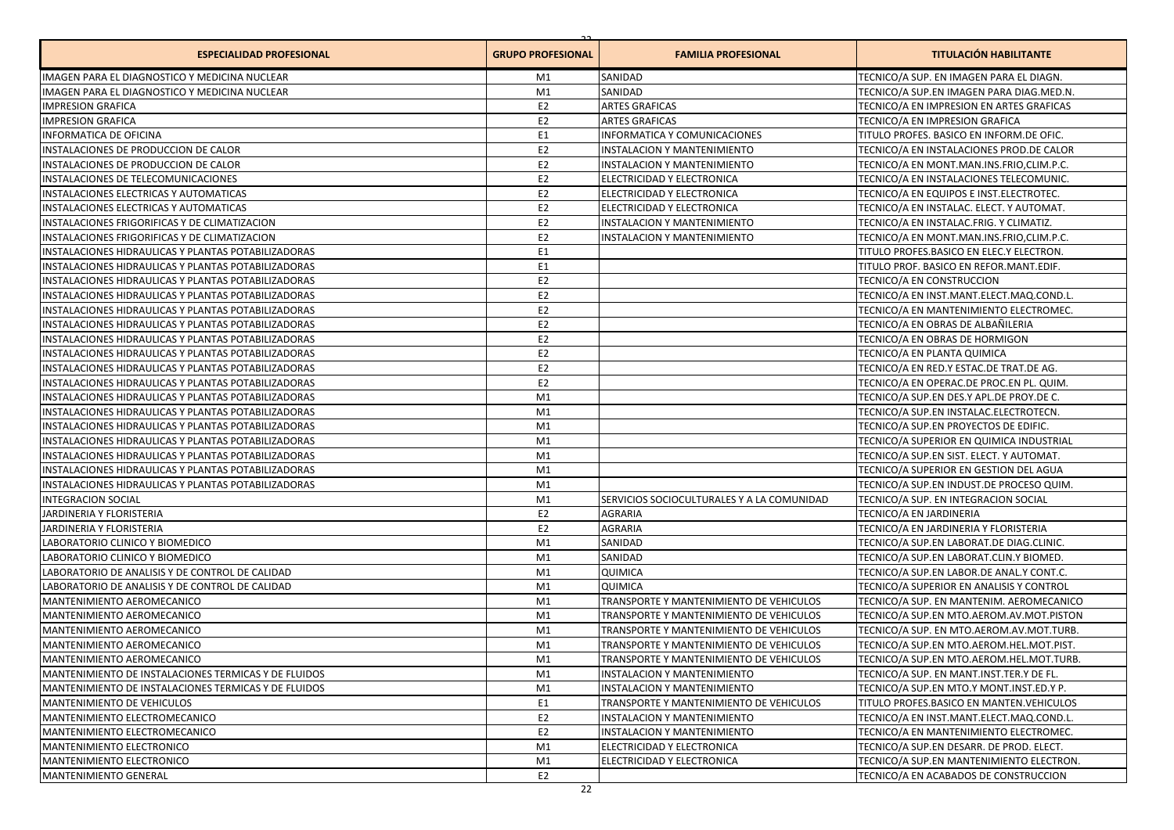| <b>ESPECIALIDAD PROFESIONAL</b>                      | <b>GRUPO PROFESIONAL</b> | <b>FAMILIA PROFESIONAL</b>                 | <b>TITULACIÓN HABILITANTE</b>              |
|------------------------------------------------------|--------------------------|--------------------------------------------|--------------------------------------------|
| IMAGEN PARA EL DIAGNOSTICO Y MEDICINA NUCLEAR        | M1                       | SANIDAD                                    | TECNICO/A SUP. EN IMAGEN PARA EL DIAGN.    |
| IMAGEN PARA EL DIAGNOSTICO Y MEDICINA NUCLEAR        | M1                       | SANIDAD                                    | TECNICO/A SUP.EN IMAGEN PARA DIAG.MED.N.   |
| <b>IMPRESION GRAFICA</b>                             | E <sub>2</sub>           | <b>ARTES GRAFICAS</b>                      | TECNICO/A EN IMPRESION EN ARTES GRAFICAS   |
| <b>IMPRESION GRAFICA</b>                             | E <sub>2</sub>           | <b>ARTES GRAFICAS</b>                      | TECNICO/A EN IMPRESION GRAFICA             |
| <b>INFORMATICA DE OFICINA</b>                        | E <sub>1</sub>           | <b>INFORMATICA Y COMUNICACIONES</b>        | TITULO PROFES. BASICO EN INFORM.DE OFIC.   |
| INSTALACIONES DE PRODUCCION DE CALOR                 | E <sub>2</sub>           | INSTALACION Y MANTENIMIENTO                | TECNICO/A EN INSTALACIONES PROD. DE CALOR  |
| INSTALACIONES DE PRODUCCION DE CALOR                 | E <sub>2</sub>           | INSTALACION Y MANTENIMIENTO                | TECNICO/A EN MONT.MAN.INS.FRIO,CLIM.P.C.   |
| INSTALACIONES DE TELECOMUNICACIONES                  | E <sub>2</sub>           | ELECTRICIDAD Y ELECTRONICA                 | TECNICO/A EN INSTALACIONES TELECOMUNIC.    |
| INSTALACIONES ELECTRICAS Y AUTOMATICAS               | E <sub>2</sub>           | ELECTRICIDAD Y ELECTRONICA                 | TECNICO/A EN EQUIPOS E INST.ELECTROTEC.    |
| INSTALACIONES ELECTRICAS Y AUTOMATICAS               | E <sub>2</sub>           | ELECTRICIDAD Y ELECTRONICA                 | TECNICO/A EN INSTALAC. ELECT. Y AUTOMAT.   |
| INSTALACIONES FRIGORIFICAS Y DE CLIMATIZACION        | E <sub>2</sub>           | INSTALACION Y MANTENIMIENTO                | TECNICO/A EN INSTALAC.FRIG. Y CLIMATIZ.    |
| INSTALACIONES FRIGORIFICAS Y DE CLIMATIZACION        | E <sub>2</sub>           | INSTALACION Y MANTENIMIENTO                | TECNICO/A EN MONT.MAN.INS.FRIO,CLIM.P.C.   |
| INSTALACIONES HIDRAULICAS Y PLANTAS POTABILIZADORAS  | E <sub>1</sub>           |                                            | TITULO PROFES. BASICO EN ELEC. Y ELECTRON. |
| INSTALACIONES HIDRAULICAS Y PLANTAS POTABILIZADORAS  | E <sub>1</sub>           |                                            | TITULO PROF. BASICO EN REFOR.MANT.EDIF.    |
| INSTALACIONES HIDRAULICAS Y PLANTAS POTABILIZADORAS  | E <sub>2</sub>           |                                            | TECNICO/A EN CONSTRUCCION                  |
| INSTALACIONES HIDRAULICAS Y PLANTAS POTABILIZADORAS  | E <sub>2</sub>           |                                            | TECNICO/A EN INST.MANT.ELECT.MAQ.COND.L.   |
| INSTALACIONES HIDRAULICAS Y PLANTAS POTABILIZADORAS  | E <sub>2</sub>           |                                            | TECNICO/A EN MANTENIMIENTO ELECTROMEC.     |
| INSTALACIONES HIDRAULICAS Y PLANTAS POTABILIZADORAS  | E <sub>2</sub>           |                                            | TECNICO/A EN OBRAS DE ALBAÑILERIA          |
| INSTALACIONES HIDRAULICAS Y PLANTAS POTABILIZADORAS  | E <sub>2</sub>           |                                            | TECNICO/A EN OBRAS DE HORMIGON             |
| INSTALACIONES HIDRAULICAS Y PLANTAS POTABILIZADORAS  | E <sub>2</sub>           |                                            | TECNICO/A EN PLANTA QUIMICA                |
| INSTALACIONES HIDRAULICAS Y PLANTAS POTABILIZADORAS  | E <sub>2</sub>           |                                            | TECNICO/A EN RED.Y ESTAC.DE TRAT.DE AG.    |
| INSTALACIONES HIDRAULICAS Y PLANTAS POTABILIZADORAS  | E <sub>2</sub>           |                                            | TECNICO/A EN OPERAC.DE PROC.EN PL. QUIM.   |
| INSTALACIONES HIDRAULICAS Y PLANTAS POTABILIZADORAS  | M1                       |                                            | TECNICO/A SUP.EN DES.Y APL.DE PROY.DE C.   |
| INSTALACIONES HIDRAULICAS Y PLANTAS POTABILIZADORAS  | M1                       |                                            | TECNICO/A SUP.EN INSTALAC.ELECTROTECN.     |
| INSTALACIONES HIDRAULICAS Y PLANTAS POTABILIZADORAS  | M1                       |                                            | TECNICO/A SUP.EN PROYECTOS DE EDIFIC.      |
| INSTALACIONES HIDRAULICAS Y PLANTAS POTABILIZADORAS  | M1                       |                                            | TECNICO/A SUPERIOR EN QUIMICA INDUSTRIAL   |
| INSTALACIONES HIDRAULICAS Y PLANTAS POTABILIZADORAS  | M1                       |                                            | TECNICO/A SUP.EN SIST. ELECT. Y AUTOMAT.   |
| INSTALACIONES HIDRAULICAS Y PLANTAS POTABILIZADORAS  | M1                       |                                            | TECNICO/A SUPERIOR EN GESTION DEL AGUA     |
| INSTALACIONES HIDRAULICAS Y PLANTAS POTABILIZADORAS  | M1                       |                                            | TECNICO/A SUP.EN INDUST.DE PROCESO QUIM.   |
| <b>INTEGRACION SOCIAL</b>                            | M1                       | SERVICIOS SOCIOCULTURALES Y A LA COMUNIDAD | TECNICO/A SUP. EN INTEGRACION SOCIAL       |
| JARDINERIA Y FLORISTERIA                             | E <sub>2</sub>           | AGRARIA                                    | TECNICO/A EN JARDINERIA                    |
| JARDINERIA Y FLORISTERIA                             | E <sub>2</sub>           | AGRARIA                                    | TECNICO/A EN JARDINERIA Y FLORISTERIA      |
| LABORATORIO CLINICO Y BIOMEDICO                      | M1                       | SANIDAD                                    | TECNICO/A SUP.EN LABORAT.DE DIAG.CLINIC.   |
| LABORATORIO CLINICO Y BIOMEDICO                      | M1                       | SANIDAD                                    | TECNICO/A SUP.EN LABORAT.CLIN.Y BIOMED.    |
| LABORATORIO DE ANALISIS Y DE CONTROL DE CALIDAD      | M1                       | QUIMICA                                    | TECNICO/A SUP.EN LABOR.DE ANAL.Y CONT.C.   |
| LABORATORIO DE ANALISIS Y DE CONTROL DE CALIDAD      | M1                       | QUIMICA                                    | TECNICO/A SUPERIOR EN ANALISIS Y CONTROL   |
| MANTENIMIENTO AEROMECANICO                           | M1                       | TRANSPORTE Y MANTENIMIENTO DE VEHICULOS    | TECNICO/A SUP. EN MANTENIM. AEROMECANICO   |
| MANTENIMIENTO AEROMECANICO                           | M1                       | TRANSPORTE Y MANTENIMIENTO DE VEHICULOS    | TECNICO/A SUP.EN MTO.AEROM.AV.MOT.PISTON   |
| <b>MANTENIMIENTO AEROMECANICO</b>                    | M1                       | TRANSPORTE Y MANTENIMIENTO DE VEHICULOS    | TECNICO/A SUP. EN MTO.AEROM.AV.MOT.TURB.   |
| MANTENIMIENTO AEROMECANICO                           | M1                       | TRANSPORTE Y MANTENIMIENTO DE VEHICULOS    | TECNICO/A SUP.EN MTO.AEROM.HEL.MOT.PIST.   |
| MANTENIMIENTO AEROMECANICO                           | M1                       | TRANSPORTE Y MANTENIMIENTO DE VEHICULOS    | TECNICO/A SUP.EN MTO.AEROM.HEL.MOT.TURB.   |
| MANTENIMIENTO DE INSTALACIONES TERMICAS Y DE FLUIDOS | M1                       | INSTALACION Y MANTENIMIENTO                | TECNICO/A SUP. EN MANT.INST.TER.Y DE FL.   |
| MANTENIMIENTO DE INSTALACIONES TERMICAS Y DE FLUIDOS | M1                       | INSTALACION Y MANTENIMIENTO                | TECNICO/A SUP.EN MTO.Y MONT.INST.ED.Y P.   |
| <b>MANTENIMIENTO DE VEHICULOS</b>                    | E <sub>1</sub>           | TRANSPORTE Y MANTENIMIENTO DE VEHICULOS    | TITULO PROFES.BASICO EN MANTEN.VEHICULOS   |
| MANTENIMIENTO ELECTROMECANICO                        | E <sub>2</sub>           | INSTALACION Y MANTENIMIENTO                | TECNICO/A EN INST.MANT.ELECT.MAQ.COND.L.   |
| MANTENIMIENTO ELECTROMECANICO                        | E <sub>2</sub>           | INSTALACION Y MANTENIMIENTO                | TECNICO/A EN MANTENIMIENTO ELECTROMEC.     |
| MANTENIMIENTO ELECTRONICO                            | M1                       | ELECTRICIDAD Y ELECTRONICA                 | TECNICO/A SUP.EN DESARR. DE PROD. ELECT.   |
| <b>MANTENIMIENTO ELECTRONICO</b>                     | M1                       | ELECTRICIDAD Y ELECTRONICA                 | TECNICO/A SUP.EN MANTENIMIENTO ELECTRON.   |
| MANTENIMIENTO GENERAL                                | E <sub>2</sub>           |                                            | TECNICO/A EN ACABADOS DE CONSTRUCCION      |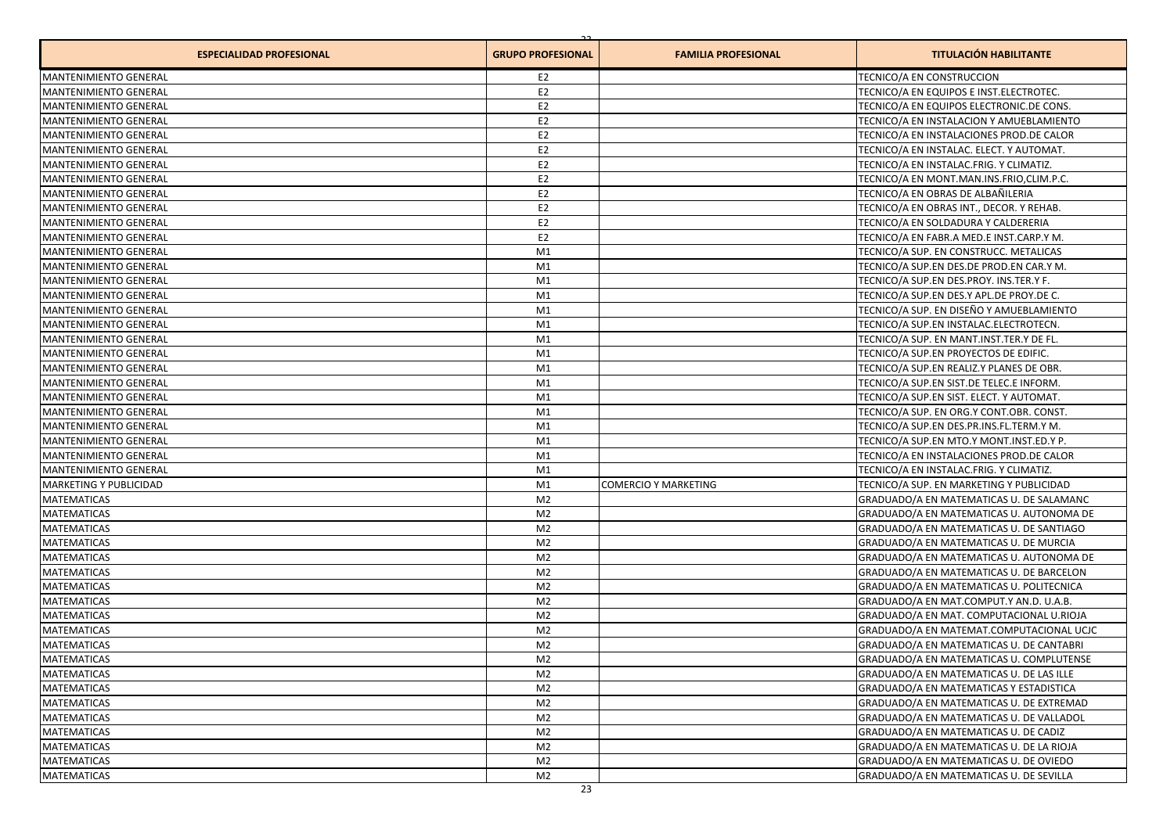| <b>ESPECIALIDAD PROFESIONAL</b>          | <b>GRUPO PROFESIONAL</b>         | <b>FAMILIA PROFESIONAL</b>  | <b>TITULACIÓN HABILITANTE</b>                                                     |
|------------------------------------------|----------------------------------|-----------------------------|-----------------------------------------------------------------------------------|
| <b>MANTENIMIENTO GENERAL</b>             | E2                               |                             | TECNICO/A EN CONSTRUCCION                                                         |
| <b>MANTENIMIENTO GENERAL</b>             | E <sub>2</sub>                   |                             | TECNICO/A EN EQUIPOS E INST.ELECTROTEC.                                           |
| MANTENIMIENTO GENERAL                    | E <sub>2</sub>                   |                             | TECNICO/A EN EQUIPOS ELECTRONIC.DE CONS.                                          |
| <b>MANTENIMIENTO GENERAL</b>             | E <sub>2</sub>                   |                             | TECNICO/A EN INSTALACION Y AMUEBLAMIENTO                                          |
| <b>MANTENIMIENTO GENERAL</b>             | E <sub>2</sub>                   |                             | TECNICO/A EN INSTALACIONES PROD.DE CALOR                                          |
| <b>MANTENIMIENTO GENERAL</b>             | E <sub>2</sub>                   |                             | TECNICO/A EN INSTALAC. ELECT. Y AUTOMAT.                                          |
| <b>MANTENIMIENTO GENERAL</b>             | E <sub>2</sub>                   |                             | TECNICO/A EN INSTALAC.FRIG. Y CLIMATIZ.                                           |
| <b>MANTENIMIENTO GENERAL</b>             | E <sub>2</sub>                   |                             | TECNICO/A EN MONT.MAN.INS.FRIO.CLIM.P.C.                                          |
| <b>MANTENIMIENTO GENERAL</b>             | E <sub>2</sub>                   |                             | TECNICO/A EN OBRAS DE ALBAÑILERIA                                                 |
| <b>MANTENIMIENTO GENERAL</b>             | E <sub>2</sub>                   |                             | TECNICO/A EN OBRAS INT., DECOR. Y REHAB.                                          |
| <b>MANTENIMIENTO GENERAL</b>             | E <sub>2</sub>                   |                             | TECNICO/A EN SOLDADURA Y CALDERERIA                                               |
| <b>MANTENIMIENTO GENERAL</b>             | E <sub>2</sub>                   |                             | TECNICO/A EN FABR.A MED.E INST.CARP.Y M.                                          |
| MANTENIMIENTO GENERAL                    | M1                               |                             | TECNICO/A SUP. EN CONSTRUCC. METALICAS                                            |
| MANTENIMIENTO GENERAL                    | M1                               |                             | TECNICO/A SUP.EN DES.DE PROD.EN CAR.Y M.                                          |
| <b>MANTENIMIENTO GENERAL</b>             | M1                               |                             | TECNICO/A SUP.EN DES.PROY. INS.TER.Y F.                                           |
| MANTENIMIENTO GENERAL                    | M1                               |                             | TECNICO/A SUP.EN DES.Y APL.DE PROY.DE C.                                          |
| <b>MANTENIMIENTO GENERAL</b>             | M1                               |                             | TECNICO/A SUP. EN DISEÑO Y AMUEBLAMIENTO                                          |
| MANTENIMIENTO GENERAL                    | M1                               |                             | TECNICO/A SUP.EN INSTALAC.ELECTROTECN.                                            |
| <b>MANTENIMIENTO GENERAL</b>             | M1                               |                             | TECNICO/A SUP. EN MANT.INST.TER.Y DE FL.                                          |
| <b>MANTENIMIENTO GENERAL</b>             | M1                               |                             | TECNICO/A SUP.EN PROYECTOS DE EDIFIC.                                             |
| <b>MANTENIMIENTO GENERAL</b>             | M1                               |                             | TECNICO/A SUP.EN REALIZ.Y PLANES DE OBR.                                          |
| MANTENIMIENTO GENERAL                    | M1                               |                             | TECNICO/A SUP.EN SIST.DE TELEC.E INFORM.                                          |
| <b>MANTENIMIENTO GENERAL</b>             | M1                               |                             | TECNICO/A SUP.EN SIST. ELECT. Y AUTOMAT.                                          |
| <b>MANTENIMIENTO GENERAL</b>             | M1                               |                             | TECNICO/A SUP. EN ORG.Y CONT.OBR. CONST.                                          |
| MANTENIMIENTO GENERAL                    | M1                               |                             | TECNICO/A SUP.EN DES.PR.INS.FL.TERM.Y M.                                          |
| <b>MANTENIMIENTO GENERAL</b>             | M1                               |                             | TECNICO/A SUP.EN MTO.Y MONT.INST.ED.Y P.                                          |
| <b>MANTENIMIENTO GENERAL</b>             | M1                               |                             | TECNICO/A EN INSTALACIONES PROD.DE CALOR                                          |
| <b>MANTENIMIENTO GENERAL</b>             | M1                               |                             | TECNICO/A EN INSTALAC.FRIG. Y CLIMATIZ.                                           |
| <b>MARKETING Y PUBLICIDAD</b>            | M1                               | <b>COMERCIO Y MARKETING</b> | TECNICO/A SUP. EN MARKETING Y PUBLICIDAD                                          |
| <b>MATEMATICAS</b>                       | M <sub>2</sub>                   |                             | GRADUADO/A EN MATEMATICAS U. DE SALAMANC                                          |
| <b>MATEMATICAS</b>                       | M <sub>2</sub>                   |                             | GRADUADO/A EN MATEMATICAS U. AUTONOMA DE                                          |
| <b>MATEMATICAS</b>                       | M <sub>2</sub>                   |                             | GRADUADO/A EN MATEMATICAS U. DE SANTIAGO                                          |
| <b>MATEMATICAS</b>                       | M <sub>2</sub>                   |                             | GRADUADO/A EN MATEMATICAS U. DE MURCIA                                            |
| <b>MATEMATICAS</b>                       | M <sub>2</sub>                   |                             | GRADUADO/A EN MATEMATICAS U. AUTONOMA DE                                          |
| <b>MATEMATICAS</b>                       | M <sub>2</sub>                   |                             | GRADUADO/A EN MATEMATICAS U. DE BARCELON                                          |
| <b>MATEMATICAS</b>                       | M <sub>2</sub>                   |                             | GRADUADO/A EN MATEMATICAS U. POLITECNICA                                          |
| <b>MATEMATICAS</b>                       | M <sub>2</sub>                   |                             | GRADUADO/A EN MAT.COMPUT.Y AN.D. U.A.B.                                           |
| <b>MATEMATICAS</b>                       | M <sub>2</sub>                   |                             | GRADUADO/A EN MAT. COMPUTACIONAL U.RIOJA                                          |
| <b>MATEMATICAS</b>                       | M <sub>2</sub>                   |                             | GRADUADO/A EN MATEMAT.COMPUTACIONAL UCJC                                          |
| <b>MATEMATICAS</b>                       | M <sub>2</sub>                   |                             | GRADUADO/A EN MATEMATICAS U. DE CANTABRI                                          |
| <b>MATEMATICAS</b>                       | M2                               |                             | GRADUADO/A EN MATEMATICAS U. COMPLUTENSE                                          |
| <b>MATEMATICAS</b>                       | M <sub>2</sub>                   |                             | GRADUADO/A EN MATEMATICAS U. DE LAS ILLE                                          |
| <b>MATEMATICAS</b>                       | M <sub>2</sub>                   |                             | GRADUADO/A EN MATEMATICAS Y ESTADISTICA                                           |
| <b>MATEMATICAS</b>                       |                                  |                             |                                                                                   |
|                                          | M <sub>2</sub>                   |                             | GRADUADO/A EN MATEMATICAS U. DE EXTREMAD                                          |
| <b>MATEMATICAS</b>                       | M <sub>2</sub><br>M <sub>2</sub> |                             | GRADUADO/A EN MATEMATICAS U. DE VALLADOL                                          |
| <b>MATEMATICAS</b>                       | M <sub>2</sub>                   |                             | GRADUADO/A EN MATEMATICAS U. DE CADIZ<br>GRADUADO/A EN MATEMATICAS U. DE LA RIOJA |
| <b>MATEMATICAS</b><br><b>MATEMATICAS</b> |                                  |                             | GRADUADO/A EN MATEMATICAS U. DE OVIEDO                                            |
|                                          | M <sub>2</sub>                   |                             |                                                                                   |
| <b>MATEMATICAS</b>                       | M <sub>2</sub>                   |                             | GRADUADO/A EN MATEMATICAS U. DE SEVILLA                                           |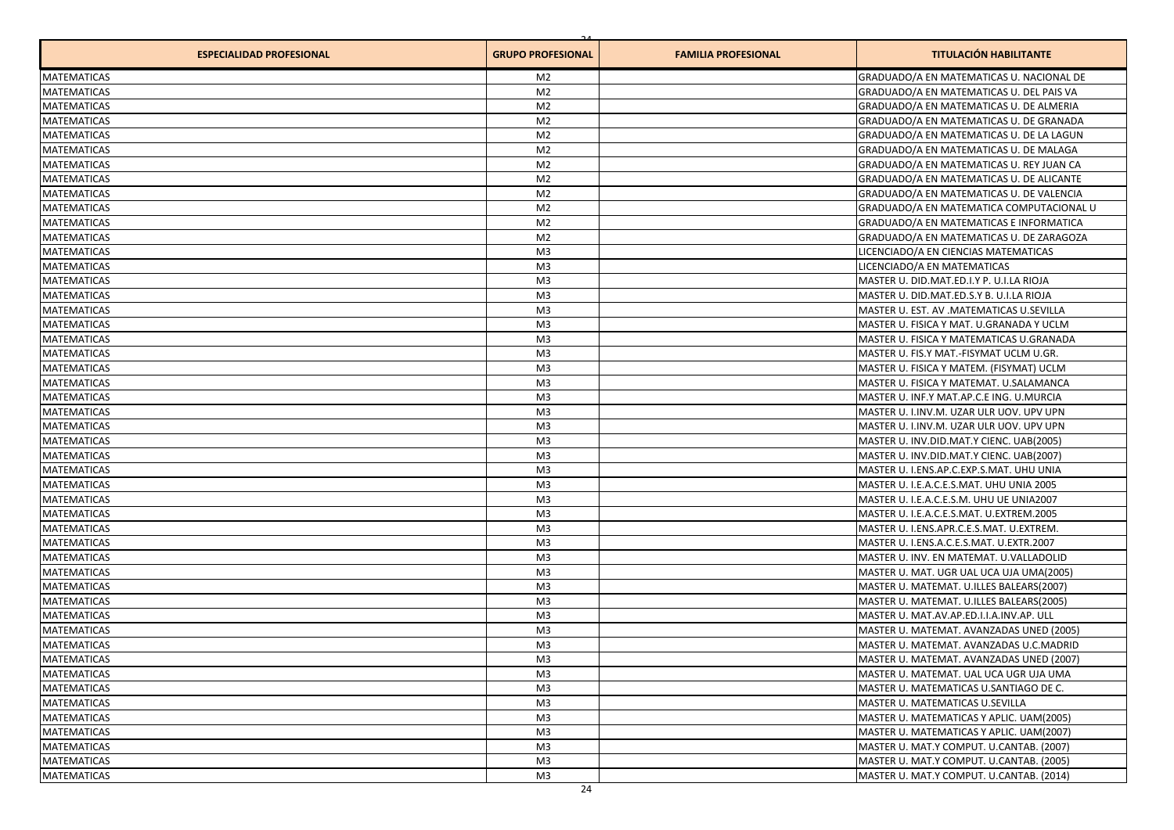| <b>ESPECIALIDAD PROFESIONAL</b> | <b>GRUPO PROFESIONAL</b> | <b>FAMILIA PROFESIONAL</b> | <b>TITULACIÓN HABILITANTE</b>            |
|---------------------------------|--------------------------|----------------------------|------------------------------------------|
| <b>MATEMATICAS</b>              | M <sub>2</sub>           |                            | GRADUADO/A EN MATEMATICAS U. NACIONAL DE |
| <b>MATEMATICAS</b>              | M <sub>2</sub>           |                            | GRADUADO/A EN MATEMATICAS U. DEL PAIS VA |
| <b>MATEMATICAS</b>              | M <sub>2</sub>           |                            | GRADUADO/A EN MATEMATICAS U. DE ALMERIA  |
| <b>MATEMATICAS</b>              | M <sub>2</sub>           |                            | GRADUADO/A EN MATEMATICAS U. DE GRANADA  |
| <b>MATEMATICAS</b>              | M <sub>2</sub>           |                            | GRADUADO/A EN MATEMATICAS U. DE LA LAGUN |
| <b>MATEMATICAS</b>              | M <sub>2</sub>           |                            | GRADUADO/A EN MATEMATICAS U. DE MALAGA   |
| <b>MATEMATICAS</b>              | M <sub>2</sub>           |                            | GRADUADO/A EN MATEMATICAS U. REY JUAN CA |
| <b>MATEMATICAS</b>              | M <sub>2</sub>           |                            | GRADUADO/A EN MATEMATICAS U. DE ALICANTE |
| <b>MATEMATICAS</b>              | M <sub>2</sub>           |                            | GRADUADO/A EN MATEMATICAS U. DE VALENCIA |
| <b>MATEMATICAS</b>              | M <sub>2</sub>           |                            | GRADUADO/A EN MATEMATICA COMPUTACIONAL U |
| <b>MATEMATICAS</b>              | M <sub>2</sub>           |                            | GRADUADO/A EN MATEMATICAS E INFORMATICA  |
| <b>MATEMATICAS</b>              | M <sub>2</sub>           |                            | GRADUADO/A EN MATEMATICAS U. DE ZARAGOZA |
| <b>MATEMATICAS</b>              | M <sub>3</sub>           |                            | LICENCIADO/A EN CIENCIAS MATEMATICAS     |
| <b>MATEMATICAS</b>              | M <sub>3</sub>           |                            | LICENCIADO/A EN MATEMATICAS              |
| <b>MATEMATICAS</b>              | M <sub>3</sub>           |                            | MASTER U. DID.MAT.ED.I.Y P. U.I.LA RIOJA |
| <b>MATEMATICAS</b>              | M <sub>3</sub>           |                            | MASTER U. DID.MAT.ED.S.Y B. U.I.LA RIOJA |
| <b>MATEMATICAS</b>              | M <sub>3</sub>           |                            | MASTER U. EST. AV .MATEMATICAS U.SEVILLA |
| <b>MATEMATICAS</b>              | M <sub>3</sub>           |                            | MASTER U. FISICA Y MAT. U.GRANADA Y UCLM |
| <b>MATEMATICAS</b>              | M <sub>3</sub>           |                            | MASTER U. FISICA Y MATEMATICAS U.GRANADA |
| <b>MATEMATICAS</b>              | M <sub>3</sub>           |                            | MASTER U. FIS.Y MAT.-FISYMAT UCLM U.GR.  |
| <b>MATEMATICAS</b>              | M <sub>3</sub>           |                            | MASTER U. FISICA Y MATEM. (FISYMAT) UCLM |
| <b>MATEMATICAS</b>              | M <sub>3</sub>           |                            | MASTER U. FISICA Y MATEMAT. U.SALAMANCA  |
| <b>MATEMATICAS</b>              | M <sub>3</sub>           |                            | MASTER U. INF.Y MAT.AP.C.E ING. U.MURCIA |
| <b>MATEMATICAS</b>              | M <sub>3</sub>           |                            | MASTER U. I.INV.M. UZAR ULR UOV. UPV UPN |
| <b>MATEMATICAS</b>              | M <sub>3</sub>           |                            | MASTER U. I.INV.M. UZAR ULR UOV. UPV UPN |
| <b>MATEMATICAS</b>              | M <sub>3</sub>           |                            | MASTER U. INV.DID.MAT.Y CIENC. UAB(2005) |
| <b>MATEMATICAS</b>              | M <sub>3</sub>           |                            | MASTER U. INV.DID.MAT.Y CIENC. UAB(2007) |
| <b>MATEMATICAS</b>              | M <sub>3</sub>           |                            | MASTER U. I.ENS.AP.C.EXP.S.MAT. UHU UNIA |
| <b>MATEMATICAS</b>              | M <sub>3</sub>           |                            | MASTER U. I.E.A.C.E.S.MAT. UHU UNIA 2005 |
| <b>MATEMATICAS</b>              | M <sub>3</sub>           |                            | MASTER U. I.E.A.C.E.S.M. UHU UE UNIA2007 |
| <b>MATEMATICAS</b>              | M <sub>3</sub>           |                            | MASTER U. I.E.A.C.E.S.MAT. U.EXTREM.2005 |
| <b>MATEMATICAS</b>              | M <sub>3</sub>           |                            | MASTER U. I.ENS.APR.C.E.S.MAT. U.EXTREM. |
| <b>MATEMATICAS</b>              | M <sub>3</sub>           |                            | MASTER U. I.ENS.A.C.E.S.MAT. U.EXTR.2007 |
| <b>MATEMATICAS</b>              | M <sub>3</sub>           |                            | MASTER U. INV. EN MATEMAT. U.VALLADOLID  |
| <b>MATEMATICAS</b>              | M <sub>3</sub>           |                            | MASTER U. MAT. UGR UAL UCA UJA UMA(2005) |
| <b>MATEMATICAS</b>              | M <sub>3</sub>           |                            | MASTER U. MATEMAT. U.ILLES BALEARS(2007) |
| <b>MATEMATICAS</b>              | M <sub>3</sub>           |                            | MASTER U. MATEMAT. U.ILLES BALEARS(2005) |
| <b>MATEMATICAS</b>              | M <sub>3</sub>           |                            | MASTER U. MAT.AV.AP.ED.I.I.A.INV.AP. ULL |
| <b>MATEMATICAS</b>              | M <sub>3</sub>           |                            | MASTER U. MATEMAT. AVANZADAS UNED (2005) |
| <b>MATEMATICAS</b>              | M <sub>3</sub>           |                            | MASTER U. MATEMAT. AVANZADAS U.C.MADRID  |
| <b>MATEMATICAS</b>              | M3                       |                            | MASTER U. MATEMAT. AVANZADAS UNED (2007) |
| <b>MATEMATICAS</b>              | M <sub>3</sub>           |                            | MASTER U. MATEMAT. UAL UCA UGR UJA UMA   |
| <b>MATEMATICAS</b>              | M <sub>3</sub>           |                            | MASTER U. MATEMATICAS U.SANTIAGO DE C.   |
| <b>MATEMATICAS</b>              | M <sub>3</sub>           |                            | MASTER U. MATEMATICAS U.SEVILLA          |
| <b>MATEMATICAS</b>              | M <sub>3</sub>           |                            | MASTER U. MATEMATICAS Y APLIC. UAM(2005) |
| <b>MATEMATICAS</b>              | M <sub>3</sub>           |                            | MASTER U. MATEMATICAS Y APLIC. UAM(2007) |
| <b>MATEMATICAS</b>              | M <sub>3</sub>           |                            | MASTER U. MAT.Y COMPUT. U.CANTAB. (2007) |
| <b>MATEMATICAS</b>              | M <sub>3</sub>           |                            | MASTER U. MAT.Y COMPUT. U.CANTAB. (2005) |
| <b>MATEMATICAS</b>              |                          |                            |                                          |
|                                 | M <sub>3</sub>           |                            | MASTER U. MAT.Y COMPUT. U.CANTAB. (2014) |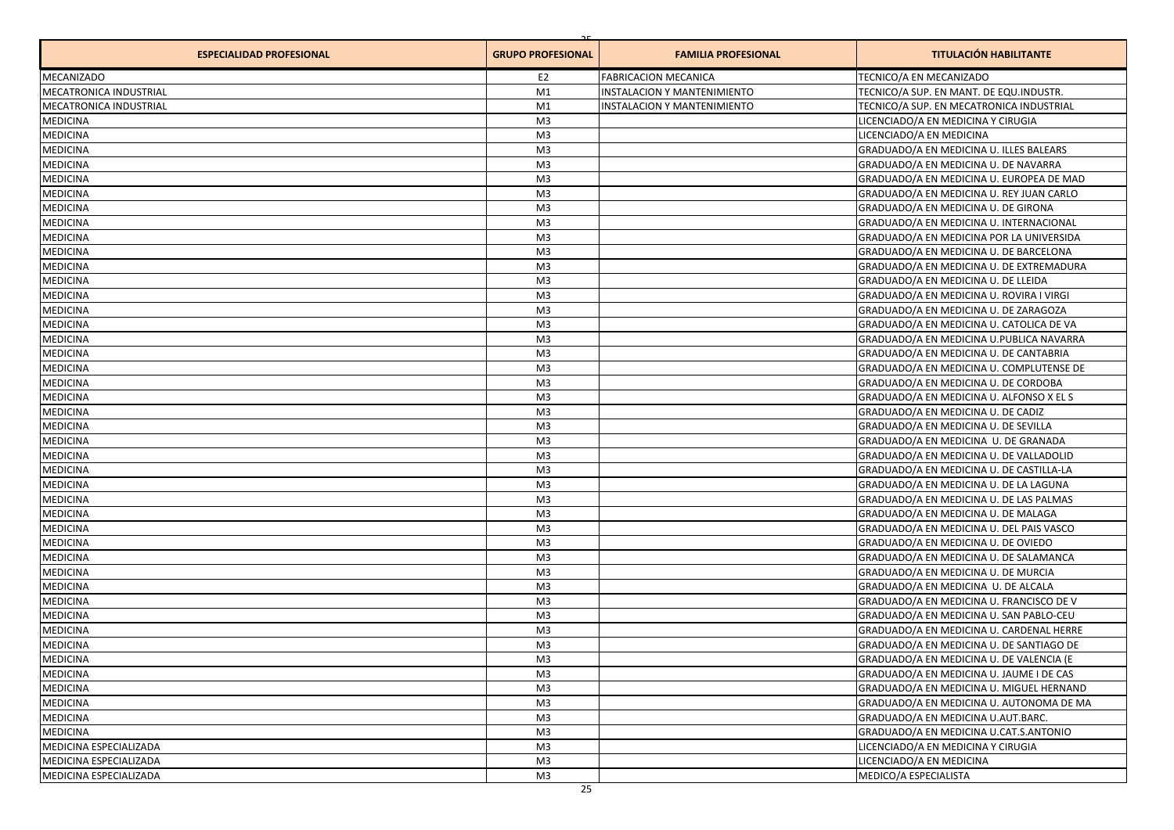| <b>ESPECIALIDAD PROFESIONAL</b> | <b>GRUPO PROFESIONAL</b> | <b>FAMILIA PROFESIONAL</b>  | <b>TITULACIÓN HABILITANTE</b>            |
|---------------------------------|--------------------------|-----------------------------|------------------------------------------|
| <b>MECANIZADO</b>               | E <sub>2</sub>           | <b>FABRICACION MECANICA</b> | TECNICO/A EN MECANIZADO                  |
| <b>MECATRONICA INDUSTRIAL</b>   | M1                       | INSTALACION Y MANTENIMIENTO | TECNICO/A SUP. EN MANT. DE EQU.INDUSTR.  |
| <b>MECATRONICA INDUSTRIAL</b>   | M1                       | INSTALACION Y MANTENIMIENTO | TECNICO/A SUP. EN MECATRONICA INDUSTRIAL |
| <b>MEDICINA</b>                 | M <sub>3</sub>           |                             | LICENCIADO/A EN MEDICINA Y CIRUGIA       |
| <b>MEDICINA</b>                 | M <sub>3</sub>           |                             | LICENCIADO/A EN MEDICINA                 |
| <b>MEDICINA</b>                 | M3                       |                             | GRADUADO/A EN MEDICINA U. ILLES BALEARS  |
| <b>MEDICINA</b>                 | M3                       |                             | GRADUADO/A EN MEDICINA U. DE NAVARRA     |
| MEDICINA                        | M <sub>3</sub>           |                             | GRADUADO/A EN MEDICINA U. EUROPEA DE MAD |
| MEDICINA                        | M <sub>3</sub>           |                             | GRADUADO/A EN MEDICINA U. REY JUAN CARLO |
| <b>MEDICINA</b>                 | M3                       |                             | GRADUADO/A EN MEDICINA U. DE GIRONA      |
| <b>MEDICINA</b>                 | M3                       |                             | GRADUADO/A EN MEDICINA U. INTERNACIONAL  |
| MEDICINA                        | M3                       |                             | GRADUADO/A EN MEDICINA POR LA UNIVERSIDA |
| <b>MEDICINA</b>                 | M3                       |                             | GRADUADO/A EN MEDICINA U. DE BARCELONA   |
| <b>MEDICINA</b>                 | M3                       |                             | GRADUADO/A EN MEDICINA U. DE EXTREMADURA |
| <b>MEDICINA</b>                 | M3                       |                             | GRADUADO/A EN MEDICINA U. DE LLEIDA      |
| MEDICINA                        | M <sub>3</sub>           |                             | GRADUADO/A EN MEDICINA U. ROVIRA I VIRGI |
| <b>MEDICINA</b>                 | M <sub>3</sub>           |                             | GRADUADO/A EN MEDICINA U. DE ZARAGOZA    |
| <b>MEDICINA</b>                 | M3                       |                             | GRADUADO/A EN MEDICINA U. CATOLICA DE VA |
| MEDICINA                        | M3                       |                             | GRADUADO/A EN MEDICINA U.PUBLICA NAVARRA |
| <b>MEDICINA</b>                 | M <sub>3</sub>           |                             | GRADUADO/A EN MEDICINA U. DE CANTABRIA   |
| <b>MEDICINA</b>                 | M3                       |                             | GRADUADO/A EN MEDICINA U. COMPLUTENSE DE |
| <b>MEDICINA</b>                 | M3                       |                             | GRADUADO/A EN MEDICINA U. DE CORDOBA     |
| MEDICINA                        | M3                       |                             | GRADUADO/A EN MEDICINA U. ALFONSO X EL S |
| MEDICINA                        | M <sub>3</sub>           |                             | GRADUADO/A EN MEDICINA U. DE CADIZ       |
| <b>MEDICINA</b>                 | M <sub>3</sub>           |                             | GRADUADO/A EN MEDICINA U. DE SEVILLA     |
| <b>MEDICINA</b>                 | M <sub>3</sub>           |                             | GRADUADO/A EN MEDICINA U. DE GRANADA     |
| MEDICINA                        | M3                       |                             | GRADUADO/A EN MEDICINA U. DE VALLADOLID  |
| <b>MEDICINA</b>                 | M <sub>3</sub>           |                             | GRADUADO/A EN MEDICINA U. DE CASTILLA-LA |
| <b>MEDICINA</b>                 | M <sub>3</sub>           |                             | GRADUADO/A EN MEDICINA U. DE LA LAGUNA   |
| <b>MEDICINA</b>                 | M <sub>3</sub>           |                             | GRADUADO/A EN MEDICINA U. DE LAS PALMAS  |
| MEDICINA                        | M <sub>3</sub>           |                             | GRADUADO/A EN MEDICINA U. DE MALAGA      |
| MEDICINA                        | M <sub>3</sub>           |                             | GRADUADO/A EN MEDICINA U. DEL PAIS VASCO |
| <b>MEDICINA</b>                 | M <sub>3</sub>           |                             | GRADUADO/A EN MEDICINA U. DE OVIEDO      |
| MEDICINA                        | M <sub>3</sub>           |                             | GRADUADO/A EN MEDICINA U. DE SALAMANCA   |
| MEDICINA                        | M <sub>3</sub>           |                             | GRADUADO/A EN MEDICINA U. DE MURCIA      |
| MEDICINA                        | M <sub>3</sub>           |                             | GRADUADO/A EN MEDICINA U. DE ALCALA      |
| <b>MEDICINA</b>                 | M3                       |                             | GRADUADO/A EN MEDICINA U. FRANCISCO DE V |
| MEDICINA                        | M3                       |                             | GRADUADO/A EN MEDICINA U. SAN PABLO-CEU  |
| MEDICINA                        | M3                       |                             | GRADUADO/A EN MEDICINA U. CARDENAL HERRE |
| <b>MEDICINA</b>                 | M3                       |                             | GRADUADO/A EN MEDICINA U. DE SANTIAGO DE |
| <b>MEDICINA</b>                 | M <sup>3</sup>           |                             | GRADUADO/A EN MEDICINA U. DE VALENCIA (E |
| MEDICINA                        | M3                       |                             | GRADUADO/A EN MEDICINA U. JAUME I DE CAS |
| <b>MEDICINA</b>                 | M3                       |                             | GRADUADO/A EN MEDICINA U. MIGUEL HERNAND |
| <b>MEDICINA</b>                 | M3                       |                             | GRADUADO/A EN MEDICINA U. AUTONOMA DE MA |
| <b>MEDICINA</b>                 | M3                       |                             | GRADUADO/A EN MEDICINA U.AUT.BARC.       |
| <b>MEDICINA</b>                 | M3                       |                             | GRADUADO/A EN MEDICINA U.CAT.S.ANTONIO   |
| MEDICINA ESPECIALIZADA          | M3                       |                             | LICENCIADO/A EN MEDICINA Y CIRUGIA       |
| MEDICINA ESPECIALIZADA          | M3                       |                             | LICENCIADO/A EN MEDICINA                 |
| MEDICINA ESPECIALIZADA          | M3                       |                             | MEDICO/A ESPECIALISTA                    |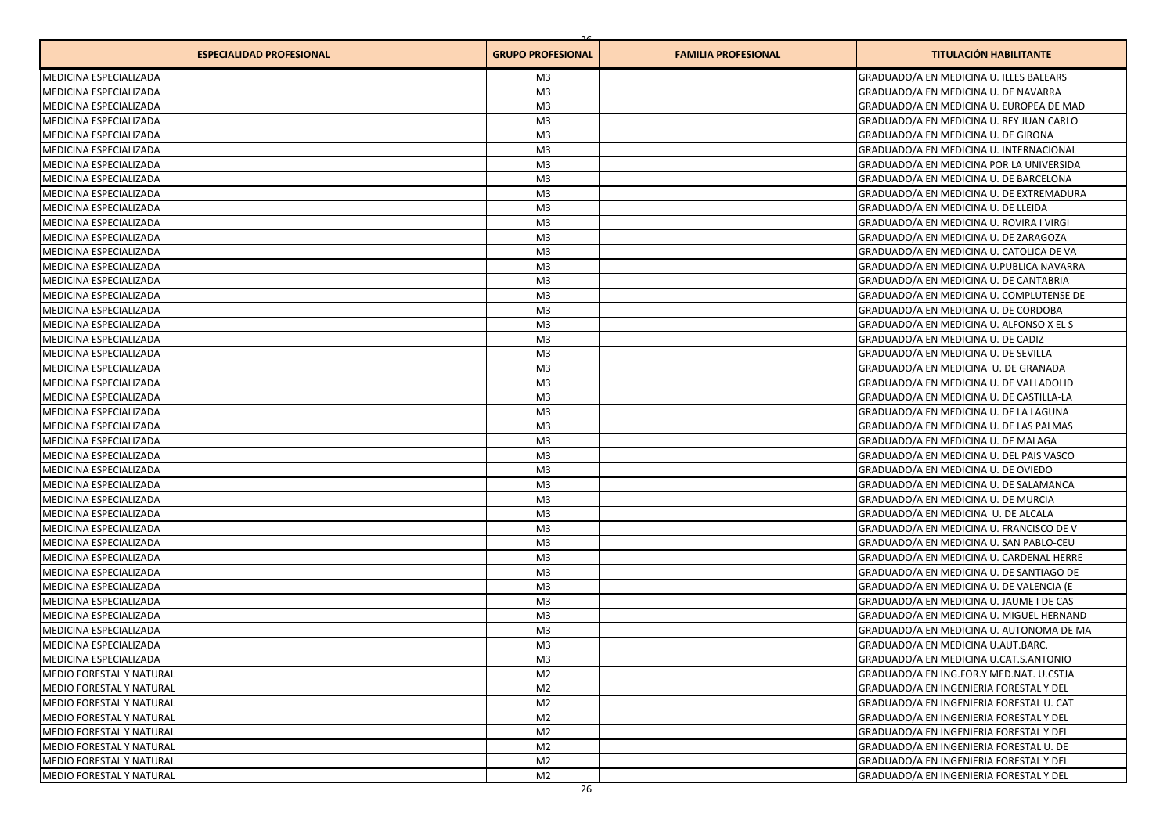| <b>ESPECIALIDAD PROFESIONAL</b> | <b>GRUPO PROFESIONAL</b> | <b>FAMILIA PROFESIONAL</b> | <b>TITULACIÓN HABILITANTE</b>            |
|---------------------------------|--------------------------|----------------------------|------------------------------------------|
| <b>MEDICINA ESPECIALIZADA</b>   | M3                       |                            | GRADUADO/A EN MEDICINA U. ILLES BALEARS  |
| MEDICINA ESPECIALIZADA          | M <sub>3</sub>           |                            | GRADUADO/A EN MEDICINA U. DE NAVARRA     |
| MEDICINA ESPECIALIZADA          | M <sub>3</sub>           |                            | GRADUADO/A EN MEDICINA U. EUROPEA DE MAD |
| MEDICINA ESPECIALIZADA          | M <sub>3</sub>           |                            | GRADUADO/A EN MEDICINA U. REY JUAN CARLO |
| <b>MEDICINA ESPECIALIZADA</b>   | M <sub>3</sub>           |                            | GRADUADO/A EN MEDICINA U. DE GIRONA      |
| MEDICINA ESPECIALIZADA          | M <sub>3</sub>           |                            | GRADUADO/A EN MEDICINA U. INTERNACIONAL  |
| MEDICINA ESPECIALIZADA          | M <sub>3</sub>           |                            | GRADUADO/A EN MEDICINA POR LA UNIVERSIDA |
| MEDICINA ESPECIALIZADA          | M <sub>3</sub>           |                            | GRADUADO/A EN MEDICINA U. DE BARCELONA   |
| <b>MEDICINA ESPECIALIZADA</b>   | M <sub>3</sub>           |                            | GRADUADO/A EN MEDICINA U. DE EXTREMADURA |
| MEDICINA ESPECIALIZADA          | M <sub>3</sub>           |                            | GRADUADO/A EN MEDICINA U. DE LLEIDA      |
| MEDICINA ESPECIALIZADA          | M <sub>3</sub>           |                            | GRADUADO/A EN MEDICINA U. ROVIRA I VIRGI |
| <b>MEDICINA ESPECIALIZADA</b>   | M <sub>3</sub>           |                            | GRADUADO/A EN MEDICINA U. DE ZARAGOZA    |
| <b>MEDICINA ESPECIALIZADA</b>   | M <sub>3</sub>           |                            | GRADUADO/A EN MEDICINA U. CATOLICA DE VA |
| MEDICINA ESPECIALIZADA          | M <sub>3</sub>           |                            | GRADUADO/A EN MEDICINA U.PUBLICA NAVARRA |
| MEDICINA ESPECIALIZADA          | M <sub>3</sub>           |                            | GRADUADO/A EN MEDICINA U. DE CANTABRIA   |
| MEDICINA ESPECIALIZADA          | M <sub>3</sub>           |                            | GRADUADO/A EN MEDICINA U. COMPLUTENSE DE |
| MEDICINA ESPECIALIZADA          | M <sub>3</sub>           |                            | GRADUADO/A EN MEDICINA U. DE CORDOBA     |
| MEDICINA ESPECIALIZADA          | M <sub>3</sub>           |                            | GRADUADO/A EN MEDICINA U. ALFONSO X EL S |
| MEDICINA ESPECIALIZADA          | M <sub>3</sub>           |                            | GRADUADO/A EN MEDICINA U. DE CADIZ       |
| MEDICINA ESPECIALIZADA          | M <sub>3</sub>           |                            | GRADUADO/A EN MEDICINA U. DE SEVILLA     |
| <b>MEDICINA ESPECIALIZADA</b>   | M <sub>3</sub>           |                            | GRADUADO/A EN MEDICINA U. DE GRANADA     |
| MEDICINA ESPECIALIZADA          | M <sub>3</sub>           |                            | GRADUADO/A EN MEDICINA U. DE VALLADOLID  |
| MEDICINA ESPECIALIZADA          | M <sub>3</sub>           |                            | GRADUADO/A EN MEDICINA U. DE CASTILLA-LA |
| MEDICINA ESPECIALIZADA          | M <sub>3</sub>           |                            | GRADUADO/A EN MEDICINA U. DE LA LAGUNA   |
| <b>MEDICINA ESPECIALIZADA</b>   | M <sub>3</sub>           |                            | GRADUADO/A EN MEDICINA U. DE LAS PALMAS  |
| <b>MEDICINA ESPECIALIZADA</b>   | M <sub>3</sub>           |                            | GRADUADO/A EN MEDICINA U. DE MALAGA      |
| MEDICINA ESPECIALIZADA          | M <sub>3</sub>           |                            | GRADUADO/A EN MEDICINA U. DEL PAIS VASCO |
| <b>MEDICINA ESPECIALIZADA</b>   | M <sub>3</sub>           |                            | GRADUADO/A EN MEDICINA U. DE OVIEDO      |
| <b>MEDICINA ESPECIALIZADA</b>   | M <sub>3</sub>           |                            | GRADUADO/A EN MEDICINA U. DE SALAMANCA   |
| <b>MEDICINA ESPECIALIZADA</b>   | M <sub>3</sub>           |                            | GRADUADO/A EN MEDICINA U. DE MURCIA      |
| MEDICINA ESPECIALIZADA          | M <sub>3</sub>           |                            | GRADUADO/A EN MEDICINA U. DE ALCALA      |
| MEDICINA ESPECIALIZADA          | M <sub>3</sub>           |                            | GRADUADO/A EN MEDICINA U. FRANCISCO DE V |
| MEDICINA ESPECIALIZADA          | M <sub>3</sub>           |                            | GRADUADO/A EN MEDICINA U. SAN PABLO-CEU  |
| MEDICINA ESPECIALIZADA          | M <sub>3</sub>           |                            | GRADUADO/A EN MEDICINA U. CARDENAL HERRE |
| MEDICINA ESPECIALIZADA          | M <sub>3</sub>           |                            | GRADUADO/A EN MEDICINA U. DE SANTIAGO DE |
| <b>MEDICINA ESPECIALIZADA</b>   | M <sub>3</sub>           |                            | GRADUADO/A EN MEDICINA U. DE VALENCIA (E |
| MEDICINA ESPECIALIZADA          | M <sub>3</sub>           |                            | GRADUADO/A EN MEDICINA U. JAUME I DE CAS |
| MEDICINA ESPECIALIZADA          | M <sub>3</sub>           |                            | GRADUADO/A EN MEDICINA U. MIGUEL HERNAND |
| <b>MEDICINA ESPECIALIZADA</b>   | M <sub>3</sub>           |                            | GRADUADO/A EN MEDICINA U. AUTONOMA DE MA |
| MEDICINA ESPECIALIZADA          | M <sub>3</sub>           |                            | GRADUADO/A EN MEDICINA U.AUT.BARC.       |
| MEDICINA ESPECIALIZADA          | M <sub>3</sub>           |                            | GRADUADO/A EN MEDICINA U.CAT.S.ANTONIO   |
| MEDIO FORESTAL Y NATURAL        | M <sub>2</sub>           |                            | GRADUADO/A EN ING.FOR.Y MED.NAT. U.CSTJA |
| MEDIO FORESTAL Y NATURAL        | M <sub>2</sub>           |                            | GRADUADO/A EN INGENIERIA FORESTAL Y DEL  |
| <b>MEDIO FORESTAL Y NATURAL</b> | M <sub>2</sub>           |                            | GRADUADO/A EN INGENIERIA FORESTAL U. CAT |
| <b>MEDIO FORESTAL Y NATURAL</b> | M <sub>2</sub>           |                            | GRADUADO/A EN INGENIERIA FORESTAL Y DEL  |
| MEDIO FORESTAL Y NATURAL        | M <sub>2</sub>           |                            | GRADUADO/A EN INGENIERIA FORESTAL Y DEL  |
| <b>MEDIO FORESTAL Y NATURAL</b> | M <sub>2</sub>           |                            | GRADUADO/A EN INGENIERIA FORESTAL U. DE  |
| <b>MEDIO FORESTAL Y NATURAL</b> | M <sub>2</sub>           |                            | GRADUADO/A EN INGENIERIA FORESTAL Y DEL  |
| MEDIO FORESTAL Y NATURAL        | M <sub>2</sub>           |                            | GRADUADO/A EN INGENIERIA FORESTAL Y DEL  |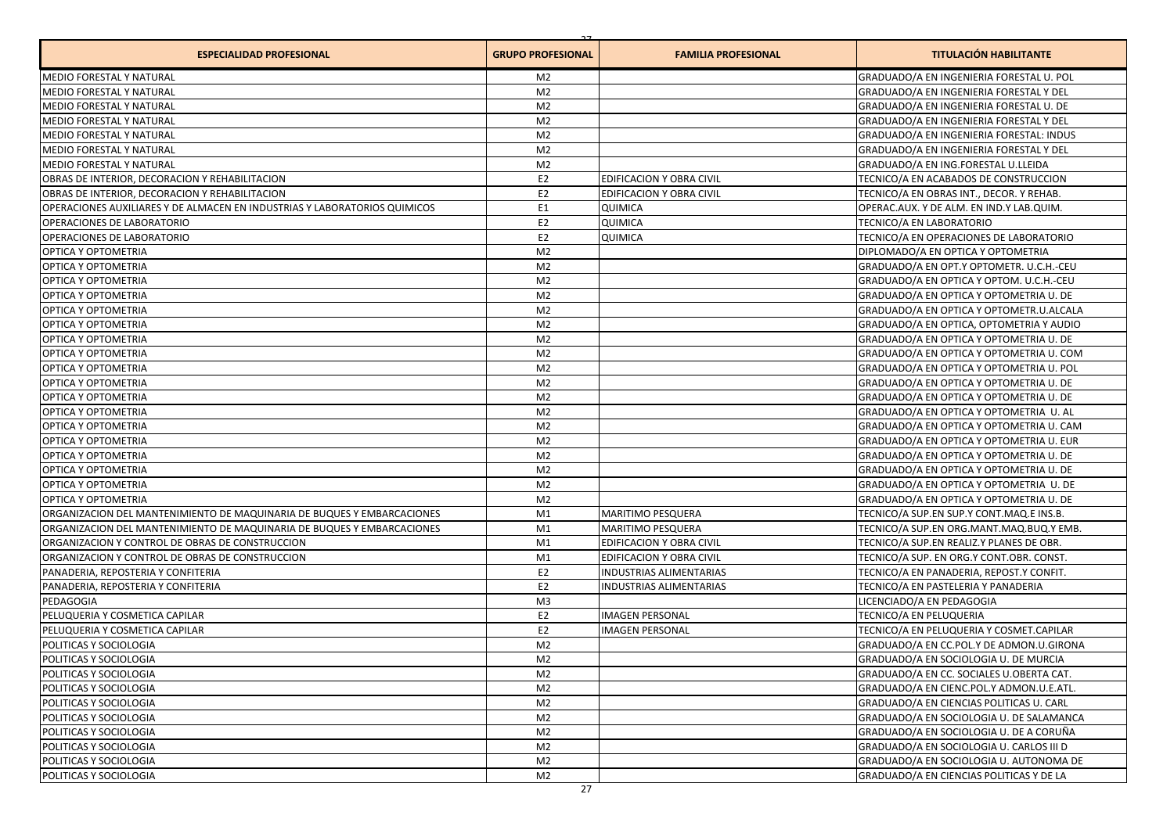| <b>ESPECIALIDAD PROFESIONAL</b>                                           | <b>GRUPO PROFESIONAL</b> | <b>FAMILIA PROFESIONAL</b>     | <b>TITULACIÓN HABILITANTE</b>            |
|---------------------------------------------------------------------------|--------------------------|--------------------------------|------------------------------------------|
| MEDIO FORESTAL Y NATURAL                                                  | M2                       |                                | GRADUADO/A EN INGENIERIA FORESTAL U. POL |
| MEDIO FORESTAL Y NATURAL                                                  | M <sub>2</sub>           |                                | GRADUADO/A EN INGENIERIA FORESTAL Y DEL  |
| MEDIO FORESTAL Y NATURAL                                                  | M <sub>2</sub>           |                                | GRADUADO/A EN INGENIERIA FORESTAL U. DE  |
| MEDIO FORESTAL Y NATURAL                                                  | M <sub>2</sub>           |                                | GRADUADO/A EN INGENIERIA FORESTAL Y DEL  |
| MEDIO FORESTAL Y NATURAL                                                  | M <sub>2</sub>           |                                | GRADUADO/A EN INGENIERIA FORESTAL: INDUS |
| MEDIO FORESTAL Y NATURAL                                                  | M <sub>2</sub>           |                                | GRADUADO/A EN INGENIERIA FORESTAL Y DEL  |
| <b>MEDIO FORESTAL Y NATURAL</b>                                           | M <sub>2</sub>           |                                | GRADUADO/A EN ING.FORESTAL U.LLEIDA      |
| OBRAS DE INTERIOR. DECORACION Y REHABILITACION                            | E <sub>2</sub>           | EDIFICACION Y OBRA CIVIL       | TECNICO/A EN ACABADOS DE CONSTRUCCION    |
| OBRAS DE INTERIOR. DECORACION Y REHABILITACION                            | E <sub>2</sub>           | EDIFICACION Y OBRA CIVIL       | TECNICO/A EN OBRAS INT., DECOR, Y REHAB. |
| OPERACIONES AUXILIARES Y DE ALMACEN EN INDUSTRIAS Y LABORATORIOS QUIMICOS | E <sub>1</sub>           | QUIMICA                        | OPERAC.AUX. Y DE ALM. EN IND.Y LAB.QUIM. |
| OPERACIONES DE LABORATORIO                                                | E <sub>2</sub>           | QUIMICA                        | TECNICO/A EN LABORATORIO                 |
| OPERACIONES DE LABORATORIO                                                | E <sub>2</sub>           | QUIMICA                        | TECNICO/A EN OPERACIONES DE LABORATORIO  |
| OPTICA Y OPTOMETRIA                                                       | M <sub>2</sub>           |                                | DIPLOMADO/A EN OPTICA Y OPTOMETRIA       |
| OPTICA Y OPTOMETRIA                                                       | M <sub>2</sub>           |                                | GRADUADO/A EN OPT.Y OPTOMETR. U.C.H.-CEU |
| OPTICA Y OPTOMETRIA                                                       | M <sub>2</sub>           |                                | GRADUADO/A EN OPTICA Y OPTOM. U.C.H.-CEU |
| OPTICA Y OPTOMETRIA                                                       | M <sub>2</sub>           |                                | GRADUADO/A EN OPTICA Y OPTOMETRIA U. DE  |
| OPTICA Y OPTOMETRIA                                                       | M <sub>2</sub>           |                                | GRADUADO/A EN OPTICA Y OPTOMETR.U.ALCALA |
| OPTICA Y OPTOMETRIA                                                       | M <sub>2</sub>           |                                | GRADUADO/A EN OPTICA, OPTOMETRIA Y AUDIO |
| OPTICA Y OPTOMETRIA                                                       | M <sub>2</sub>           |                                | GRADUADO/A EN OPTICA Y OPTOMETRIA U. DE  |
| OPTICA Y OPTOMETRIA                                                       | M <sub>2</sub>           |                                | GRADUADO/A EN OPTICA Y OPTOMETRIA U. COM |
| OPTICA Y OPTOMETRIA                                                       | M <sub>2</sub>           |                                | GRADUADO/A EN OPTICA Y OPTOMETRIA U. POL |
| OPTICA Y OPTOMETRIA                                                       | M <sub>2</sub>           |                                | GRADUADO/A EN OPTICA Y OPTOMETRIA U. DE  |
| OPTICA Y OPTOMETRIA                                                       | M <sub>2</sub>           |                                | GRADUADO/A EN OPTICA Y OPTOMETRIA U. DE  |
| OPTICA Y OPTOMETRIA                                                       | M <sub>2</sub>           |                                | GRADUADO/A EN OPTICA Y OPTOMETRIA U. AL  |
| OPTICA Y OPTOMETRIA                                                       | M <sub>2</sub>           |                                | GRADUADO/A EN OPTICA Y OPTOMETRIA U. CAM |
| OPTICA Y OPTOMETRIA                                                       | M <sub>2</sub>           |                                | GRADUADO/A EN OPTICA Y OPTOMETRIA U. EUR |
| OPTICA Y OPTOMETRIA                                                       | M <sub>2</sub>           |                                | GRADUADO/A EN OPTICA Y OPTOMETRIA U. DE  |
| OPTICA Y OPTOMETRIA                                                       | M <sub>2</sub>           |                                | GRADUADO/A EN OPTICA Y OPTOMETRIA U. DE  |
| OPTICA Y OPTOMETRIA                                                       | M <sub>2</sub>           |                                | GRADUADO/A EN OPTICA Y OPTOMETRIA U. DE  |
| OPTICA Y OPTOMETRIA                                                       | M <sub>2</sub>           |                                | GRADUADO/A EN OPTICA Y OPTOMETRIA U. DE  |
| ORGANIZACION DEL MANTENIMIENTO DE MAQUINARIA DE BUQUES Y EMBARCACIONES    | M1                       | MARITIMO PESQUERA              | TECNICO/A SUP.EN SUP.Y CONT.MAQ.E INS.B. |
| ORGANIZACION DEL MANTENIMIENTO DE MAQUINARIA DE BUQUES Y EMBARCACIONES    | M1                       | <b>MARITIMO PESQUERA</b>       | TECNICO/A SUP.EN ORG.MANT.MAQ.BUQ.Y EMB. |
| ORGANIZACION Y CONTROL DE OBRAS DE CONSTRUCCION                           | M1                       | EDIFICACION Y OBRA CIVIL       | TECNICO/A SUP.EN REALIZ.Y PLANES DE OBR. |
| ORGANIZACION Y CONTROL DE OBRAS DE CONSTRUCCION                           | M1                       | EDIFICACION Y OBRA CIVIL       | TECNICO/A SUP. EN ORG.Y CONT.OBR. CONST. |
| PANADERIA, REPOSTERIA Y CONFITERIA                                        | E <sub>2</sub>           | <b>INDUSTRIAS ALIMENTARIAS</b> | TECNICO/A EN PANADERIA, REPOST.Y CONFIT. |
| PANADERIA, REPOSTERIA Y CONFITERIA                                        | E <sub>2</sub>           | <b>INDUSTRIAS ALIMENTARIAS</b> | TECNICO/A EN PASTELERIA Y PANADERIA      |
| PEDAGOGIA                                                                 | M <sub>3</sub>           |                                | LICENCIADO/A EN PEDAGOGIA                |
| PELUQUERIA Y COSMETICA CAPILAR                                            | E <sub>2</sub>           | <b>IMAGEN PERSONAL</b>         | TECNICO/A EN PELUQUERIA                  |
| PELUQUERIA Y COSMETICA CAPILAR                                            | E <sub>2</sub>           | <b>IMAGEN PERSONAL</b>         | TECNICO/A EN PELUQUERIA Y COSMET.CAPILAR |
| POLITICAS Y SOCIOLOGIA                                                    | M <sub>2</sub>           |                                | GRADUADO/A EN CC.POL.Y DE ADMON.U.GIRONA |
| POLITICAS Y SOCIOLOGIA                                                    | M <sub>2</sub>           |                                | GRADUADO/A EN SOCIOLOGIA U. DE MURCIA    |
| POLITICAS Y SOCIOLOGIA                                                    | M <sub>2</sub>           |                                | GRADUADO/A EN CC. SOCIALES U.OBERTA CAT. |
| POLITICAS Y SOCIOLOGIA                                                    | M <sub>2</sub>           |                                | GRADUADO/A EN CIENC.POL.Y ADMON.U.E.ATL. |
| POLITICAS Y SOCIOLOGIA                                                    | M <sub>2</sub>           |                                | GRADUADO/A EN CIENCIAS POLITICAS U. CARL |
| POLITICAS Y SOCIOLOGIA                                                    | M <sub>2</sub>           |                                | GRADUADO/A EN SOCIOLOGIA U. DE SALAMANCA |
| POLITICAS Y SOCIOLOGIA                                                    | M <sub>2</sub>           |                                | GRADUADO/A EN SOCIOLOGIA U. DE A CORUÑA  |
| POLITICAS Y SOCIOLOGIA                                                    | M <sub>2</sub>           |                                | GRADUADO/A EN SOCIOLOGIA U. CARLOS III D |
| POLITICAS Y SOCIOLOGIA                                                    | M <sub>2</sub>           |                                | GRADUADO/A EN SOCIOLOGIA U. AUTONOMA DE  |
| POLITICAS Y SOCIOLOGIA                                                    | M <sub>2</sub>           |                                | GRADUADO/A EN CIENCIAS POLITICAS Y DE LA |
|                                                                           |                          |                                |                                          |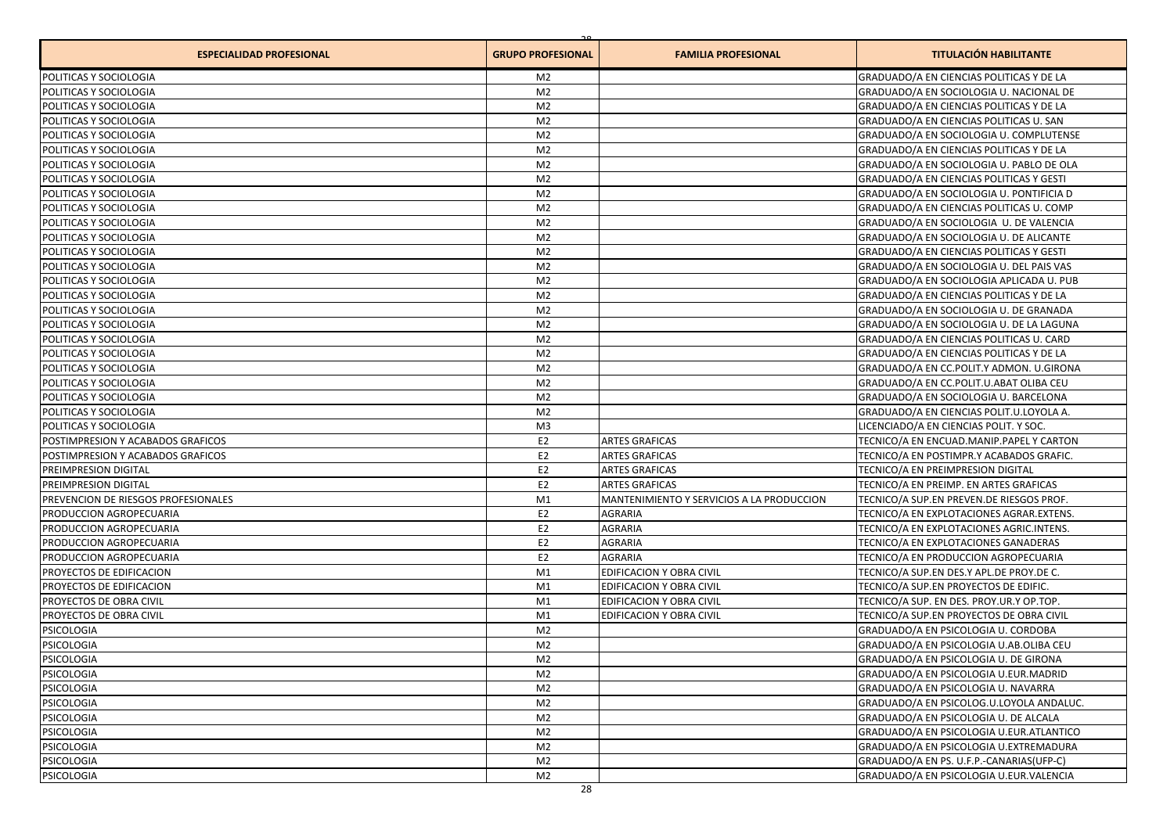| <b>ESPECIALIDAD PROFESIONAL</b>                                               | <b>GRUPO PROFESIONAL</b>         | <b>FAMILIA PROFESIONAL</b>                | <b>TITULACIÓN HABILITANTE</b>                                                      |
|-------------------------------------------------------------------------------|----------------------------------|-------------------------------------------|------------------------------------------------------------------------------------|
| POLITICAS Y SOCIOLOGIA                                                        | M <sub>2</sub>                   |                                           | GRADUADO/A EN CIENCIAS POLITICAS Y DE LA                                           |
| POLITICAS Y SOCIOLOGIA                                                        | M <sub>2</sub>                   |                                           | GRADUADO/A EN SOCIOLOGIA U. NACIONAL DE                                            |
| POLITICAS Y SOCIOLOGIA                                                        | M <sub>2</sub>                   |                                           | GRADUADO/A EN CIENCIAS POLITICAS Y DE LA                                           |
| <b>POLITICAS Y SOCIOLOGIA</b>                                                 | M <sub>2</sub>                   |                                           | <b>GRADUADO/A EN CIENCIAS POLITICAS U. SAN</b>                                     |
| POLITICAS Y SOCIOLOGIA                                                        | M <sub>2</sub>                   |                                           | GRADUADO/A EN SOCIOLOGIA U. COMPLUTENSE                                            |
| POLITICAS Y SOCIOLOGIA                                                        | M <sub>2</sub>                   |                                           | GRADUADO/A EN CIENCIAS POLITICAS Y DE LA                                           |
| POLITICAS Y SOCIOLOGIA                                                        | M <sub>2</sub>                   |                                           | GRADUADO/A EN SOCIOLOGIA U. PABLO DE OLA                                           |
| POLITICAS Y SOCIOLOGIA                                                        | M <sub>2</sub>                   |                                           | <b>GRADUADO/A EN CIENCIAS POLITICAS Y GESTI</b>                                    |
| POLITICAS Y SOCIOLOGIA                                                        | M <sub>2</sub>                   |                                           | GRADUADO/A EN SOCIOLOGIA U. PONTIFICIA D                                           |
| POLITICAS Y SOCIOLOGIA                                                        | M <sub>2</sub>                   |                                           | GRADUADO/A EN CIENCIAS POLITICAS U. COMP                                           |
| <b>POLITICAS Y SOCIOLOGIA</b>                                                 | M <sub>2</sub>                   |                                           | GRADUADO/A EN SOCIOLOGIA U. DE VALENCIA                                            |
| POLITICAS Y SOCIOLOGIA                                                        | M <sub>2</sub>                   |                                           | GRADUADO/A EN SOCIOLOGIA U. DE ALICANTE                                            |
| POLITICAS Y SOCIOLOGIA                                                        | M <sub>2</sub>                   |                                           | GRADUADO/A EN CIENCIAS POLITICAS Y GESTI                                           |
| <b>POLITICAS Y SOCIOLOGIA</b>                                                 | M <sub>2</sub>                   |                                           | GRADUADO/A EN SOCIOLOGIA U. DEL PAIS VAS                                           |
| <b>POLITICAS Y SOCIOLOGIA</b>                                                 | M <sub>2</sub>                   |                                           | GRADUADO/A EN SOCIOLOGIA APLICADA U. PUB                                           |
| POLITICAS Y SOCIOLOGIA                                                        | M <sub>2</sub>                   |                                           | GRADUADO/A EN CIENCIAS POLITICAS Y DE LA                                           |
| POLITICAS Y SOCIOLOGIA                                                        | M <sub>2</sub>                   |                                           | GRADUADO/A EN SOCIOLOGIA U. DE GRANADA                                             |
| <b>POLITICAS Y SOCIOLOGIA</b>                                                 | M <sub>2</sub>                   |                                           | GRADUADO/A EN SOCIOLOGIA U. DE LA LAGUNA                                           |
| <b>POLITICAS Y SOCIOLOGIA</b>                                                 | M <sub>2</sub>                   |                                           | <b>GRADUADO/A EN CIENCIAS POLITICAS U. CARD</b>                                    |
| <b>POLITICAS Y SOCIOLOGIA</b>                                                 | M <sub>2</sub>                   |                                           | GRADUADO/A EN CIENCIAS POLITICAS Y DE LA                                           |
| POLITICAS Y SOCIOLOGIA                                                        | M <sub>2</sub>                   |                                           | GRADUADO/A EN CC.POLIT.Y ADMON. U.GIRONA                                           |
| <b>POLITICAS Y SOCIOLOGIA</b>                                                 | M <sub>2</sub>                   |                                           |                                                                                    |
|                                                                               | M <sub>2</sub>                   |                                           | GRADUADO/A EN CC.POLIT.U.ABAT OLIBA CEU                                            |
| POLITICAS Y SOCIOLOGIA                                                        |                                  |                                           | GRADUADO/A EN SOCIOLOGIA U. BARCELONA                                              |
| POLITICAS Y SOCIOLOGIA                                                        | M <sub>2</sub>                   |                                           | GRADUADO/A EN CIENCIAS POLIT.U.LOYOLA A.<br>LICENCIADO/A EN CIENCIAS POLIT. Y SOC. |
| POLITICAS Y SOCIOLOGIA                                                        | M <sub>3</sub><br>E <sub>2</sub> |                                           |                                                                                    |
| <b>POSTIMPRESION Y ACABADOS GRAFICOS</b><br>POSTIMPRESION Y ACABADOS GRAFICOS | E <sub>2</sub>                   | <b>ARTES GRAFICAS</b>                     | TECNICO/A EN ENCUAD.MANIP.PAPEL Y CARTON                                           |
|                                                                               |                                  | <b>ARTES GRAFICAS</b>                     | TECNICO/A EN POSTIMPR.Y ACABADOS GRAFIC.                                           |
| <b>PREIMPRESION DIGITAL</b>                                                   | E <sub>2</sub>                   | <b>ARTES GRAFICAS</b>                     | TECNICO/A EN PREIMPRESION DIGITAL                                                  |
| <b>PREIMPRESION DIGITAL</b>                                                   | E <sub>2</sub>                   | <b>ARTES GRAFICAS</b>                     | TECNICO/A EN PREIMP. EN ARTES GRAFICAS                                             |
| <b>PREVENCION DE RIESGOS PROFESIONALES</b>                                    | M1                               | MANTENIMIENTO Y SERVICIOS A LA PRODUCCION | TECNICO/A SUP.EN PREVEN.DE RIESGOS PROF.                                           |
| <b>PRODUCCION AGROPECUARIA</b>                                                | E <sub>2</sub>                   | <b>AGRARIA</b>                            | TECNICO/A EN EXPLOTACIONES AGRAR.EXTENS.                                           |
| <b>PRODUCCION AGROPECUARIA</b>                                                | E <sub>2</sub>                   | <b>AGRARIA</b>                            | TECNICO/A EN EXPLOTACIONES AGRIC.INTENS.                                           |
| <b>PRODUCCION AGROPECUARIA</b>                                                | E <sub>2</sub>                   | <b>AGRARIA</b>                            | TECNICO/A EN EXPLOTACIONES GANADERAS                                               |
| <b>PRODUCCION AGROPECUARIA</b>                                                | E <sub>2</sub>                   | <b>AGRARIA</b>                            | TECNICO/A EN PRODUCCION AGROPECUARIA                                               |
| <b>PROYECTOS DE EDIFICACION</b>                                               | M1                               | EDIFICACION Y OBRA CIVIL                  | TECNICO/A SUP.EN DES.Y APL.DE PROY.DE C.                                           |
| <b>PROYECTOS DE EDIFICACION</b>                                               | M1                               | EDIFICACION Y OBRA CIVIL                  | TECNICO/A SUP.EN PROYECTOS DE EDIFIC.                                              |
| <b>PROYECTOS DE OBRA CIVIL</b>                                                | M1                               | EDIFICACION Y OBRA CIVIL                  | TECNICO/A SUP. EN DES. PROY.UR.Y OP.TOP.                                           |
| <b>PROYECTOS DE OBRA CIVIL</b>                                                | M1                               | EDIFICACION Y OBRA CIVIL                  | TECNICO/A SUP.EN PROYECTOS DE OBRA CIVIL                                           |
| <b>PSICOLOGIA</b>                                                             | M <sub>2</sub>                   |                                           | GRADUADO/A EN PSICOLOGIA U. CORDOBA                                                |
| PSICOLOGIA                                                                    | M <sub>2</sub>                   |                                           | GRADUADO/A EN PSICOLOGIA U.AB.OLIBA CEU                                            |
| PSICOLOGIA                                                                    | M <sub>2</sub>                   |                                           | GRADUADO/A EN PSICOLOGIA U. DE GIRONA                                              |
| PSICOLOGIA                                                                    | M <sub>2</sub>                   |                                           | GRADUADO/A EN PSICOLOGIA U.EUR.MADRID                                              |
| PSICOLOGIA                                                                    | M <sub>2</sub>                   |                                           | GRADUADO/A EN PSICOLOGIA U. NAVARRA                                                |
| PSICOLOGIA                                                                    | M <sub>2</sub>                   |                                           | GRADUADO/A EN PSICOLOG.U.LOYOLA ANDALUC.                                           |
| PSICOLOGIA                                                                    | M <sub>2</sub>                   |                                           | GRADUADO/A EN PSICOLOGIA U. DE ALCALA                                              |
| PSICOLOGIA                                                                    | M <sub>2</sub>                   |                                           | GRADUADO/A EN PSICOLOGIA U.EUR.ATLANTICO                                           |
| PSICOLOGIA                                                                    | M <sub>2</sub>                   |                                           | GRADUADO/A EN PSICOLOGIA U.EXTREMADURA                                             |
| PSICOLOGIA                                                                    | M <sub>2</sub>                   |                                           | GRADUADO/A EN PS. U.F.P.-CANARIAS(UFP-C)                                           |
| PSICOLOGIA                                                                    | M <sub>2</sub>                   |                                           | GRADUADO/A EN PSICOLOGIA U.EUR.VALENCIA                                            |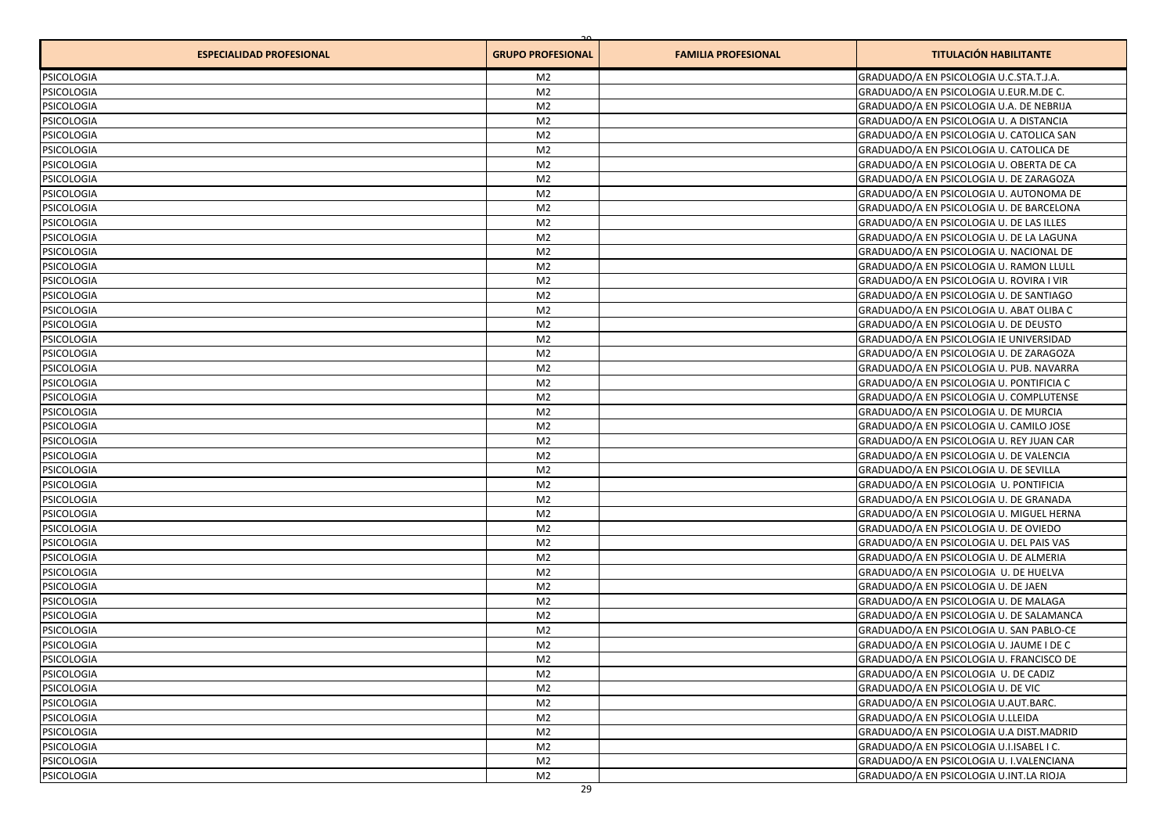| <b>ESPECIALIDAD PROFESIONAL</b> | <b>GRUPO PROFESIONAL</b> | <b>FAMILIA PROFESIONAL</b> | <b>TITULACIÓN HABILITANTE</b>            |
|---------------------------------|--------------------------|----------------------------|------------------------------------------|
| <b>PSICOLOGIA</b>               | M2                       |                            | GRADUADO/A EN PSICOLOGIA U.C.STA.T.J.A.  |
| PSICOLOGIA                      | M <sub>2</sub>           |                            | GRADUADO/A EN PSICOLOGIA U.EUR.M.DE C.   |
| PSICOLOGIA                      | M <sub>2</sub>           |                            | GRADUADO/A EN PSICOLOGIA U.A. DE NEBRIJA |
| PSICOLOGIA                      | M <sub>2</sub>           |                            | GRADUADO/A EN PSICOLOGIA U. A DISTANCIA  |
| PSICOLOGIA                      | M <sub>2</sub>           |                            | GRADUADO/A EN PSICOLOGIA U. CATOLICA SAN |
| <b>PSICOLOGIA</b>               | M <sub>2</sub>           |                            | GRADUADO/A EN PSICOLOGIA U. CATOLICA DE  |
| PSICOLOGIA                      | M <sub>2</sub>           |                            | GRADUADO/A EN PSICOLOGIA U. OBERTA DE CA |
| PSICOLOGIA                      | M <sub>2</sub>           |                            | GRADUADO/A EN PSICOLOGIA U. DE ZARAGOZA  |
| <b>PSICOLOGIA</b>               | M <sub>2</sub>           |                            | GRADUADO/A EN PSICOLOGIA U. AUTONOMA DE  |
| PSICOLOGIA                      | M <sub>2</sub>           |                            | GRADUADO/A EN PSICOLOGIA U. DE BARCELONA |
| PSICOLOGIA                      | M <sub>2</sub>           |                            | GRADUADO/A EN PSICOLOGIA U. DE LAS ILLES |
| PSICOLOGIA                      | M <sub>2</sub>           |                            | GRADUADO/A EN PSICOLOGIA U. DE LA LAGUNA |
| <b>PSICOLOGIA</b>               | M <sub>2</sub>           |                            | GRADUADO/A EN PSICOLOGIA U. NACIONAL DE  |
| PSICOLOGIA                      | M <sub>2</sub>           |                            | GRADUADO/A EN PSICOLOGIA U. RAMON LLULL  |
| PSICOLOGIA                      | M <sub>2</sub>           |                            | GRADUADO/A EN PSICOLOGIA U. ROVIRA I VIR |
| <b>PSICOLOGIA</b>               | M <sub>2</sub>           |                            | GRADUADO/A EN PSICOLOGIA U. DE SANTIAGO  |
| <b>PSICOLOGIA</b>               | M <sub>2</sub>           |                            | GRADUADO/A EN PSICOLOGIA U. ABAT OLIBA C |
| PSICOLOGIA                      | M <sub>2</sub>           |                            | GRADUADO/A EN PSICOLOGIA U. DE DEUSTO    |
| PSICOLOGIA                      | M <sub>2</sub>           |                            | GRADUADO/A EN PSICOLOGIA IE UNIVERSIDAD  |
| <b>PSICOLOGIA</b>               | M <sub>2</sub>           |                            | GRADUADO/A EN PSICOLOGIA U. DE ZARAGOZA  |
| <b>PSICOLOGIA</b>               | M <sub>2</sub>           |                            | GRADUADO/A EN PSICOLOGIA U. PUB. NAVARRA |
| PSICOLOGIA                      | M <sub>2</sub>           |                            | GRADUADO/A EN PSICOLOGIA U. PONTIFICIA C |
| PSICOLOGIA                      | M <sub>2</sub>           |                            | GRADUADO/A EN PSICOLOGIA U. COMPLUTENSE  |
| PSICOLOGIA                      | M <sub>2</sub>           |                            | GRADUADO/A EN PSICOLOGIA U. DE MURCIA    |
| <b>PSICOLOGIA</b>               | M <sub>2</sub>           |                            | GRADUADO/A EN PSICOLOGIA U. CAMILO JOSE  |
| PSICOLOGIA                      | M <sub>2</sub>           |                            | GRADUADO/A EN PSICOLOGIA U. REY JUAN CAR |
| PSICOLOGIA                      | M <sub>2</sub>           |                            | GRADUADO/A EN PSICOLOGIA U. DE VALENCIA  |
| <b>PSICOLOGIA</b>               | M <sub>2</sub>           |                            | GRADUADO/A EN PSICOLOGIA U. DE SEVILLA   |
| <b>PSICOLOGIA</b>               | M <sub>2</sub>           |                            | GRADUADO/A EN PSICOLOGIA U. PONTIFICIA   |
| PSICOLOGIA                      | M <sub>2</sub>           |                            | GRADUADO/A EN PSICOLOGIA U. DE GRANADA   |
| PSICOLOGIA                      | M <sub>2</sub>           |                            | GRADUADO/A EN PSICOLOGIA U. MIGUEL HERNA |
| <b>PSICOLOGIA</b>               | M <sub>2</sub>           |                            | GRADUADO/A EN PSICOLOGIA U. DE OVIEDO    |
| PSICOLOGIA                      | M <sub>2</sub>           |                            | GRADUADO/A EN PSICOLOGIA U. DEL PAIS VAS |
| PSICOLOGIA                      | M <sub>2</sub>           |                            | GRADUADO/A EN PSICOLOGIA U. DE ALMERIA   |
| PSICOLOGIA                      | M <sub>2</sub>           |                            | GRADUADO/A EN PSICOLOGIA U. DE HUELVA    |
| PSICOLOGIA                      | M <sub>2</sub>           |                            | GRADUADO/A EN PSICOLOGIA U. DE JAEN      |
| PSICOLOGIA                      | M <sub>2</sub>           |                            | GRADUADO/A EN PSICOLOGIA U. DE MALAGA    |
| PSICOLOGIA                      | M <sub>2</sub>           |                            | GRADUADO/A EN PSICOLOGIA U. DE SALAMANCA |
| <b>PSICOLOGIA</b>               | M <sub>2</sub>           |                            | GRADUADO/A EN PSICOLOGIA U. SAN PABLO-CE |
| <b>PSICOLOGIA</b>               | M <sub>2</sub>           |                            | GRADUADO/A EN PSICOLOGIA U. JAUME I DE C |
| PSICOLOGIA                      | M <sub>2</sub>           |                            | GRADUADO/A EN PSICOLOGIA U. FRANCISCO DE |
| <b>PSICOLOGIA</b>               | M <sub>2</sub>           |                            | GRADUADO/A EN PSICOLOGIA U. DE CADIZ     |
| <b>PSICOLOGIA</b>               | M <sub>2</sub>           |                            | GRADUADO/A EN PSICOLOGIA U. DE VIC       |
| <b>PSICOLOGIA</b>               | M <sub>2</sub>           |                            | GRADUADO/A EN PSICOLOGIA U.AUT.BARC.     |
| PSICOLOGIA                      | M <sub>2</sub>           |                            | GRADUADO/A EN PSICOLOGIA U.LLEIDA        |
| <b>PSICOLOGIA</b>               | M <sub>2</sub>           |                            | GRADUADO/A EN PSICOLOGIA U.A DIST.MADRID |
| <b>PSICOLOGIA</b>               | M <sub>2</sub>           |                            | GRADUADO/A EN PSICOLOGIA U.I.ISABEL I C. |
| <b>PSICOLOGIA</b>               | M <sub>2</sub>           |                            | GRADUADO/A EN PSICOLOGIA U. I.VALENCIANA |
|                                 |                          |                            |                                          |
| <b>PSICOLOGIA</b>               | M <sub>2</sub>           |                            | GRADUADO/A EN PSICOLOGIA U.INT.LA RIOJA  |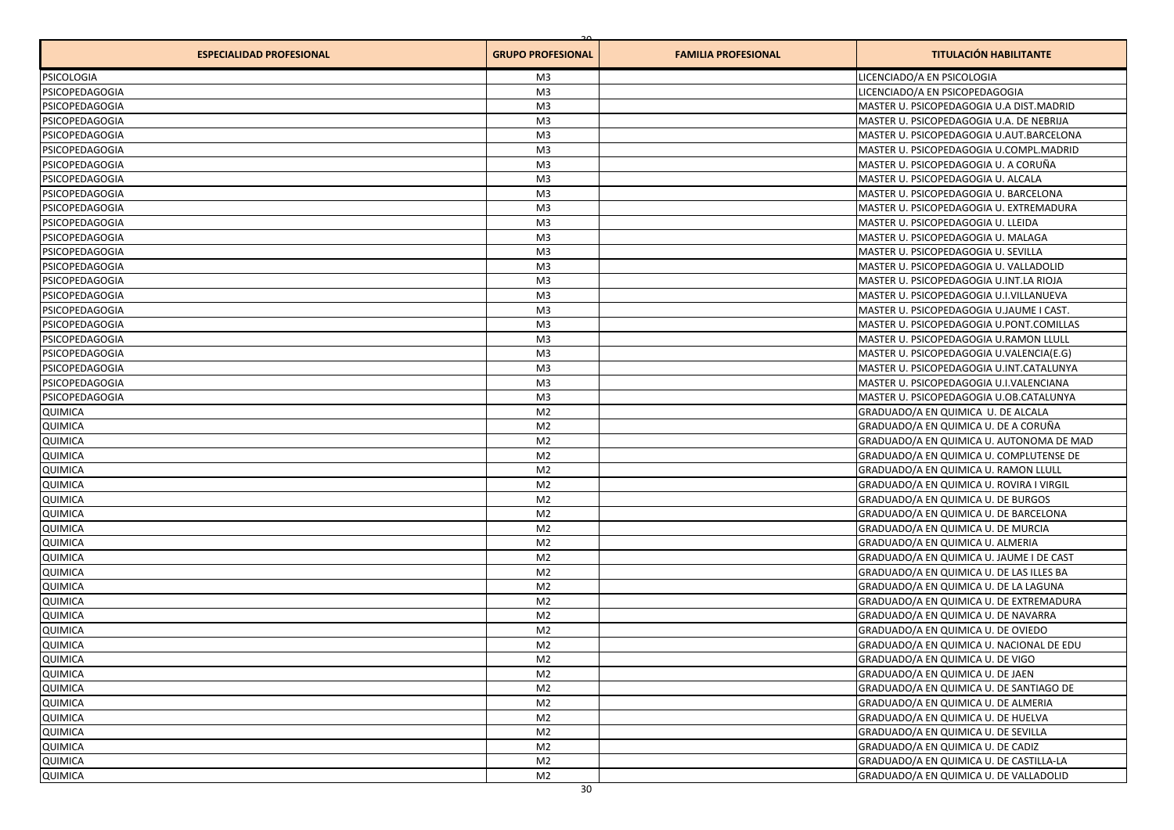| <b>ESPECIALIDAD PROFESIONAL</b> | <b>GRUPO PROFESIONAL</b> | <b>FAMILIA PROFESIONAL</b> | <b>TITULACIÓN HABILITANTE</b>            |
|---------------------------------|--------------------------|----------------------------|------------------------------------------|
| <b>PSICOLOGIA</b>               | M3                       |                            | LICENCIADO/A EN PSICOLOGIA               |
| PSICOPEDAGOGIA                  | M <sub>3</sub>           |                            | LICENCIADO/A EN PSICOPEDAGOGIA           |
| PSICOPEDAGOGIA                  | M <sub>3</sub>           |                            | MASTER U. PSICOPEDAGOGIA U.A DIST.MADRID |
| PSICOPEDAGOGIA                  | M <sub>3</sub>           |                            | MASTER U. PSICOPEDAGOGIA U.A. DE NEBRIJA |
| PSICOPEDAGOGIA                  | M <sub>3</sub>           |                            | MASTER U. PSICOPEDAGOGIA U.AUT.BARCELONA |
| PSICOPEDAGOGIA                  | M <sub>3</sub>           |                            | MASTER U. PSICOPEDAGOGIA U.COMPL.MADRID  |
| PSICOPEDAGOGIA                  | M <sub>3</sub>           |                            | MASTER U. PSICOPEDAGOGIA U. A CORUÑA     |
| PSICOPEDAGOGIA                  | M <sub>3</sub>           |                            | MASTER U. PSICOPEDAGOGIA U. ALCALA       |
| PSICOPEDAGOGIA                  | M <sub>3</sub>           |                            | MASTER U. PSICOPEDAGOGIA U. BARCELONA    |
| PSICOPEDAGOGIA                  | M <sub>3</sub>           |                            | MASTER U. PSICOPEDAGOGIA U. EXTREMADURA  |
| PSICOPEDAGOGIA                  | M <sub>3</sub>           |                            | MASTER U. PSICOPEDAGOGIA U. LLEIDA       |
| PSICOPEDAGOGIA                  | M <sub>3</sub>           |                            | MASTER U. PSICOPEDAGOGIA U. MALAGA       |
| PSICOPEDAGOGIA                  | M <sub>3</sub>           |                            | MASTER U. PSICOPEDAGOGIA U. SEVILLA      |
| PSICOPEDAGOGIA                  | M3                       |                            | MASTER U. PSICOPEDAGOGIA U. VALLADOLID   |
| PSICOPEDAGOGIA                  | M <sub>3</sub>           |                            | MASTER U. PSICOPEDAGOGIA U.INT.LA RIOJA  |
| PSICOPEDAGOGIA                  | M <sub>3</sub>           |                            | MASTER U. PSICOPEDAGOGIA U.I.VILLANUEVA  |
| PSICOPEDAGOGIA                  | M <sub>3</sub>           |                            | MASTER U. PSICOPEDAGOGIA U.JAUME I CAST. |
| PSICOPEDAGOGIA                  | M <sub>3</sub>           |                            | MASTER U. PSICOPEDAGOGIA U.PONT.COMILLAS |
| PSICOPEDAGOGIA                  | M <sub>3</sub>           |                            | MASTER U. PSICOPEDAGOGIA U.RAMON LLULL   |
| PSICOPEDAGOGIA                  | M <sub>3</sub>           |                            | MASTER U. PSICOPEDAGOGIA U.VALENCIA(E.G) |
| PSICOPEDAGOGIA                  | M <sub>3</sub>           |                            | MASTER U. PSICOPEDAGOGIA U.INT.CATALUNYA |
| PSICOPEDAGOGIA                  | M <sub>3</sub>           |                            | MASTER U. PSICOPEDAGOGIA U.I.VALENCIANA  |
| PSICOPEDAGOGIA                  | M <sub>3</sub>           |                            | MASTER U. PSICOPEDAGOGIA U.OB.CATALUNYA  |
| <b>QUIMICA</b>                  | M <sub>2</sub>           |                            | GRADUADO/A EN QUIMICA U. DE ALCALA       |
| QUIMICA                         | M <sub>2</sub>           |                            | GRADUADO/A EN QUIMICA U. DE A CORUÑA     |
| <b>QUIMICA</b>                  | M <sub>2</sub>           |                            | GRADUADO/A EN QUIMICA U. AUTONOMA DE MAD |
| QUIMICA                         | M <sub>2</sub>           |                            | GRADUADO/A EN QUIMICA U. COMPLUTENSE DE  |
| QUIMICA                         | M <sub>2</sub>           |                            | GRADUADO/A EN QUIMICA U. RAMON LLULL     |
| QUIMICA                         | M <sub>2</sub>           |                            | GRADUADO/A EN QUIMICA U. ROVIRA I VIRGIL |
| <b>QUIMICA</b>                  | M <sub>2</sub>           |                            | GRADUADO/A EN QUIMICA U. DE BURGOS       |
| QUIMICA                         | M <sub>2</sub>           |                            | GRADUADO/A EN QUIMICA U. DE BARCELONA    |
| QUIMICA                         | M <sub>2</sub>           |                            | GRADUADO/A EN QUIMICA U. DE MURCIA       |
| QUIMICA                         | M <sub>2</sub>           |                            | GRADUADO/A EN QUIMICA U. ALMERIA         |
| QUIMICA                         | M <sub>2</sub>           |                            | GRADUADO/A EN QUIMICA U. JAUME I DE CAST |
| QUIMICA                         | M <sub>2</sub>           |                            | GRADUADO/A EN QUIMICA U. DE LAS ILLES BA |
| QUIMICA                         | M <sub>2</sub>           |                            | GRADUADO/A EN QUIMICA U. DE LA LAGUNA    |
| QUIMICA                         | M <sub>2</sub>           |                            | GRADUADO/A EN QUIMICA U. DE EXTREMADURA  |
| QUIMICA                         | M <sub>2</sub>           |                            | GRADUADO/A EN QUIMICA U. DE NAVARRA      |
| QUIMICA                         | M <sub>2</sub>           |                            | GRADUADO/A EN QUIMICA U. DE OVIEDO       |
| QUIMICA                         | M <sub>2</sub>           |                            | GRADUADO/A EN QUIMICA U. NACIONAL DE EDU |
| QUIMICA                         | M <sub>2</sub>           |                            | GRADUADO/A EN QUIMICA U. DE VIGO         |
| QUIMICA                         | M <sub>2</sub>           |                            | GRADUADO/A EN QUIMICA U. DE JAEN         |
| QUIMICA                         | M <sub>2</sub>           |                            | GRADUADO/A EN QUIMICA U. DE SANTIAGO DE  |
| QUIMICA                         | M <sub>2</sub>           |                            | GRADUADO/A EN QUIMICA U. DE ALMERIA      |
| QUIMICA                         | M <sub>2</sub>           |                            | GRADUADO/A EN QUIMICA U. DE HUELVA       |
| QUIMICA                         | M <sub>2</sub>           |                            | GRADUADO/A EN QUIMICA U. DE SEVILLA      |
| <b>QUIMICA</b>                  | M <sub>2</sub>           |                            | GRADUADO/A EN QUIMICA U. DE CADIZ        |
| QUIMICA                         | M <sub>2</sub>           |                            | GRADUADO/A EN QUIMICA U. DE CASTILLA-LA  |
| QUIMICA                         | M <sub>2</sub>           |                            | GRADUADO/A EN QUIMICA U. DE VALLADOLID   |
|                                 |                          |                            |                                          |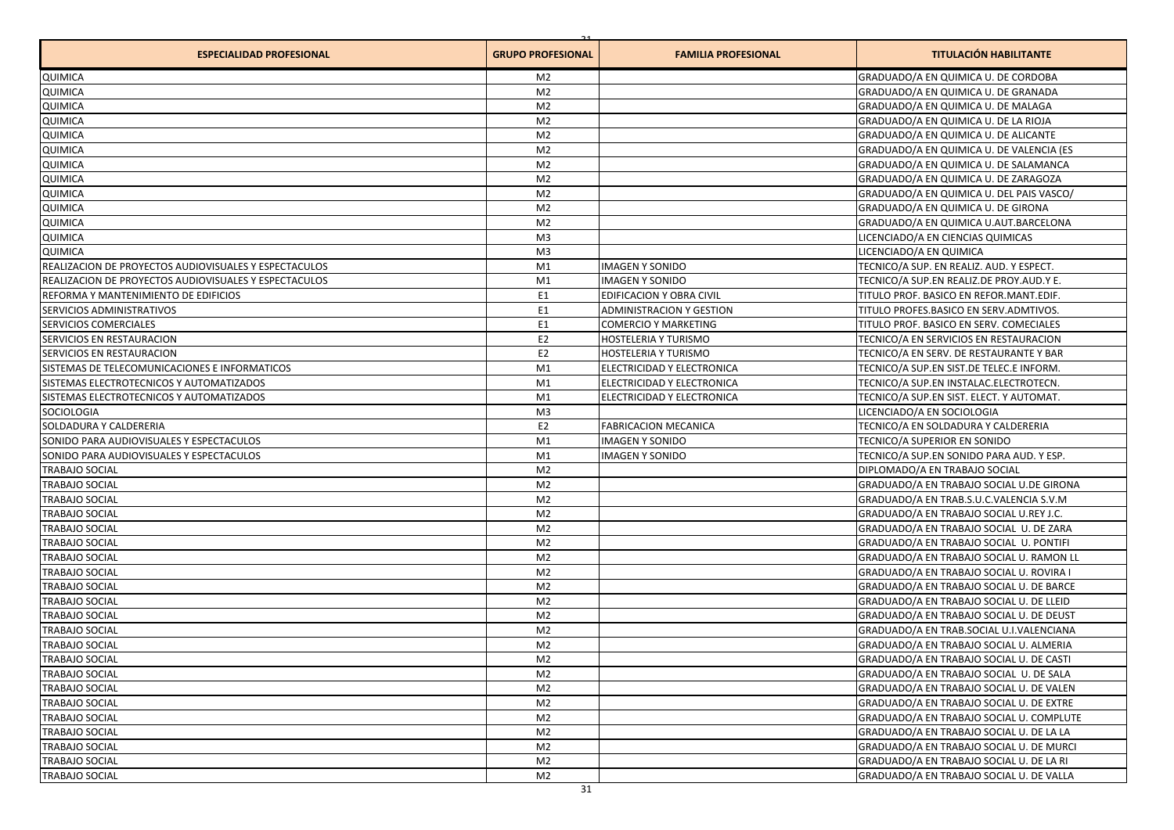| <b>ESPECIALIDAD PROFESIONAL</b>                       | <b>GRUPO PROFESIONAL</b> | <b>FAMILIA PROFESIONAL</b>      | <b>TITULACIÓN HABILITANTE</b>            |
|-------------------------------------------------------|--------------------------|---------------------------------|------------------------------------------|
| QUIMICA                                               | M <sub>2</sub>           |                                 | GRADUADO/A EN QUIMICA U. DE CORDOBA      |
| QUIMICA                                               | M <sub>2</sub>           |                                 | GRADUADO/A EN QUIMICA U. DE GRANADA      |
| QUIMICA                                               | M <sub>2</sub>           |                                 | GRADUADO/A EN QUIMICA U. DE MALAGA       |
| QUIMICA                                               | M <sub>2</sub>           |                                 | GRADUADO/A EN QUIMICA U. DE LA RIOJA     |
| QUIMICA                                               | M <sub>2</sub>           |                                 | GRADUADO/A EN QUIMICA U. DE ALICANTE     |
| QUIMICA                                               | M <sub>2</sub>           |                                 | GRADUADO/A EN QUIMICA U. DE VALENCIA (ES |
| QUIMICA                                               | M <sub>2</sub>           |                                 | GRADUADO/A EN QUIMICA U. DE SALAMANCA    |
| QUIMICA                                               | M <sub>2</sub>           |                                 | GRADUADO/A EN QUIMICA U. DE ZARAGOZA     |
| QUIMICA                                               | M <sub>2</sub>           |                                 | GRADUADO/A EN QUIMICA U. DEL PAIS VASCO/ |
| QUIMICA                                               | M <sub>2</sub>           |                                 | GRADUADO/A EN QUIMICA U. DE GIRONA       |
| QUIMICA                                               | M <sub>2</sub>           |                                 | GRADUADO/A EN QUIMICA U.AUT.BARCELONA    |
| QUIMICA                                               | M <sub>3</sub>           |                                 | LICENCIADO/A EN CIENCIAS QUIMICAS        |
| QUIMICA                                               | M3                       |                                 | LICENCIADO/A EN QUIMICA                  |
| REALIZACION DE PROYECTOS AUDIOVISUALES Y ESPECTACULOS | M1                       | <b>IMAGEN Y SONIDO</b>          | TECNICO/A SUP. EN REALIZ. AUD. Y ESPECT. |
| REALIZACION DE PROYECTOS AUDIOVISUALES Y ESPECTACULOS | M1                       | <b>IMAGEN Y SONIDO</b>          | TECNICO/A SUP.EN REALIZ.DE PROY.AUD.Y E. |
| REFORMA Y MANTENIMIENTO DE EDIFICIOS                  | E <sub>1</sub>           | EDIFICACION Y OBRA CIVIL        | TITULO PROF. BASICO EN REFOR.MANT.EDIF.  |
| SERVICIOS ADMINISTRATIVOS                             | E <sub>1</sub>           | <b>ADMINISTRACION Y GESTION</b> | TITULO PROFES.BASICO EN SERV.ADMTIVOS.   |
| SERVICIOS COMERCIALES                                 | E <sub>1</sub>           | <b>COMERCIO Y MARKETING</b>     | TITULO PROF. BASICO EN SERV. COMECIALES  |
| SERVICIOS EN RESTAURACION                             | E <sub>2</sub>           | HOSTELERIA Y TURISMO            | TECNICO/A EN SERVICIOS EN RESTAURACION   |
| SERVICIOS EN RESTAURACION                             | E <sub>2</sub>           | HOSTELERIA Y TURISMO            | TECNICO/A EN SERV. DE RESTAURANTE Y BAR  |
| SISTEMAS DE TELECOMUNICACIONES E INFORMATICOS         | M1                       | ELECTRICIDAD Y ELECTRONICA      | TECNICO/A SUP.EN SIST.DE TELEC.E INFORM. |
| SISTEMAS ELECTROTECNICOS Y AUTOMATIZADOS              | M1                       | ELECTRICIDAD Y ELECTRONICA      | TECNICO/A SUP.EN INSTALAC.ELECTROTECN.   |
| SISTEMAS ELECTROTECNICOS Y AUTOMATIZADOS              | M1                       | ELECTRICIDAD Y ELECTRONICA      | TECNICO/A SUP.EN SIST. ELECT. Y AUTOMAT. |
| SOCIOLOGIA                                            | M <sub>3</sub>           |                                 | LICENCIADO/A EN SOCIOLOGIA               |
| SOLDADURA Y CALDERERIA                                | E <sub>2</sub>           | <b>FABRICACION MECANICA</b>     | TECNICO/A EN SOLDADURA Y CALDERERIA      |
| SONIDO PARA AUDIOVISUALES Y ESPECTACULOS              | M1                       | <b>IMAGEN Y SONIDO</b>          | TECNICO/A SUPERIOR EN SONIDO             |
| SONIDO PARA AUDIOVISUALES Y ESPECTACULOS              | M1                       | <b>IMAGEN Y SONIDO</b>          | TECNICO/A SUP.EN SONIDO PARA AUD. Y ESP. |
| <b>TRABAJO SOCIAL</b>                                 | M <sub>2</sub>           |                                 | DIPLOMADO/A EN TRABAJO SOCIAL            |
| <b>TRABAJO SOCIAL</b>                                 | M <sub>2</sub>           |                                 | GRADUADO/A EN TRABAJO SOCIAL U.DE GIRONA |
| <b>TRABAJO SOCIAL</b>                                 | M <sub>2</sub>           |                                 | GRADUADO/A EN TRAB.S.U.C.VALENCIA S.V.M  |
| TRABAJO SOCIAL                                        | M <sub>2</sub>           |                                 | GRADUADO/A EN TRABAJO SOCIAL U.REY J.C.  |
| <b>TRABAJO SOCIAL</b>                                 | M <sub>2</sub>           |                                 | GRADUADO/A EN TRABAJO SOCIAL U. DE ZARA  |
| <b>TRABAJO SOCIAL</b>                                 | M <sub>2</sub>           |                                 | GRADUADO/A EN TRABAJO SOCIAL U. PONTIFI  |
| <b>TRABAJO SOCIAL</b>                                 | M <sub>2</sub>           |                                 | GRADUADO/A EN TRABAJO SOCIAL U. RAMON LL |
| <b>TRABAJO SOCIAL</b>                                 | M <sub>2</sub>           |                                 | GRADUADO/A EN TRABAJO SOCIAL U. ROVIRA I |
| <b>TRABAJO SOCIAL</b>                                 | M <sub>2</sub>           |                                 | GRADUADO/A EN TRABAJO SOCIAL U. DE BARCE |
| <b>TRABAJO SOCIAL</b>                                 | M <sub>2</sub>           |                                 | GRADUADO/A EN TRABAJO SOCIAL U. DE LLEID |
| <b>TRABAJO SOCIAL</b>                                 | M <sub>2</sub>           |                                 | GRADUADO/A EN TRABAJO SOCIAL U. DE DEUST |
| <b>TRABAJO SOCIAL</b>                                 | M <sub>2</sub>           |                                 | GRADUADO/A EN TRAB.SOCIAL U.I.VALENCIANA |
| <b>TRABAJO SOCIAL</b>                                 | M <sub>2</sub>           |                                 | GRADUADO/A EN TRABAJO SOCIAL U. ALMERIA  |
| <b>TRABAJO SOCIAL</b>                                 | M <sub>2</sub>           |                                 | GRADUADO/A EN TRABAJO SOCIAL U. DE CASTI |
| <b>TRABAJO SOCIAL</b>                                 | M <sub>2</sub>           |                                 | GRADUADO/A EN TRABAJO SOCIAL U. DE SALA  |
| <b>TRABAJO SOCIAL</b>                                 | M <sub>2</sub>           |                                 | GRADUADO/A EN TRABAJO SOCIAL U. DE VALEN |
| <b>TRABAJO SOCIAL</b>                                 | M <sub>2</sub>           |                                 | GRADUADO/A EN TRABAJO SOCIAL U. DE EXTRE |
| <b>TRABAJO SOCIAL</b>                                 | M <sub>2</sub>           |                                 | GRADUADO/A EN TRABAJO SOCIAL U. COMPLUTE |
| <b>TRABAJO SOCIAL</b>                                 | M <sub>2</sub>           |                                 | GRADUADO/A EN TRABAJO SOCIAL U. DE LA LA |
| TRABAJO SOCIAL                                        | M <sub>2</sub>           |                                 | GRADUADO/A EN TRABAJO SOCIAL U. DE MURCI |
| <b>TRABAJO SOCIAL</b>                                 | M <sub>2</sub>           |                                 | GRADUADO/A EN TRABAJO SOCIAL U. DE LA RI |
| <b>TRABAJO SOCIAL</b>                                 | M <sub>2</sub>           |                                 | GRADUADO/A EN TRABAJO SOCIAL U. DE VALLA |